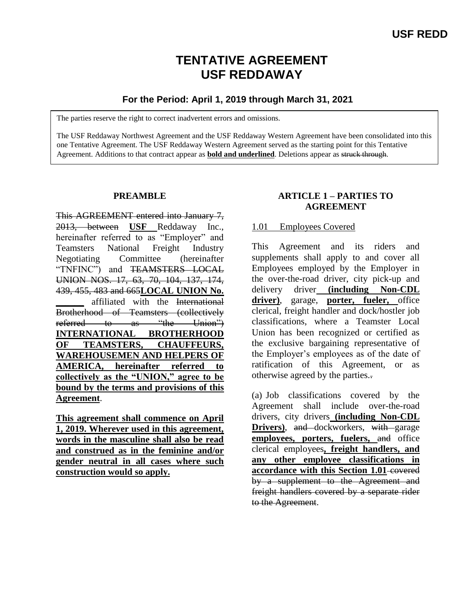# **TENTATIVE AGREEMENT USF REDDAWAY**

# **For the Period: April 1, 2019 through March 31, 2021**

The parties reserve the right to correct inadvertent errors and omissions.

The USF Reddaway Northwest Agreement and the USF Reddaway Western Agreement have been consolidated into this one Tentative Agreement. The USF Reddaway Western Agreement served as the starting point for this Tentative Agreement. Additions to that contract appear as **bold and underlined**. Deletions appear as struck through.

### **PREAMBLE**

This AGREEMENT entered into January 7, 2013, between **USF** Reddaway Inc., hereinafter referred to as "Employer" and Teamsters National Freight Industry Negotiating Committee (hereinafter "TNFINC") and TEAMSTERS LOCAL UNION NOS. 17, 63, 70, 104, 137, 174, 439, 455, 483 and 665**LOCAL UNION No. \_\_\_\_\_\_** affiliated with the International Brotherhood of Teamsters (collectively referred to as "the Union") **INTERNATIONAL BROTHERHOOD OF TEAMSTERS, CHAUFFEURS, WAREHOUSEMEN AND HELPERS OF AMERICA, hereinafter referred to collectively as the "UNION," agree to be bound by the terms and provisions of this Agreement**.

**This agreement shall commence on April 1, 2019. Wherever used in this agreement, words in the masculine shall also be read and construed as in the feminine and/or gender neutral in all cases where such construction would so apply.**

### **ARTICLE 1 – PARTIES TO AGREEMENT**

### 1.01 Employees Covered

This Agreement and its riders and supplements shall apply to and cover all Employees employed by the Employer in the over-the-road driver, city pick-up and delivery driver **(including Non-CDL driver)**, garage, **porter, fueler,** office clerical, freight handler and dock/hostler job classifications, where a Teamster Local Union has been recognized or certified as the exclusive bargaining representative of the Employer's employees as of the date of ratification of this Agreement, or as otherwise agreed by the parties..

(a) Job classifications covered by the Agreement shall include over-the-road drivers, city drivers **(including Non-CDL Drivers**), and dockworkers, with garage **employees, porters, fuelers,** and office clerical employees**, freight handlers, and any other employee classifications in**  accordance with this Section 1.01-covered by a supplement to the Agreement and freight handlers covered by a separate rider to the Agreement.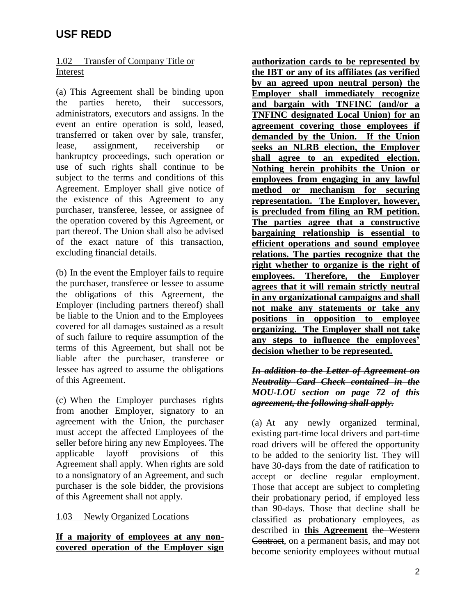## 1.02 Transfer of Company Title or Interest

(a) This Agreement shall be binding upon the parties hereto, their successors, administrators, executors and assigns. In the event an entire operation is sold, leased, transferred or taken over by sale, transfer, lease, assignment, receivership or bankruptcy proceedings, such operation or use of such rights shall continue to be subject to the terms and conditions of this Agreement. Employer shall give notice of the existence of this Agreement to any purchaser, transferee, lessee, or assignee of the operation covered by this Agreement, or part thereof. The Union shall also be advised of the exact nature of this transaction, excluding financial details.

(b) In the event the Employer fails to require the purchaser, transferee or lessee to assume the obligations of this Agreement, the Employer (including partners thereof) shall be liable to the Union and to the Employees covered for all damages sustained as a result of such failure to require assumption of the terms of this Agreement, but shall not be liable after the purchaser, transferee or lessee has agreed to assume the obligations of this Agreement.

(c) When the Employer purchases rights from another Employer, signatory to an agreement with the Union, the purchaser must accept the affected Employees of the seller before hiring any new Employees. The applicable layoff provisions of this Agreement shall apply. When rights are sold to a nonsignatory of an Agreement, and such purchaser is the sole bidder, the provisions of this Agreement shall not apply.

## 1.03 Newly Organized Locations

### **If a majority of employees at any noncovered operation of the Employer sign**

**authorization cards to be represented by the IBT or any of its affiliates (as verified by an agreed upon neutral person) the Employer shall immediately recognize and bargain with TNFINC (and/or a TNFINC designated Local Union) for an agreement covering those employees if demanded by the Union. If the Union seeks an NLRB election, the Employer shall agree to an expedited election. Nothing herein prohibits the Union or employees from engaging in any lawful method or mechanism for securing representation. The Employer, however, is precluded from filing an RM petition. The parties agree that a constructive bargaining relationship is essential to efficient operations and sound employee relations. The parties recognize that the right whether to organize is the right of employees. Therefore, the Employer agrees that it will remain strictly neutral in any organizational campaigns and shall not make any statements or take any positions in opposition to employee organizing. The Employer shall not take any steps to influence the employees' decision whether to be represented.**

### *In addition to the Letter of Agreement on Neutrality Card Check contained in the MOU-LOU section on page 72 of this agreement, the following shall apply.*

(a) At any newly organized terminal, existing part-time local drivers and part-time road drivers will be offered the opportunity to be added to the seniority list. They will have 30-days from the date of ratification to accept or decline regular employment. Those that accept are subject to completing their probationary period, if employed less than 90-days. Those that decline shall be classified as probationary employees, as described in **this Agreement** the Western Contract, on a permanent basis, and may not become seniority employees without mutual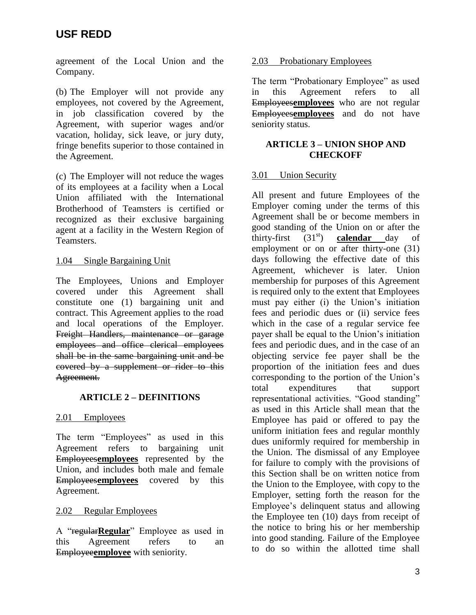agreement of the Local Union and the Company.

(b) The Employer will not provide any employees, not covered by the Agreement, in job classification covered by the Agreement, with superior wages and/or vacation, holiday, sick leave, or jury duty, fringe benefits superior to those contained in the Agreement.

(c) The Employer will not reduce the wages of its employees at a facility when a Local Union affiliated with the International Brotherhood of Teamsters is certified or recognized as their exclusive bargaining agent at a facility in the Western Region of Teamsters.

# 1.04 Single Bargaining Unit

The Employees, Unions and Employer covered under this Agreement shall constitute one (1) bargaining unit and contract. This Agreement applies to the road and local operations of the Employer. Freight Handlers, maintenance or garage employees and office clerical employees shall be in the same bargaining unit and be covered by a supplement or rider to this Agreement.

# **ARTICLE 2 – DEFINITIONS**

## 2.01 Employees

The term "Employees" as used in this Agreement refers to bargaining unit Employees**employees** represented by the Union, and includes both male and female Employees**employees** covered by this Agreement.

## 2.02 Regular Employees

A "regular**Regular**" Employee as used in this Agreement refers to an Employee**employee** with seniority.

### 2.03 Probationary Employees

The term "Probationary Employee" as used in this Agreement refers to all Employees**employees** who are not regular Employees**employees** and do not have seniority status.

### **ARTICLE 3 – UNION SHOP AND CHECKOFF**

## 3.01 Union Security

All present and future Employees of the Employer coming under the terms of this Agreement shall be or become members in good standing of the Union on or after the thirty-first  $(31<sup>st</sup>)$  **calendar** day of employment or on or after thirty-one (31) days following the effective date of this Agreement, whichever is later. Union membership for purposes of this Agreement is required only to the extent that Employees must pay either (i) the Union's initiation fees and periodic dues or (ii) service fees which in the case of a regular service fee payer shall be equal to the Union's initiation fees and periodic dues, and in the case of an objecting service fee payer shall be the proportion of the initiation fees and dues corresponding to the portion of the Union's total expenditures that support representational activities. "Good standing" as used in this Article shall mean that the Employee has paid or offered to pay the uniform initiation fees and regular monthly dues uniformly required for membership in the Union. The dismissal of any Employee for failure to comply with the provisions of this Section shall be on written notice from the Union to the Employee, with copy to the Employer, setting forth the reason for the Employee's delinquent status and allowing the Employee ten (10) days from receipt of the notice to bring his or her membership into good standing. Failure of the Employee to do so within the allotted time shall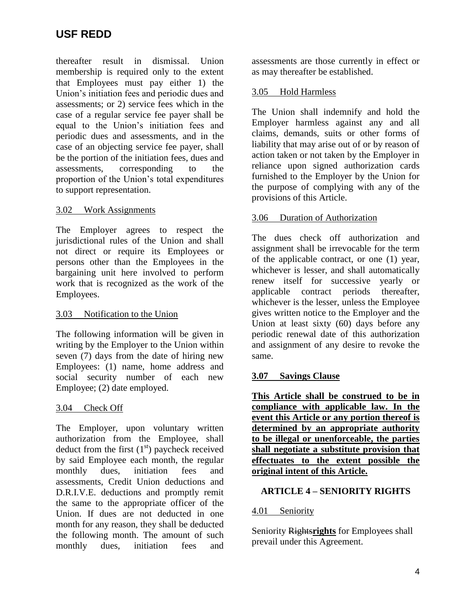thereafter result in dismissal. Union membership is required only to the extent that Employees must pay either 1) the Union's initiation fees and periodic dues and assessments; or 2) service fees which in the case of a regular service fee payer shall be equal to the Union's initiation fees and periodic dues and assessments, and in the case of an objecting service fee payer, shall be the portion of the initiation fees, dues and assessments, corresponding to the proportion of the Union's total expenditures to support representation.

### 3.02 Work Assignments

The Employer agrees to respect the jurisdictional rules of the Union and shall not direct or require its Employees or persons other than the Employees in the bargaining unit here involved to perform work that is recognized as the work of the Employees.

### 3.03 Notification to the Union

The following information will be given in writing by the Employer to the Union within seven (7) days from the date of hiring new Employees: (1) name, home address and social security number of each new Employee; (2) date employed.

### 3.04 Check Off

The Employer, upon voluntary written authorization from the Employee, shall deduct from the first  $(1<sup>st</sup>)$  paycheck received by said Employee each month, the regular monthly dues, initiation fees and assessments, Credit Union deductions and D.R.I.V.E. deductions and promptly remit the same to the appropriate officer of the Union. If dues are not deducted in one month for any reason, they shall be deducted the following month. The amount of such monthly dues, initiation fees and

assessments are those currently in effect or as may thereafter be established.

## 3.05 Hold Harmless

The Union shall indemnify and hold the Employer harmless against any and all claims, demands, suits or other forms of liability that may arise out of or by reason of action taken or not taken by the Employer in reliance upon signed authorization cards furnished to the Employer by the Union for the purpose of complying with any of the provisions of this Article.

### 3.06 Duration of Authorization

The dues check off authorization and assignment shall be irrevocable for the term of the applicable contract, or one (1) year, whichever is lesser, and shall automatically renew itself for successive yearly or applicable contract periods thereafter, whichever is the lesser, unless the Employee gives written notice to the Employer and the Union at least sixty (60) days before any periodic renewal date of this authorization and assignment of any desire to revoke the same.

## **3.07 Savings Clause**

**This Article shall be construed to be in compliance with applicable law. In the event this Article or any portion thereof is determined by an appropriate authority to be illegal or unenforceable, the parties shall negotiate a substitute provision that effectuates to the extent possible the original intent of this Article.**

## **ARTICLE 4 – SENIORITY RIGHTS**

### 4.01 Seniority

Seniority Rights**rights** for Employees shall prevail under this Agreement.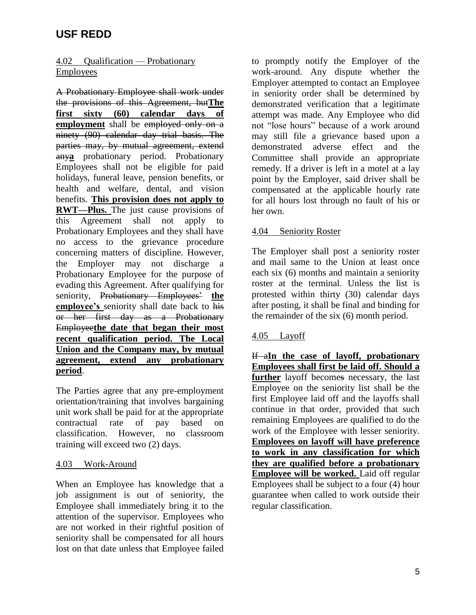## 4.02 Qualification — Probationary **Employees**

A Probationary Employee shall work under the provisions of this Agreement, but**The first sixty (60) calendar days of employment** shall be employed only on a ninety (90) calendar day trial basis. The parties may, by mutual agreement, extend any**a** probationary period. Probationary Employees shall not be eligible for paid holidays, funeral leave, pension benefits, or health and welfare, dental, and vision benefits. **This provision does not apply to RWT—Plus.** The just cause provisions of this Agreement shall not apply to Probationary Employees and they shall have no access to the grievance procedure concerning matters of discipline. However, the Employer may not discharge a Probationary Employee for the purpose of evading this Agreement. After qualifying for seniority, Probationary Employees' **the employee's** seniority shall date back to his or her first day as a Probationary Employee**the date that began their most recent qualification period. The Local Union and the Company may, by mutual agreement, extend any probationary period**.

The Parties agree that any pre-employment orientation/training that involves bargaining unit work shall be paid for at the appropriate contractual rate of pay based on classification. However, no classroom training will exceed two (2) days.

### 4.03 Work-Around

When an Employee has knowledge that a job assignment is out of seniority, the Employee shall immediately bring it to the attention of the supervisor. Employees who are not worked in their rightful position of seniority shall be compensated for all hours lost on that date unless that Employee failed

to promptly notify the Employer of the work-around. Any dispute whether the Employer attempted to contact an Employee in seniority order shall be determined by demonstrated verification that a legitimate attempt was made. Any Employee who did not "lose hours" because of a work around may still file a grievance based upon a demonstrated adverse effect and the Committee shall provide an appropriate remedy. If a driver is left in a motel at a lay point by the Employer, said driver shall be compensated at the applicable hourly rate for all hours lost through no fault of his or her own.

### 4.04 Seniority Roster

The Employer shall post a seniority roster and mail same to the Union at least once each six (6) months and maintain a seniority roster at the terminal. Unless the list is protested within thirty (30) calendar days after posting, it shall be final and binding for the remainder of the six (6) month period.

### 4.05 Layoff

If a**In the case of layoff, probationary Employees shall first be laid off. Should a further** layoff becomes necessary, the last Employee on the seniority list shall be the first Employee laid off and the layoffs shall continue in that order, provided that such remaining Employees are qualified to do the work of the Employee with lesser seniority. **Employees on layoff will have preference to work in any classification for which they are qualified before a probationary Employee will be worked.** Laid off regular Employees shall be subject to a four (4) hour guarantee when called to work outside their regular classification.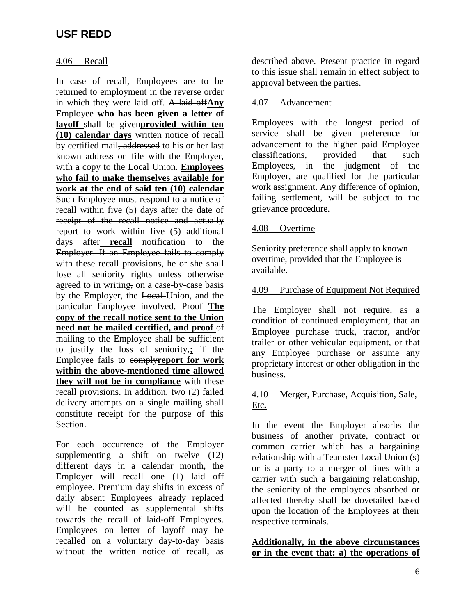### 4.06 Recall

In case of recall, Employees are to be returned to employment in the reverse order in which they were laid off. A laid off**Any** Employee **who has been given a letter of layoff** shall be given**provided within ten (10) calendar days** written notice of recall by certified mail, addressed to his or her last known address on file with the Employer, with a copy to the Local Union. **Employees who fail to make themselves available for work at the end of said ten (10) calendar**  Such Employee must respond to a notice of recall within five (5) days after the date of receipt of the recall notice and actually report to work within five (5) additional days after **recall** notification to the Employer. If an Employee fails to comply with these recall provisions, he or she shall lose all seniority rights unless otherwise agreed to in writing, on a case-by-case basis by the Employer, the Local Union, and the particular Employee involved. Proof **The copy of the recall notice sent to the Union need not be mailed certified, and proof** of mailing to the Employee shall be sufficient to justify the loss of seniority,**;** if the Employee fails to comply**report for work within the above-mentioned time allowed they will not be in compliance** with these recall provisions. In addition, two (2) failed delivery attempts on a single mailing shall constitute receipt for the purpose of this Section.

For each occurrence of the Employer supplementing a shift on twelve (12) different days in a calendar month, the Employer will recall one (1) laid off employee. Premium day shifts in excess of daily absent Employees already replaced will be counted as supplemental shifts towards the recall of laid-off Employees. Employees on letter of layoff may be recalled on a voluntary day-to-day basis without the written notice of recall, as

described above. Present practice in regard to this issue shall remain in effect subject to approval between the parties.

### 4.07 Advancement

Employees with the longest period of service shall be given preference for advancement to the higher paid Employee classifications, provided that such Employees, in the judgment of the Employer, are qualified for the particular work assignment. Any difference of opinion, failing settlement, will be subject to the grievance procedure.

### 4.08 Overtime

Seniority preference shall apply to known overtime, provided that the Employee is available.

### 4.09 Purchase of Equipment Not Required

The Employer shall not require, as a condition of continued employment, that an Employee purchase truck, tractor, and/or trailer or other vehicular equipment, or that any Employee purchase or assume any proprietary interest or other obligation in the business.

### 4.10 Merger, Purchase, Acquisition, Sale, Etc**.**

In the event the Employer absorbs the business of another private, contract or common carrier which has a bargaining relationship with a Teamster Local Union (s) or is a party to a merger of lines with a carrier with such a bargaining relationship, the seniority of the employees absorbed or affected thereby shall be dovetailed based upon the location of the Employees at their respective terminals.

### **Additionally, in the above circumstances or in the event that: a) the operations of**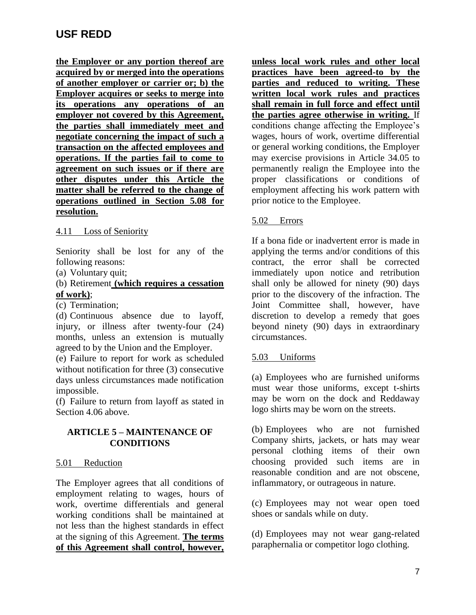**the Employer or any portion thereof are acquired by or merged into the operations of another employer or carrier or; b) the Employer acquires or seeks to merge into its operations any operations of an employer not covered by this Agreement, the parties shall immediately meet and negotiate concerning the impact of such a transaction on the affected employees and operations. If the parties fail to come to agreement on such issues or if there are other disputes under this Article the matter shall be referred to the change of operations outlined in Section 5.08 for resolution.**

### 4.11 Loss of Seniority

Seniority shall be lost for any of the following reasons:

(a) Voluntary quit;

### (b) Retirement **(which requires a cessation of work)**;

(c) Termination;

(d) Continuous absence due to layoff, injury, or illness after twenty-four (24) months, unless an extension is mutually agreed to by the Union and the Employer.

(e) Failure to report for work as scheduled without notification for three (3) consecutive days unless circumstances made notification impossible.

(f) Failure to return from layoff as stated in Section 4.06 above.

## **ARTICLE 5 – MAINTENANCE OF CONDITIONS**

### 5.01 Reduction

The Employer agrees that all conditions of employment relating to wages, hours of work, overtime differentials and general working conditions shall be maintained at not less than the highest standards in effect at the signing of this Agreement. **The terms of this Agreement shall control, however,**  **unless local work rules and other local practices have been agreed-to by the parties and reduced to writing. These written local work rules and practices shall remain in full force and effect until the parties agree otherwise in writing.** If conditions change affecting the Employee's wages, hours of work, overtime differential or general working conditions, the Employer may exercise provisions in Article 34.05 to permanently realign the Employee into the proper classifications or conditions of employment affecting his work pattern with prior notice to the Employee.

## 5.02 Errors

If a bona fide or inadvertent error is made in applying the terms and/or conditions of this contract, the error shall be corrected immediately upon notice and retribution shall only be allowed for ninety (90) days prior to the discovery of the infraction. The Joint Committee shall, however, have discretion to develop a remedy that goes beyond ninety (90) days in extraordinary circumstances.

### 5.03 Uniforms

(a) Employees who are furnished uniforms must wear those uniforms, except t-shirts may be worn on the dock and Reddaway logo shirts may be worn on the streets.

(b) Employees who are not furnished Company shirts, jackets, or hats may wear personal clothing items of their own choosing provided such items are in reasonable condition and are not obscene, inflammatory, or outrageous in nature.

(c) Employees may not wear open toed shoes or sandals while on duty.

(d) Employees may not wear gang-related paraphernalia or competitor logo clothing.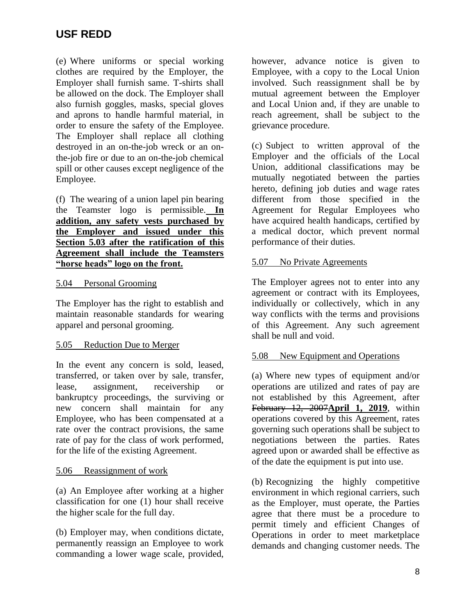(e) Where uniforms or special working clothes are required by the Employer, the Employer shall furnish same. T-shirts shall be allowed on the dock. The Employer shall also furnish goggles, masks, special gloves and aprons to handle harmful material, in order to ensure the safety of the Employee. The Employer shall replace all clothing destroyed in an on-the-job wreck or an onthe-job fire or due to an on-the-job chemical spill or other causes except negligence of the Employee.

(f) The wearing of a union lapel pin bearing the Teamster logo is permissible. **In addition, any safety vests purchased by the Employer and issued under this Section 5.03 after the ratification of this Agreement shall include the Teamsters "horse heads" logo on the front.**

### 5.04 Personal Grooming

The Employer has the right to establish and maintain reasonable standards for wearing apparel and personal grooming.

## 5.05 Reduction Due to Merger

In the event any concern is sold, leased, transferred, or taken over by sale, transfer, lease, assignment, receivership or bankruptcy proceedings, the surviving or new concern shall maintain for any Employee, who has been compensated at a rate over the contract provisions, the same rate of pay for the class of work performed, for the life of the existing Agreement.

### 5.06 Reassignment of work

(a) An Employee after working at a higher classification for one (1) hour shall receive the higher scale for the full day.

(b) Employer may, when conditions dictate, permanently reassign an Employee to work commanding a lower wage scale, provided, however, advance notice is given to Employee, with a copy to the Local Union involved. Such reassignment shall be by mutual agreement between the Employer and Local Union and, if they are unable to reach agreement, shall be subject to the grievance procedure.

(c) Subject to written approval of the Employer and the officials of the Local Union, additional classifications may be mutually negotiated between the parties hereto, defining job duties and wage rates different from those specified in the Agreement for Regular Employees who have acquired health handicaps, certified by a medical doctor, which prevent normal performance of their duties.

## 5.07 No Private Agreements

The Employer agrees not to enter into any agreement or contract with its Employees, individually or collectively, which in any way conflicts with the terms and provisions of this Agreement. Any such agreement shall be null and void.

## 5.08 New Equipment and Operations

(a) Where new types of equipment and/or operations are utilized and rates of pay are not established by this Agreement, after February 12, 2007**April 1, 2019**, within operations covered by this Agreement, rates governing such operations shall be subject to negotiations between the parties. Rates agreed upon or awarded shall be effective as of the date the equipment is put into use.

(b) Recognizing the highly competitive environment in which regional carriers, such as the Employer, must operate, the Parties agree that there must be a procedure to permit timely and efficient Changes of Operations in order to meet marketplace demands and changing customer needs. The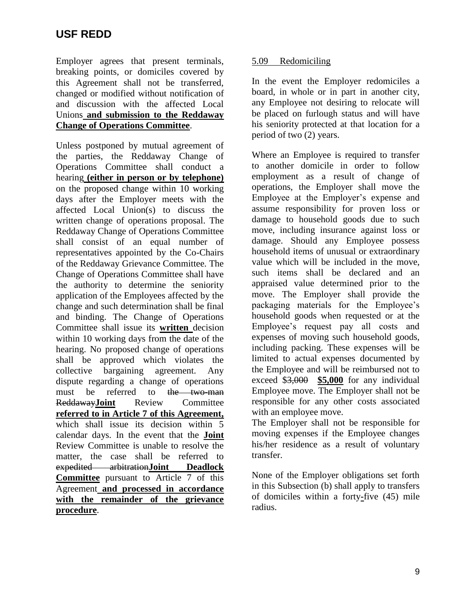Employer agrees that present terminals, breaking points, or domiciles covered by this Agreement shall not be transferred, changed or modified without notification of and discussion with the affected Local Unions **and submission to the Reddaway Change of Operations Committee**.

Unless postponed by mutual agreement of the parties, the Reddaway Change of Operations Committee shall conduct a hearing **(either in person or by telephone)** on the proposed change within 10 working days after the Employer meets with the affected Local Union(s) to discuss the written change of operations proposal. The Reddaway Change of Operations Committee shall consist of an equal number of representatives appointed by the Co-Chairs of the Reddaway Grievance Committee. The Change of Operations Committee shall have the authority to determine the seniority application of the Employees affected by the change and such determination shall be final and binding. The Change of Operations Committee shall issue its **written** decision within 10 working days from the date of the hearing. No proposed change of operations shall be approved which violates the collective bargaining agreement. Any dispute regarding a change of operations must be referred to the two-man Reddaway**Joint** Review Committee **referred to in Article 7 of this Agreement,**  which shall issue its decision within 5 calendar days. In the event that the **Joint**  Review Committee is unable to resolve the matter, the case shall be referred to expedited arbitration**Joint Deadlock Committee** pursuant to Article 7 of this Agreement **and processed in accordance with the remainder of the grievance procedure**.

### 5.09 Redomiciling

In the event the Employer redomiciles a board, in whole or in part in another city, any Employee not desiring to relocate will be placed on furlough status and will have his seniority protected at that location for a period of two (2) years.

Where an Employee is required to transfer to another domicile in order to follow employment as a result of change of operations, the Employer shall move the Employee at the Employer's expense and assume responsibility for proven loss or damage to household goods due to such move, including insurance against loss or damage. Should any Employee possess household items of unusual or extraordinary value which will be included in the move, such items shall be declared and an appraised value determined prior to the move. The Employer shall provide the packaging materials for the Employee's household goods when requested or at the Employee's request pay all costs and expenses of moving such household goods, including packing. These expenses will be limited to actual expenses documented by the Employee and will be reimbursed not to exceed \$3,000 **\$5,000** for any individual Employee move. The Employer shall not be responsible for any other costs associated with an employee move.

The Employer shall not be responsible for moving expenses if the Employee changes his/her residence as a result of voluntary transfer.

None of the Employer obligations set forth in this Subsection (b) shall apply to transfers of domiciles within a forty**-**five (45) mile radius.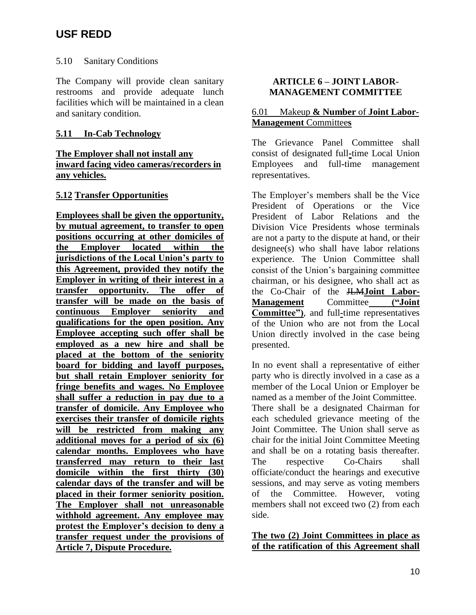### 5.10 Sanitary Conditions

The Company will provide clean sanitary restrooms and provide adequate lunch facilities which will be maintained in a clean and sanitary condition.

### **5.11 In-Cab Technology**

### **The Employer shall not install any inward facing video cameras/recorders in any vehicles.**

### **5.12 Transfer Opportunities**

**Employees shall be given the opportunity, by mutual agreement, to transfer to open positions occurring at other domiciles of the Employer located within the jurisdictions of the Local Union's party to this Agreement, provided they notify the Employer in writing of their interest in a transfer opportunity. The offer of transfer will be made on the basis of continuous Employer seniority and qualifications for the open position. Any Employee accepting such offer shall be employed as a new hire and shall be placed at the bottom of the seniority board for bidding and layoff purposes, but shall retain Employer seniority for fringe benefits and wages. No Employee shall suffer a reduction in pay due to a transfer of domicile. Any Employee who exercises their transfer of domicile rights will be restricted from making any additional moves for a period of six (6) calendar months. Employees who have transferred may return to their last domicile within the first thirty (30) calendar days of the transfer and will be placed in their former seniority position. The Employer shall not unreasonable withhold agreement. Any employee may protest the Employer's decision to deny a transfer request under the provisions of Article 7, Dispute Procedure.**

## **ARTICLE 6 – JOINT LABOR-MANAGEMENT COMMITTEE**

### 6.01 Makeup **& Number** of **Joint Labor-Management** Committee**s**

The Grievance Panel Committee shall consist of designated full**-**time Local Union Employees and full**-**time management representatives.

The Employer's members shall be the Vice President of Operations or the Vice President of Labor Relations and the Division Vice Presidents whose terminals are not a party to the dispute at hand, or their designee(s) who shall have labor relations experience. The Union Committee shall consist of the Union's bargaining committee chairman, or his designee, who shall act as the Co-Chair of the JLM**Joint Labor-Management** Committee **("Joint Committee")**, and full**-**time representatives of the Union who are not from the Local Union directly involved in the case being presented.

In no event shall a representative of either party who is directly involved in a case as a member of the Local Union or Employer be named as a member of the Joint Committee. There shall be a designated Chairman for each scheduled grievance meeting of the Joint Committee. The Union shall serve as chair for the initial Joint Committee Meeting and shall be on a rotating basis thereafter. The respective Co-Chairs shall officiate/conduct the hearings and executive sessions, and may serve as voting members of the Committee. However, voting members shall not exceed two (2) from each side.

### **The two (2) Joint Committees in place as of the ratification of this Agreement shall**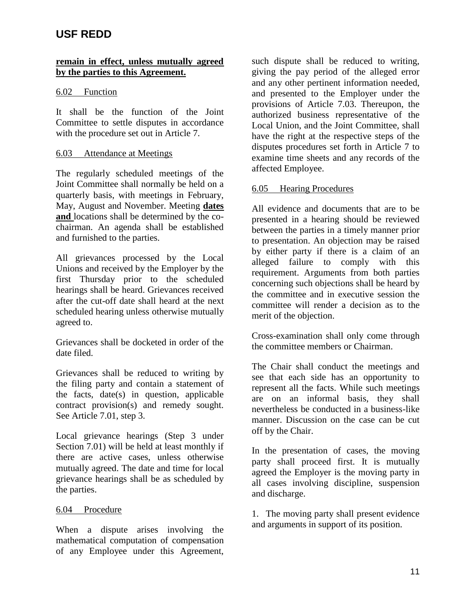### **remain in effect, unless mutually agreed by the parties to this Agreement.**

### 6.02 Function

It shall be the function of the Joint Committee to settle disputes in accordance with the procedure set out in Article 7.

### 6.03 Attendance at Meetings

The regularly scheduled meetings of the Joint Committee shall normally be held on a quarterly basis, with meetings in February, May, August and November. Meeting **dates and** locations shall be determined by the cochairman. An agenda shall be established and furnished to the parties.

All grievances processed by the Local Unions and received by the Employer by the first Thursday prior to the scheduled hearings shall be heard. Grievances received after the cut-off date shall heard at the next scheduled hearing unless otherwise mutually agreed to.

Grievances shall be docketed in order of the date filed.

Grievances shall be reduced to writing by the filing party and contain a statement of the facts, date(s) in question, applicable contract provision(s) and remedy sought. See Article 7.01, step 3.

Local grievance hearings (Step 3 under Section 7.01) will be held at least monthly if there are active cases, unless otherwise mutually agreed. The date and time for local grievance hearings shall be as scheduled by the parties.

### 6.04 Procedure

When a dispute arises involving the mathematical computation of compensation of any Employee under this Agreement,

such dispute shall be reduced to writing, giving the pay period of the alleged error and any other pertinent information needed, and presented to the Employer under the provisions of Article 7.03. Thereupon, the authorized business representative of the Local Union, and the Joint Committee, shall have the right at the respective steps of the disputes procedures set forth in Article 7 to examine time sheets and any records of the affected Employee.

### 6.05 Hearing Procedures

All evidence and documents that are to be presented in a hearing should be reviewed between the parties in a timely manner prior to presentation. An objection may be raised by either party if there is a claim of an alleged failure to comply with this requirement. Arguments from both parties concerning such objections shall be heard by the committee and in executive session the committee will render a decision as to the merit of the objection.

Cross-examination shall only come through the committee members or Chairman.

The Chair shall conduct the meetings and see that each side has an opportunity to represent all the facts. While such meetings are on an informal basis, they shall nevertheless be conducted in a business-like manner. Discussion on the case can be cut off by the Chair.

In the presentation of cases, the moving party shall proceed first. It is mutually agreed the Employer is the moving party in all cases involving discipline, suspension and discharge.

1. The moving party shall present evidence and arguments in support of its position.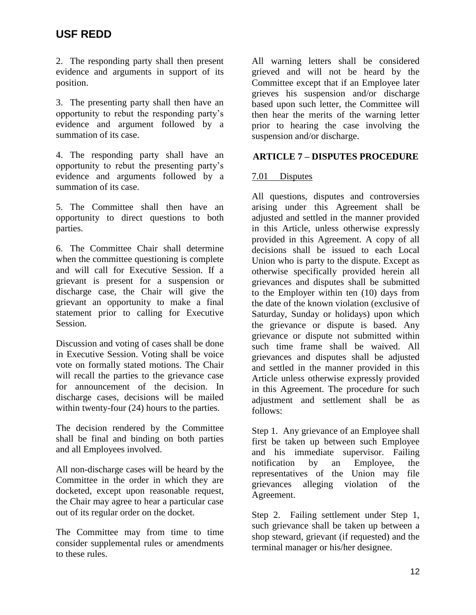2. The responding party shall then present evidence and arguments in support of its position.

3. The presenting party shall then have an opportunity to rebut the responding party's evidence and argument followed by a summation of its case.

4. The responding party shall have an opportunity to rebut the presenting party's evidence and arguments followed by a summation of its case.

5. The Committee shall then have an opportunity to direct questions to both parties.

6. The Committee Chair shall determine when the committee questioning is complete and will call for Executive Session. If a grievant is present for a suspension or discharge case, the Chair will give the grievant an opportunity to make a final statement prior to calling for Executive Session.

Discussion and voting of cases shall be done in Executive Session. Voting shall be voice vote on formally stated motions. The Chair will recall the parties to the grievance case for announcement of the decision. In discharge cases, decisions will be mailed within twenty-four  $(24)$  hours to the parties.

The decision rendered by the Committee shall be final and binding on both parties and all Employees involved.

All non-discharge cases will be heard by the Committee in the order in which they are docketed, except upon reasonable request, the Chair may agree to hear a particular case out of its regular order on the docket.

The Committee may from time to time consider supplemental rules or amendments to these rules.

All warning letters shall be considered grieved and will not be heard by the Committee except that if an Employee later grieves his suspension and/or discharge based upon such letter, the Committee will then hear the merits of the warning letter prior to hearing the case involving the suspension and/or discharge.

### **ARTICLE 7 – DISPUTES PROCEDURE**

### 7.01 Disputes

All questions, disputes and controversies arising under this Agreement shall be adjusted and settled in the manner provided in this Article, unless otherwise expressly provided in this Agreement. A copy of all decisions shall be issued to each Local Union who is party to the dispute. Except as otherwise specifically provided herein all grievances and disputes shall be submitted to the Employer within ten (10) days from the date of the known violation (exclusive of Saturday, Sunday or holidays) upon which the grievance or dispute is based. Any grievance or dispute not submitted within such time frame shall be waived. All grievances and disputes shall be adjusted and settled in the manner provided in this Article unless otherwise expressly provided in this Agreement. The procedure for such adjustment and settlement shall be as follows:

Step 1. Any grievance of an Employee shall first be taken up between such Employee and his immediate supervisor. Failing notification by an Employee, the representatives of the Union may file grievances alleging violation of the Agreement.

Step 2. Failing settlement under Step 1, such grievance shall be taken up between a shop steward, grievant (if requested) and the terminal manager or his/her designee.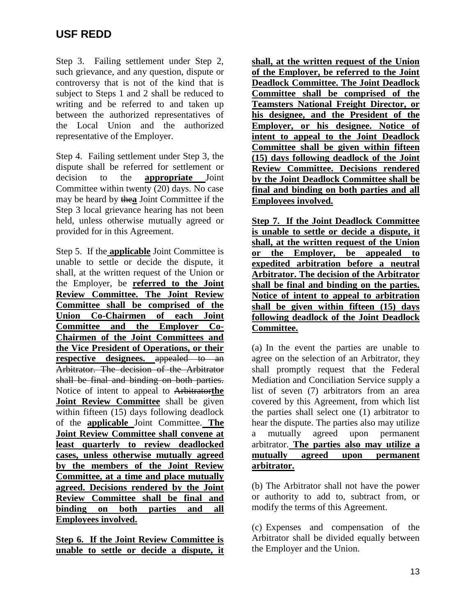Step 3. Failing settlement under Step 2, such grievance, and any question, dispute or controversy that is not of the kind that is subject to Steps 1 and 2 shall be reduced to writing and be referred to and taken up between the authorized representatives of the Local Union and the authorized representative of the Employer.

Step 4. Failing settlement under Step 3, the dispute shall be referred for settlement or decision to the **appropriate** Joint Committee within twenty (20) days. No case may be heard by the**a** Joint Committee if the Step 3 local grievance hearing has not been held, unless otherwise mutually agreed or provided for in this Agreement.

Step 5. If the **applicable** Joint Committee is unable to settle or decide the dispute, it shall, at the written request of the Union or the Employer, be **referred to the Joint Review Committee. The Joint Review Committee shall be comprised of the Union Co-Chairmen of each Joint Committee and the Employer Co-Chairmen of the Joint Committees and the Vice President of Operations, or their respective designees.** appealed to an Arbitrator. The decision of the Arbitrator shall be final and binding on both parties. Notice of intent to appeal to Arbitrator**the Joint Review Committee** shall be given within fifteen (15) days following deadlock of the **applicable** Joint Committee. **The Joint Review Committee shall convene at least quarterly to review deadlocked cases, unless otherwise mutually agreed by the members of the Joint Review Committee, at a time and place mutually agreed. Decisions rendered by the Joint Review Committee shall be final and binding on both parties and all Employees involved.**

**Step 6. If the Joint Review Committee is unable to settle or decide a dispute, it** 

**shall, at the written request of the Union of the Employer, be referred to the Joint Deadlock Committee. The Joint Deadlock Committee shall be comprised of the Teamsters National Freight Director, or his designee, and the President of the Employer, or his designee. Notice of intent to appeal to the Joint Deadlock Committee shall be given within fifteen (15) days following deadlock of the Joint Review Committee. Decisions rendered by the Joint Deadlock Committee shall be final and binding on both parties and all Employees involved.**

**Step 7. If the Joint Deadlock Committee is unable to settle or decide a dispute, it shall, at the written request of the Union or the Employer, be appealed to expedited arbitration before a neutral Arbitrator. The decision of the Arbitrator shall be final and binding on the parties. Notice of intent to appeal to arbitration shall be given within fifteen (15) days following deadlock of the Joint Deadlock Committee.**

(a) In the event the parties are unable to agree on the selection of an Arbitrator, they shall promptly request that the Federal Mediation and Conciliation Service supply a list of seven (7) arbitrators from an area covered by this Agreement, from which list the parties shall select one (1) arbitrator to hear the dispute. The parties also may utilize a mutually agreed upon permanent arbitrator. **The parties also may utilize a mutually agreed upon permanent arbitrator.**

(b) The Arbitrator shall not have the power or authority to add to, subtract from, or modify the terms of this Agreement.

(c) Expenses and compensation of the Arbitrator shall be divided equally between the Employer and the Union.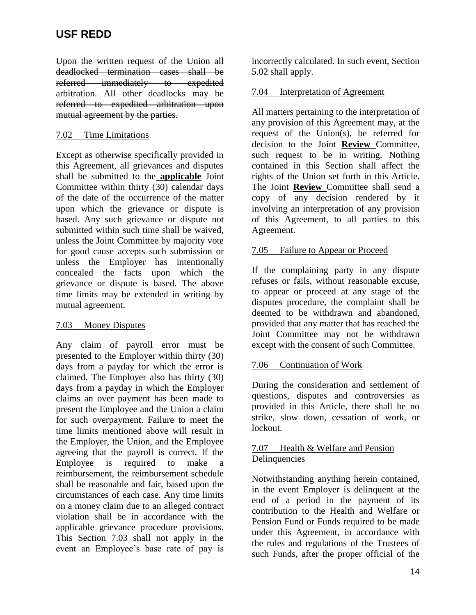Upon the written request of the Union all deadlocked termination cases shall be referred immediately to expedited arbitration. All other deadlocks may be referred to expedited arbitration upon mutual agreement by the parties.

### 7.02 Time Limitations

Except as otherwise specifically provided in this Agreement, all grievances and disputes shall be submitted to the **applicable** Joint Committee within thirty  $\overline{(30)}$  calendar days of the date of the occurrence of the matter upon which the grievance or dispute is based. Any such grievance or dispute not submitted within such time shall be waived, unless the Joint Committee by majority vote for good cause accepts such submission or unless the Employer has intentionally concealed the facts upon which the grievance or dispute is based. The above time limits may be extended in writing by mutual agreement.

## 7.03 Money Disputes

Any claim of payroll error must be presented to the Employer within thirty (30) days from a payday for which the error is claimed. The Employer also has thirty (30) days from a payday in which the Employer claims an over payment has been made to present the Employee and the Union a claim for such overpayment. Failure to meet the time limits mentioned above will result in the Employer, the Union, and the Employee agreeing that the payroll is correct. If the Employee is required to make a reimbursement, the reimbursement schedule shall be reasonable and fair, based upon the circumstances of each case. Any time limits on a money claim due to an alleged contract violation shall be in accordance with the applicable grievance procedure provisions. This Section 7.03 shall not apply in the event an Employee's base rate of pay is

incorrectly calculated. In such event, Section 5.02 shall apply.

### 7.04 Interpretation of Agreement

All matters pertaining to the interpretation of any provision of this Agreement may, at the request of the Union(s), be referred for decision to the Joint **Review** Committee, such request to be in writing. Nothing contained in this Section shall affect the rights of the Union set forth in this Article. The Joint **Review** Committee shall send a copy of any decision rendered by it involving an interpretation of any provision of this Agreement, to all parties to this Agreement.

### 7.05 Failure to Appear or Proceed

If the complaining party in any dispute refuses or fails, without reasonable excuse, to appear or proceed at any stage of the disputes procedure, the complaint shall be deemed to be withdrawn and abandoned, provided that any matter that has reached the Joint Committee may not be withdrawn except with the consent of such Committee.

## 7.06 Continuation of Work

During the consideration and settlement of questions, disputes and controversies as provided in this Article, there shall be no strike, slow down, cessation of work, or lockout.

### 7.07 Health & Welfare and Pension Delinquencies

Notwithstanding anything herein contained, in the event Employer is delinquent at the end of a period in the payment of its contribution to the Health and Welfare or Pension Fund or Funds required to be made under this Agreement, in accordance with the rules and regulations of the Trustees of such Funds, after the proper official of the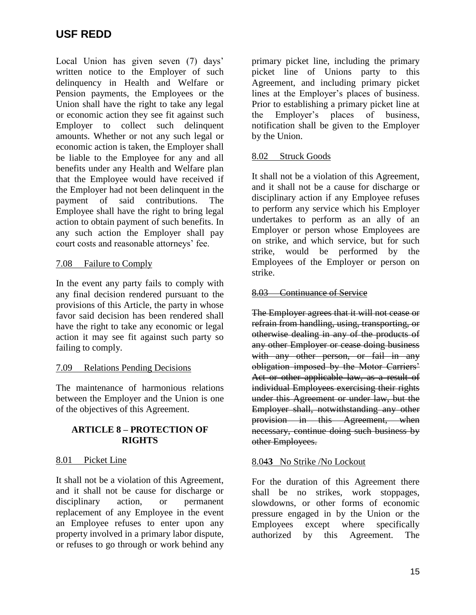Local Union has given seven (7) days' written notice to the Employer of such delinquency in Health and Welfare or Pension payments, the Employees or the Union shall have the right to take any legal or economic action they see fit against such Employer to collect such delinquent amounts. Whether or not any such legal or economic action is taken, the Employer shall be liable to the Employee for any and all benefits under any Health and Welfare plan that the Employee would have received if the Employer had not been delinquent in the payment of said contributions. The Employee shall have the right to bring legal action to obtain payment of such benefits. In any such action the Employer shall pay court costs and reasonable attorneys' fee.

## 7.08 Failure to Comply

In the event any party fails to comply with any final decision rendered pursuant to the provisions of this Article, the party in whose favor said decision has been rendered shall have the right to take any economic or legal action it may see fit against such party so failing to comply.

## 7.09 Relations Pending Decisions

The maintenance of harmonious relations between the Employer and the Union is one of the objectives of this Agreement.

### **ARTICLE 8 – PROTECTION OF RIGHTS**

### 8.01 Picket Line

It shall not be a violation of this Agreement, and it shall not be cause for discharge or disciplinary action, or permanent replacement of any Employee in the event an Employee refuses to enter upon any property involved in a primary labor dispute, or refuses to go through or work behind any

primary picket line, including the primary picket line of Unions party to this Agreement, and including primary picket lines at the Employer's places of business. Prior to establishing a primary picket line at the Employer's places of business, notification shall be given to the Employer by the Union.

### 8.02 Struck Goods

It shall not be a violation of this Agreement, and it shall not be a cause for discharge or disciplinary action if any Employee refuses to perform any service which his Employer undertakes to perform as an ally of an Employer or person whose Employees are on strike, and which service, but for such strike, would be performed by the Employees of the Employer or person on strike.

### 8.03 Continuance of Service

The Employer agrees that it will not cease or refrain from handling, using, transporting, or otherwise dealing in any of the products of any other Employer or cease doing business with any other person, or fail in any obligation imposed by the Motor Carriers' Act or other applicable law, as a result of individual Employees exercising their rights under this Agreement or under law, but the Employer shall, notwithstanding any other provision in this Agreement, when necessary, continue doing such business by other Employees.

### 8.04**3** No Strike /No Lockout

For the duration of this Agreement there shall be no strikes, work stoppages, slowdowns, or other forms of economic pressure engaged in by the Union or the Employees except where specifically authorized by this Agreement. The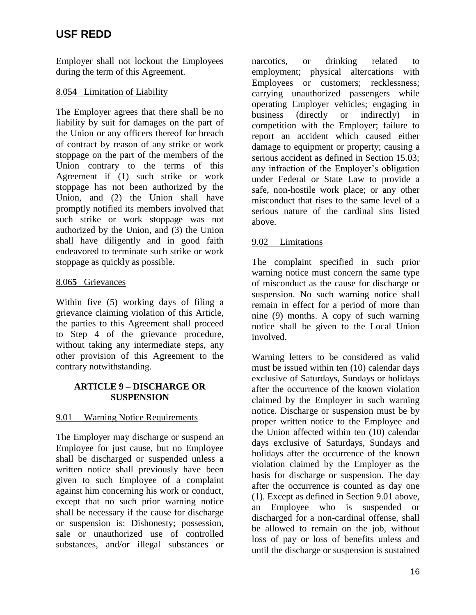Employer shall not lockout the Employees during the term of this Agreement.

## 8.05**4** Limitation of Liability

The Employer agrees that there shall be no liability by suit for damages on the part of the Union or any officers thereof for breach of contract by reason of any strike or work stoppage on the part of the members of the Union contrary to the terms of this Agreement if (1) such strike or work stoppage has not been authorized by the Union, and (2) the Union shall have promptly notified its members involved that such strike or work stoppage was not authorized by the Union, and (3) the Union shall have diligently and in good faith endeavored to terminate such strike or work stoppage as quickly as possible.

## 8.06**5** Grievances

Within five (5) working days of filing a grievance claiming violation of this Article, the parties to this Agreement shall proceed to Step 4 of the grievance procedure, without taking any intermediate steps, any other provision of this Agreement to the contrary notwithstanding.

# **ARTICLE 9 – DISCHARGE OR SUSPENSION**

## 9.01 Warning Notice Requirements

The Employer may discharge or suspend an Employee for just cause, but no Employee shall be discharged or suspended unless a written notice shall previously have been given to such Employee of a complaint against him concerning his work or conduct, except that no such prior warning notice shall be necessary if the cause for discharge or suspension is: Dishonesty; possession, sale or unauthorized use of controlled substances, and/or illegal substances or narcotics, or drinking related to employment; physical altercations with Employees or customers; recklessness; carrying unauthorized passengers while operating Employer vehicles; engaging in business (directly or indirectly) in competition with the Employer; failure to report an accident which caused either damage to equipment or property; causing a serious accident as defined in Section 15.03; any infraction of the Employer's obligation under Federal or State Law to provide a safe, non-hostile work place; or any other misconduct that rises to the same level of a serious nature of the cardinal sins listed above.

# 9.02 Limitations

The complaint specified in such prior warning notice must concern the same type of misconduct as the cause for discharge or suspension. No such warning notice shall remain in effect for a period of more than nine (9) months. A copy of such warning notice shall be given to the Local Union involved.

Warning letters to be considered as valid must be issued within ten (10) calendar days exclusive of Saturdays, Sundays or holidays after the occurrence of the known violation claimed by the Employer in such warning notice. Discharge or suspension must be by proper written notice to the Employee and the Union affected within ten (10) calendar days exclusive of Saturdays, Sundays and holidays after the occurrence of the known violation claimed by the Employer as the basis for discharge or suspension. The day after the occurrence is counted as day one (1). Except as defined in Section 9.01 above, an Employee who is suspended or discharged for a non-cardinal offense, shall be allowed to remain on the job, without loss of pay or loss of benefits unless and until the discharge or suspension is sustained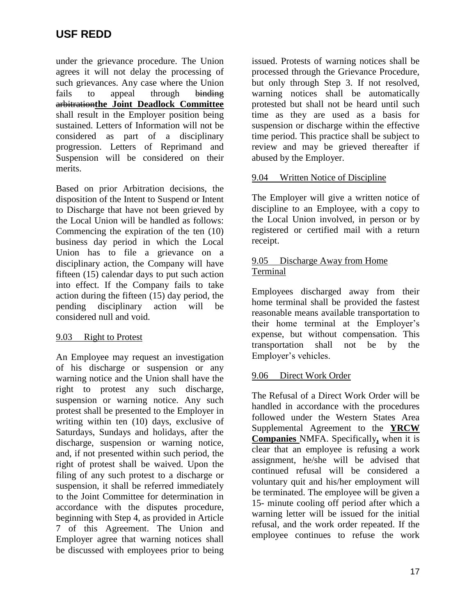under the grievance procedure. The Union agrees it will not delay the processing of such grievances. Any case where the Union fails to appeal through binding arbitration**the Joint Deadlock Committee** shall result in the Employer position being sustained. Letters of Information will not be considered as part of a disciplinary progression. Letters of Reprimand and Suspension will be considered on their merits.

Based on prior Arbitration decisions, the disposition of the Intent to Suspend or Intent to Discharge that have not been grieved by the Local Union will be handled as follows: Commencing the expiration of the ten (10) business day period in which the Local Union has to file a grievance on a disciplinary action, the Company will have fifteen (15) calendar days to put such action into effect. If the Company fails to take action during the fifteen (15) day period, the pending disciplinary action will be considered null and void.

## 9.03 Right to Protest

An Employee may request an investigation of his discharge or suspension or any warning notice and the Union shall have the right to protest any such discharge, suspension or warning notice. Any such protest shall be presented to the Employer in writing within ten (10) days, exclusive of Saturdays, Sundays and holidays, after the discharge, suspension or warning notice, and, if not presented within such period, the right of protest shall be waived. Upon the filing of any such protest to a discharge or suspension, it shall be referred immediately to the Joint Committee for determination in accordance with the disputes procedure, beginning with Step 4, as provided in Article 7 of this Agreement. The Union and Employer agree that warning notices shall be discussed with employees prior to being

issued. Protests of warning notices shall be processed through the Grievance Procedure, but only through Step 3. If not resolved, warning notices shall be automatically protested but shall not be heard until such time as they are used as a basis for suspension or discharge within the effective time period. This practice shall be subject to review and may be grieved thereafter if abused by the Employer.

## 9.04 Written Notice of Discipline

The Employer will give a written notice of discipline to an Employee, with a copy to the Local Union involved, in person or by registered or certified mail with a return receipt.

## 9.05 Discharge Away from Home Terminal

Employees discharged away from their home terminal shall be provided the fastest reasonable means available transportation to their home terminal at the Employer's expense, but without compensation. This transportation shall not be by the Employer's vehicles.

## 9.06 Direct Work Order

The Refusal of a Direct Work Order will be handled in accordance with the procedures followed under the Western States Area Supplemental Agreement to the **YRCW Companies** NMFA. Specifically**,** when it is clear that an employee is refusing a work assignment, he/she will be advised that continued refusal will be considered a voluntary quit and his/her employment will be terminated. The employee will be given a 15- minute cooling off period after which a warning letter will be issued for the initial refusal, and the work order repeated. If the employee continues to refuse the work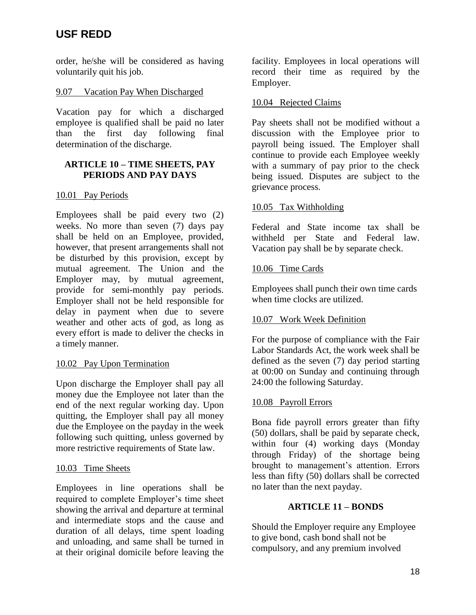order, he/she will be considered as having voluntarily quit his job.

## 9.07 Vacation Pay When Discharged

Vacation pay for which a discharged employee is qualified shall be paid no later than the first day following final determination of the discharge.

### **ARTICLE 10 – TIME SHEETS, PAY PERIODS AND PAY DAYS**

## 10.01 Pay Periods

Employees shall be paid every two (2) weeks. No more than seven (7) days pay shall be held on an Employee, provided, however, that present arrangements shall not be disturbed by this provision, except by mutual agreement. The Union and the Employer may, by mutual agreement, provide for semi-monthly pay periods. Employer shall not be held responsible for delay in payment when due to severe weather and other acts of god, as long as every effort is made to deliver the checks in a timely manner.

## 10.02 Pay Upon Termination

Upon discharge the Employer shall pay all money due the Employee not later than the end of the next regular working day. Upon quitting, the Employer shall pay all money due the Employee on the payday in the week following such quitting, unless governed by more restrictive requirements of State law.

## 10.03 Time Sheets

Employees in line operations shall be required to complete Employer's time sheet showing the arrival and departure at terminal and intermediate stops and the cause and duration of all delays, time spent loading and unloading, and same shall be turned in at their original domicile before leaving the

facility. Employees in local operations will record their time as required by the Employer.

### 10.04 Rejected Claims

Pay sheets shall not be modified without a discussion with the Employee prior to payroll being issued. The Employer shall continue to provide each Employee weekly with a summary of pay prior to the check being issued. Disputes are subject to the grievance process.

### 10.05 Tax Withholding

Federal and State income tax shall be withheld per State and Federal law. Vacation pay shall be by separate check.

### 10.06 Time Cards

Employees shall punch their own time cards when time clocks are utilized.

## 10.07 Work Week Definition

For the purpose of compliance with the Fair Labor Standards Act, the work week shall be defined as the seven (7) day period starting at 00:00 on Sunday and continuing through 24:00 the following Saturday.

## 10.08 Payroll Errors

Bona fide payroll errors greater than fifty (50) dollars, shall be paid by separate check, within four (4) working days (Monday through Friday) of the shortage being brought to management's attention. Errors less than fifty (50) dollars shall be corrected no later than the next payday.

## **ARTICLE 11 – BONDS**

Should the Employer require any Employee to give bond, cash bond shall not be compulsory, and any premium involved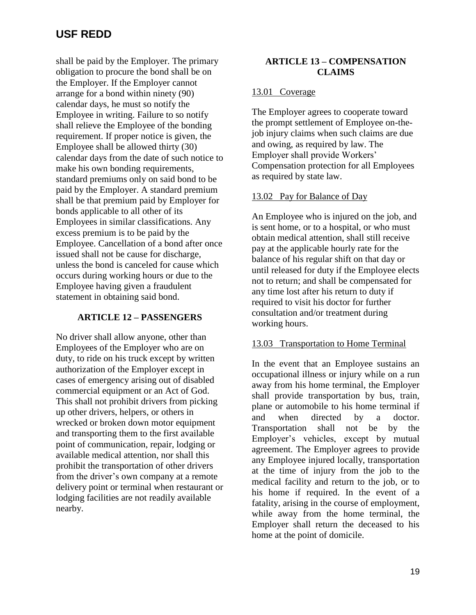shall be paid by the Employer. The primary obligation to procure the bond shall be on the Employer. If the Employer cannot arrange for a bond within ninety (90) calendar days, he must so notify the Employee in writing. Failure to so notify shall relieve the Employee of the bonding requirement. If proper notice is given, the Employee shall be allowed thirty (30) calendar days from the date of such notice to make his own bonding requirements, standard premiums only on said bond to be paid by the Employer. A standard premium shall be that premium paid by Employer for bonds applicable to all other of its Employees in similar classifications. Any excess premium is to be paid by the Employee. Cancellation of a bond after once issued shall not be cause for discharge, unless the bond is canceled for cause which occurs during working hours or due to the Employee having given a fraudulent statement in obtaining said bond.

## **ARTICLE 12 – PASSENGERS**

No driver shall allow anyone, other than Employees of the Employer who are on duty, to ride on his truck except by written authorization of the Employer except in cases of emergency arising out of disabled commercial equipment or an Act of God. This shall not prohibit drivers from picking up other drivers, helpers, or others in wrecked or broken down motor equipment and transporting them to the first available point of communication, repair, lodging or available medical attention, nor shall this prohibit the transportation of other drivers from the driver's own company at a remote delivery point or terminal when restaurant or lodging facilities are not readily available nearby.

### **ARTICLE 13 – COMPENSATION CLAIMS**

## 13.01 Coverage

The Employer agrees to cooperate toward the prompt settlement of Employee on-thejob injury claims when such claims are due and owing, as required by law. The Employer shall provide Workers' Compensation protection for all Employees as required by state law.

# 13.02 Pay for Balance of Day

An Employee who is injured on the job, and is sent home, or to a hospital, or who must obtain medical attention, shall still receive pay at the applicable hourly rate for the balance of his regular shift on that day or until released for duty if the Employee elects not to return; and shall be compensated for any time lost after his return to duty if required to visit his doctor for further consultation and/or treatment during working hours.

## 13.03 Transportation to Home Terminal

In the event that an Employee sustains an occupational illness or injury while on a run away from his home terminal, the Employer shall provide transportation by bus, train, plane or automobile to his home terminal if and when directed by a doctor. Transportation shall not be by the Employer's vehicles, except by mutual agreement. The Employer agrees to provide any Employee injured locally, transportation at the time of injury from the job to the medical facility and return to the job, or to his home if required. In the event of a fatality, arising in the course of employment, while away from the home terminal, the Employer shall return the deceased to his home at the point of domicile.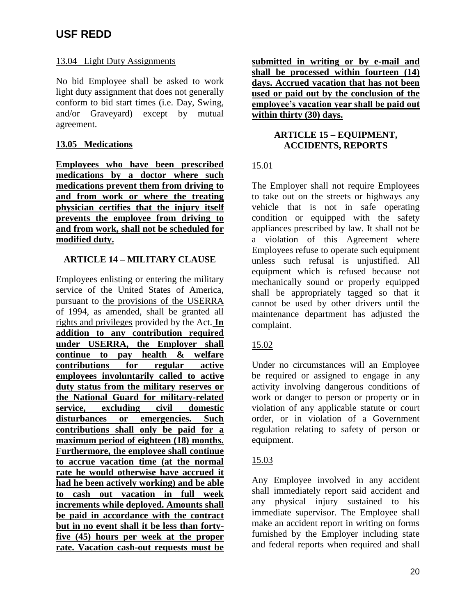## 13.04 Light Duty Assignments

No bid Employee shall be asked to work light duty assignment that does not generally conform to bid start times (i.e. Day, Swing, and/or Graveyard) except by mutual agreement.

# **13.05 Medications**

**Employees who have been prescribed medications by a doctor where such medications prevent them from driving to and from work or where the treating physician certifies that the injury itself prevents the employee from driving to and from work, shall not be scheduled for modified duty.**

# **ARTICLE 14 – MILITARY CLAUSE**

Employees enlisting or entering the military service of the United States of America, pursuant to the provisions of the USERRA of 1994, as amended, shall be granted all rights and privileges provided by the Act. **In addition to any contribution required under USERRA, the Employer shall continue to pay health & welfare contributions for regular active employees involuntarily called to active duty status from the military reserves or the National Guard for military-related service, excluding civil domestic disturbances or emergencies. Such contributions shall only be paid for a maximum period of eighteen (18) months. Furthermore, the employee shall continue to accrue vacation time (at the normal rate he would otherwise have accrued it had he been actively working) and be able to cash out vacation in full week increments while deployed. Amounts shall be paid in accordance with the contract but in no event shall it be less than fortyfive (45) hours per week at the proper rate. Vacation cash-out requests must be** 

**submitted in writing or by e-mail and shall be processed within fourteen (14) days. Accrued vacation that has not been used or paid out by the conclusion of the employee's vacation year shall be paid out within thirty (30) days.**

## **ARTICLE 15 – EQUIPMENT, ACCIDENTS, REPORTS**

## 15.01

The Employer shall not require Employees to take out on the streets or highways any vehicle that is not in safe operating condition or equipped with the safety appliances prescribed by law. It shall not be a violation of this Agreement where Employees refuse to operate such equipment unless such refusal is unjustified. All equipment which is refused because not mechanically sound or properly equipped shall be appropriately tagged so that it cannot be used by other drivers until the maintenance department has adjusted the complaint.

# 15.02

Under no circumstances will an Employee be required or assigned to engage in any activity involving dangerous conditions of work or danger to person or property or in violation of any applicable statute or court order, or in violation of a Government regulation relating to safety of person or equipment.

## 15.03

Any Employee involved in any accident shall immediately report said accident and any physical injury sustained to his immediate supervisor. The Employee shall make an accident report in writing on forms furnished by the Employer including state and federal reports when required and shall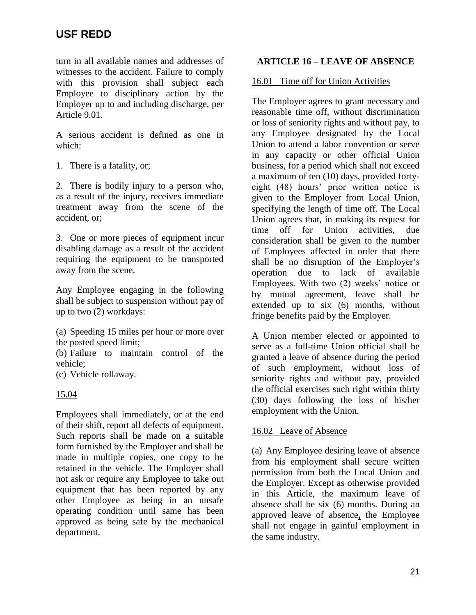turn in all available names and addresses of witnesses to the accident. Failure to comply with this provision shall subject each Employee to disciplinary action by the Employer up to and including discharge, per Article 9.01.

A serious accident is defined as one in which:

1. There is a fatality, or;

2. There is bodily injury to a person who, as a result of the injury, receives immediate treatment away from the scene of the accident, or;

3. One or more pieces of equipment incur disabling damage as a result of the accident requiring the equipment to be transported away from the scene.

Any Employee engaging in the following shall be subject to suspension without pay of up to two (2) workdays:

(a) Speeding 15 miles per hour or more over the posted speed limit;

(b) Failure to maintain control of the vehicle;

(c) Vehicle rollaway.

## 15.04

Employees shall immediately, or at the end of their shift, report all defects of equipment. Such reports shall be made on a suitable form furnished by the Employer and shall be made in multiple copies, one copy to be retained in the vehicle. The Employer shall not ask or require any Employee to take out equipment that has been reported by any other Employee as being in an unsafe operating condition until same has been approved as being safe by the mechanical department.

### **ARTICLE 16 – LEAVE OF ABSENCE**

### 16.01 Time off for Union Activities

The Employer agrees to grant necessary and reasonable time off, without discrimination or loss of seniority rights and without pay, to any Employee designated by the Local Union to attend a labor convention or serve in any capacity or other official Union business, for a period which shall not exceed a maximum of ten (10) days, provided fortyeight (48) hours' prior written notice is given to the Employer from Local Union, specifying the length of time off. The Local Union agrees that, in making its request for time off for Union activities, due consideration shall be given to the number of Employees affected in order that there shall be no disruption of the Employer's operation due to lack of available Employees. With two (2) weeks' notice or by mutual agreement, leave shall be extended up to six (6) months, without fringe benefits paid by the Employer.

A Union member elected or appointed to serve as a full-time Union official shall be granted a leave of absence during the period of such employment, without loss of seniority rights and without pay, provided the official exercises such right within thirty (30) days following the loss of his/her employment with the Union.

### 16.02 Leave of Absence

(a) Any Employee desiring leave of absence from his employment shall secure written permission from both the Local Union and the Employer. Except as otherwise provided in this Article, the maximum leave of absence shall be six (6) months. During an approved leave of absence**,** the Employee shall not engage in gainful employment in the same industry.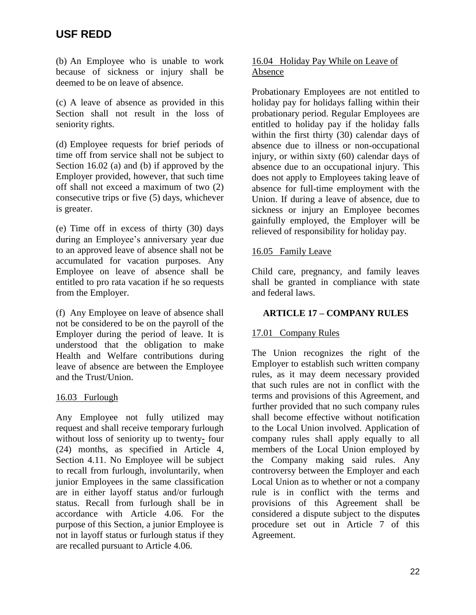(b) An Employee who is unable to work because of sickness or injury shall be deemed to be on leave of absence.

(c) A leave of absence as provided in this Section shall not result in the loss of seniority rights.

(d) Employee requests for brief periods of time off from service shall not be subject to Section 16.02 (a) and (b) if approved by the Employer provided, however, that such time off shall not exceed a maximum of two (2) consecutive trips or five (5) days, whichever is greater.

(e) Time off in excess of thirty (30) days during an Employee's anniversary year due to an approved leave of absence shall not be accumulated for vacation purposes. Any Employee on leave of absence shall be entitled to pro rata vacation if he so requests from the Employer.

(f) Any Employee on leave of absence shall not be considered to be on the payroll of the Employer during the period of leave. It is understood that the obligation to make Health and Welfare contributions during leave of absence are between the Employee and the Trust/Union.

## 16.03 Furlough

Any Employee not fully utilized may request and shall receive temporary furlough without loss of seniority up to twenty**-** four (24) months, as specified in Article 4, Section 4.11. No Employee will be subject to recall from furlough, involuntarily, when junior Employees in the same classification are in either layoff status and/or furlough status. Recall from furlough shall be in accordance with Article 4.06. For the purpose of this Section, a junior Employee is not in layoff status or furlough status if they are recalled pursuant to Article 4.06.

### 16.04 Holiday Pay While on Leave of Absence

Probationary Employees are not entitled to holiday pay for holidays falling within their probationary period. Regular Employees are entitled to holiday pay if the holiday falls within the first thirty (30) calendar days of absence due to illness or non-occupational injury, or within sixty (60) calendar days of absence due to an occupational injury. This does not apply to Employees taking leave of absence for full-time employment with the Union. If during a leave of absence, due to sickness or injury an Employee becomes gainfully employed, the Employer will be relieved of responsibility for holiday pay.

### 16.05 Family Leave

Child care, pregnancy, and family leaves shall be granted in compliance with state and federal laws.

## **ARTICLE 17 – COMPANY RULES**

## 17.01 Company Rules

The Union recognizes the right of the Employer to establish such written company rules, as it may deem necessary provided that such rules are not in conflict with the terms and provisions of this Agreement, and further provided that no such company rules shall become effective without notification to the Local Union involved. Application of company rules shall apply equally to all members of the Local Union employed by the Company making said rules. Any controversy between the Employer and each Local Union as to whether or not a company rule is in conflict with the terms and provisions of this Agreement shall be considered a dispute subject to the disputes procedure set out in Article 7 of this Agreement.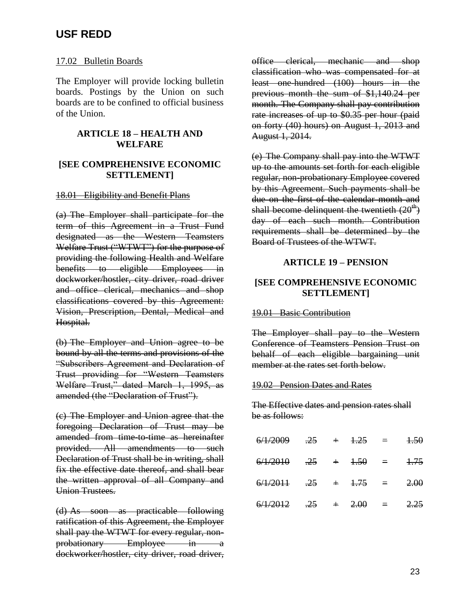### 17.02 Bulletin Boards

The Employer will provide locking bulletin boards. Postings by the Union on such boards are to be confined to official business of the Union.

### **ARTICLE 18 – HEALTH AND WELFARE**

### **[SEE COMPREHENSIVE ECONOMIC SETTLEMENT]**

### 18.01 Eligibility and Benefit Plans

(a) The Employer shall participate for the term of this Agreement in a Trust Fund designated as the Western Teamsters Welfare Trust ("WTWT") for the purpose of providing the following Health and Welfare benefits to eligible Employees in dockworker/hostler, city driver, road driver and office clerical, mechanics and shop classifications covered by this Agreement: Vision, Prescription, Dental, Medical and Hospital.

(b) The Employer and Union agree to be bound by all the terms and provisions of the "Subscribers Agreement and Declaration of Trust providing for "Western Teamsters Welfare Trust," dated March 1, 1995, as amended (the "Declaration of Trust").

(c) The Employer and Union agree that the foregoing Declaration of Trust may be amended from time-to-time as hereinafter provided. All amendments to such Declaration of Trust shall be in writing, shall fix the effective date thereof, and shall bear the written approval of all Company and Union Trustees.

(d) As soon as practicable following ratification of this Agreement, the Employer shall pay the WTWT for every regular, nonprobationary Employee in a dockworker/hostler, city driver, road driver, office clerical, mechanic and shop classification who was compensated for at least one-hundred (100) hours in the previous month the sum of \$1,140.24 per month. The Company shall pay contribution rate increases of up to \$0.35 per hour (paid on forty (40) hours) on August 1, 2013 and August 1, 2014.

(e) The Company shall pay into the WTWT up to the amounts set forth for each eligible regular, non-probationary Employee covered by this Agreement. Such payments shall be due on the first of the calendar month and shall become delinquent the twentieth  $(20<sup>th</sup>)$ day of each such month. Contribution requirements shall be determined by the Board of Trustees of the WTWT.

### **ARTICLE 19 – PENSION**

### **[SEE COMPREHENSIVE ECONOMIC SETTLEMENT]**

### 19.01 Basic Contribution

The Employer shall pay to the Western Conference of Teamsters Pension Trust on behalf of each eligible bargaining unit member at the rates set forth below.

### 19.02 Pension Dates and Rates

The Effective dates and pension rates shall be as follows:

| $6/1/2009$ $.25 + 1.25 = 1.50$ |  |  |  |
|--------------------------------|--|--|--|
| $6/1/2010$ $.25 + 1.50 = 1.75$ |  |  |  |
| $6/1/2011$ $.25 + 1.75 = 2.00$ |  |  |  |
| $6/1/2012$ .25 + 2.00 = 2.25   |  |  |  |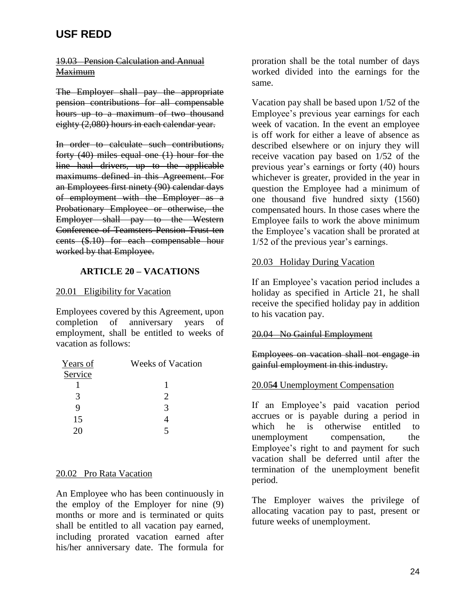### 19.03 Pension Calculation and Annual **Maximum**

The Employer shall pay the appropriate pension contributions for all compensable hours up to a maximum of two thousand eighty (2,080) hours in each calendar year.

In order to calculate such contributions, forty (40) miles equal one (1) hour for the line haul drivers, up to the applicable maximums defined in this Agreement. For an Employees first ninety (90) calendar days of employment with the Employer as a Probationary Employee or otherwise, the Employer shall pay to the Western Conference of Teamsters Pension Trust ten cents (\$.10) for each compensable hour worked by that Employee.

### **ARTICLE 20 – VACATIONS**

### 20.01 Eligibility for Vacation

Employees covered by this Agreement, upon completion of anniversary years of employment, shall be entitled to weeks of vacation as follows:

| Years of | <b>Weeks of Vacation</b>    |
|----------|-----------------------------|
| Service  |                             |
|          |                             |
| 3        | $\mathcal{D}_{\mathcal{L}}$ |
| 9        | 3                           |
| 15       |                             |
| 20       |                             |

### 20.02 Pro Rata Vacation

An Employee who has been continuously in the employ of the Employer for nine (9) months or more and is terminated or quits shall be entitled to all vacation pay earned, including prorated vacation earned after his/her anniversary date. The formula for

proration shall be the total number of days worked divided into the earnings for the same.

Vacation pay shall be based upon 1/52 of the Employee's previous year earnings for each week of vacation. In the event an employee is off work for either a leave of absence as described elsewhere or on injury they will receive vacation pay based on 1/52 of the previous year's earnings or forty (40) hours whichever is greater, provided in the year in question the Employee had a minimum of one thousand five hundred sixty (1560) compensated hours. In those cases where the Employee fails to work the above minimum the Employee's vacation shall be prorated at 1/52 of the previous year's earnings.

### 20.03 Holiday During Vacation

If an Employee's vacation period includes a holiday as specified in Article 21, he shall receive the specified holiday pay in addition to his vacation pay.

### 20.04 No Gainful Employment

Employees on vacation shall not engage in gainful employment in this industry.

### 20.05**4** Unemployment Compensation

If an Employee's paid vacation period accrues or is payable during a period in which he is otherwise entitled to unemployment compensation, the Employee's right to and payment for such vacation shall be deferred until after the termination of the unemployment benefit period.

The Employer waives the privilege of allocating vacation pay to past, present or future weeks of unemployment.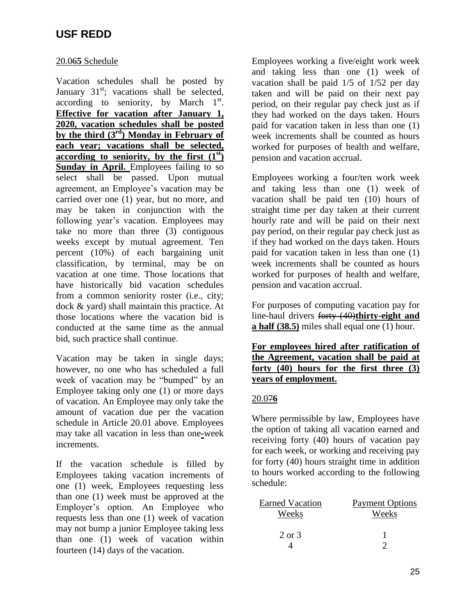## 20.06**5** Schedule

Vacation schedules shall be posted by January  $31<sup>st</sup>$ ; vacations shall be selected, according to seniority, by March  $1<sup>st</sup>$ . **Effective for vacation after January 1, 2020, vacation schedules shall be posted by the third (3rd) Monday in February of each year; vacations shall be selected, according to seniority, by the first**  $(1^{st})$ **Sunday in April.** Employees failing to so select shall be passed. Upon mutual agreement, an Employee's vacation may be carried over one (1) year, but no more, and may be taken in conjunction with the following year's vacation. Employees may take no more than three (3) contiguous weeks except by mutual agreement. Ten percent (10%) of each bargaining unit classification, by terminal, may be on vacation at one time. Those locations that have historically bid vacation schedules from a common seniority roster (i.e., city; dock & yard) shall maintain this practice. At those locations where the vacation bid is conducted at the same time as the annual bid, such practice shall continue.

Vacation may be taken in single days; however, no one who has scheduled a full week of vacation may be "bumped" by an Employee taking only one (1) or more days of vacation. An Employee may only take the amount of vacation due per the vacation schedule in Article 20.01 above. Employees may take all vacation in less than one**-**week increments.

If the vacation schedule is filled by Employees taking vacation increments of one (1) week, Employees requesting less than one (1) week must be approved at the Employer's option. An Employee who requests less than one (1) week of vacation may not bump a junior Employee taking less than one (1) week of vacation within fourteen (14) days of the vacation.

Employees working a five/eight work week and taking less than one (1) week of vacation shall be paid 1/5 of 1/52 per day taken and will be paid on their next pay period, on their regular pay check just as if they had worked on the days taken. Hours paid for vacation taken in less than one (1) week increments shall be counted as hours worked for purposes of health and welfare, pension and vacation accrual.

Employees working a four/ten work week and taking less than one (1) week of vacation shall be paid ten (10) hours of straight time per day taken at their current hourly rate and will be paid on their next pay period, on their regular pay check just as if they had worked on the days taken. Hours paid for vacation taken in less than one (1) week increments shall be counted as hours worked for purposes of health and welfare, pension and vacation accrual.

For purposes of computing vacation pay for line-haul drivers forty (40)**thirty-eight and a half (38.5)** miles shall equal one (1) hour.

**For employees hired after ratification of the Agreement, vacation shall be paid at forty (40) hours for the first three (3) years of employment.**

## 20.07**6**

Where permissible by law, Employees have the option of taking all vacation earned and receiving forty (40) hours of vacation pay for each week, or working and receiving pay for forty (40) hours straight time in addition to hours worked according to the following schedule:

| <b>Earned Vacation</b> | <b>Payment Options</b> |
|------------------------|------------------------|
| Weeks                  | Weeks                  |
| 2 or 3                 |                        |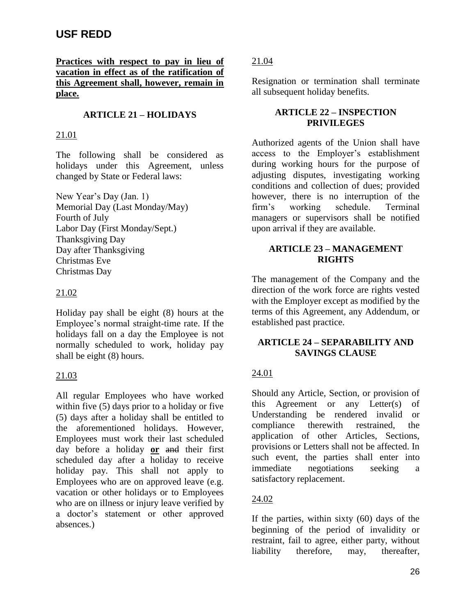**Practices with respect to pay in lieu of vacation in effect as of the ratification of this Agreement shall, however, remain in place.**

# **ARTICLE 21 – HOLIDAYS**

### 21.01

The following shall be considered as holidays under this Agreement, unless changed by State or Federal laws:

New Year's Day (Jan. 1) Memorial Day (Last Monday/May) Fourth of July Labor Day (First Monday/Sept.) Thanksgiving Day Day after Thanksgiving Christmas Eve Christmas Day

## 21.02

Holiday pay shall be eight (8) hours at the Employee's normal straight-time rate. If the holidays fall on a day the Employee is not normally scheduled to work, holiday pay shall be eight (8) hours.

## 21.03

All regular Employees who have worked within five (5) days prior to a holiday or five (5) days after a holiday shall be entitled to the aforementioned holidays. However, Employees must work their last scheduled day before a holiday **or** and their first scheduled day after a holiday to receive holiday pay. This shall not apply to Employees who are on approved leave (e.g. vacation or other holidays or to Employees who are on illness or injury leave verified by a doctor's statement or other approved absences.)

21.04

Resignation or termination shall terminate all subsequent holiday benefits.

### **ARTICLE 22 – INSPECTION PRIVILEGES**

Authorized agents of the Union shall have access to the Employer's establishment during working hours for the purpose of adjusting disputes, investigating working conditions and collection of dues; provided however, there is no interruption of the firm's working schedule. Terminal managers or supervisors shall be notified upon arrival if they are available.

# **ARTICLE 23 – MANAGEMENT RIGHTS**

The management of the Company and the direction of the work force are rights vested with the Employer except as modified by the terms of this Agreement, any Addendum, or established past practice.

## **ARTICLE 24 – SEPARABILITY AND SAVINGS CLAUSE**

## 24.01

Should any Article, Section, or provision of this Agreement or any Letter(s) of Understanding be rendered invalid or compliance therewith restrained, the application of other Articles, Sections, provisions or Letters shall not be affected. In such event, the parties shall enter into immediate negotiations seeking a satisfactory replacement.

## 24.02

If the parties, within sixty (60) days of the beginning of the period of invalidity or restraint, fail to agree, either party, without liability therefore, may, thereafter,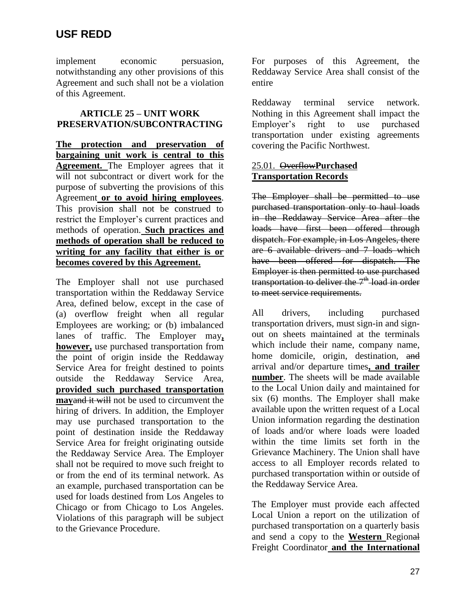implement economic persuasion, notwithstanding any other provisions of this Agreement and such shall not be a violation of this Agreement.

### **ARTICLE 25 – UNIT WORK PRESERVATION/SUBCONTRACTING**

**The protection and preservation of bargaining unit work is central to this Agreement.** The Employer agrees that it will not subcontract or divert work for the purpose of subverting the provisions of this Agreement **or to avoid hiring employees**. This provision shall not be construed to restrict the Employer's current practices and methods of operation. **Such practices and methods of operation shall be reduced to writing for any facility that either is or becomes covered by this Agreement.**

The Employer shall not use purchased transportation within the Reddaway Service Area, defined below, except in the case of (a) overflow freight when all regular Employees are working; or (b) imbalanced lanes of traffic. The Employer may**, however,** use purchased transportation from the point of origin inside the Reddaway Service Area for freight destined to points outside the Reddaway Service Area, **provided such purchased transportation may**and it will not be used to circumvent the hiring of drivers. In addition, the Employer may use purchased transportation to the point of destination inside the Reddaway Service Area for freight originating outside the Reddaway Service Area. The Employer shall not be required to move such freight to or from the end of its terminal network. As an example, purchased transportation can be used for loads destined from Los Angeles to Chicago or from Chicago to Los Angeles. Violations of this paragraph will be subject to the Grievance Procedure.

For purposes of this Agreement, the Reddaway Service Area shall consist of the entire

Reddaway terminal service network. Nothing in this Agreement shall impact the Employer's right to use purchased transportation under existing agreements covering the Pacific Northwest.

## 25.01. Overflow**Purchased Transportation Records**

The Employer shall be permitted to use purchased transportation only to haul loads in the Reddaway Service Area after the loads have first been offered through dispatch. For example, in Los Angeles, there are 6 available drivers and 7 loads which have been offered for dispatch. The Employer is then permitted to use purchased transportation to deliver the  $7<sup>th</sup>$ -load in order to meet service requirements.

All drivers, including purchased transportation drivers, must sign-in and signout on sheets maintained at the terminals which include their name, company name, home domicile, origin, destination, and arrival and/or departure times**, and trailer number**. The sheets will be made available to the Local Union daily and maintained for six (6) months. The Employer shall make available upon the written request of a Local Union information regarding the destination of loads and/or where loads were loaded within the time limits set forth in the Grievance Machinery. The Union shall have access to all Employer records related to purchased transportation within or outside of the Reddaway Service Area.

The Employer must provide each affected Local Union a report on the utilization of purchased transportation on a quarterly basis and send a copy to the **Western** Regional Freight Coordinator **and the International**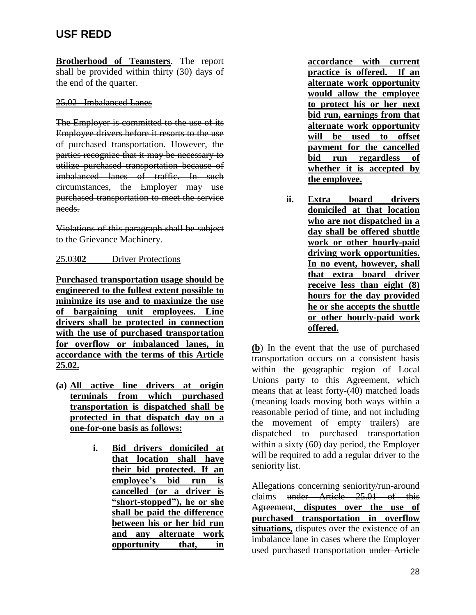**Brotherhood of Teamsters**. The report shall be provided within thirty (30) days of the end of the quarter.

### 25.02 Imbalanced Lanes

The Employer is committed to the use of its Employee drivers before it resorts to the use of purchased transportation. However, the parties recognize that it may be necessary to utilize purchased transportation because of imbalanced lanes of traffic. In such circumstances, the Employer may use purchased transportation to meet the service needs.

Violations of this paragraph shall be subject to the Grievance Machinery.

## 25.03**02** Driver Protections

**Purchased transportation usage should be engineered to the fullest extent possible to minimize its use and to maximize the use of bargaining unit employees. Line drivers shall be protected in connection with the use of purchased transportation for overflow or imbalanced lanes, in accordance with the terms of this Article 25.02.**

- **(a) All active line drivers at origin terminals from which purchased transportation is dispatched shall be protected in that dispatch day on a one-for-one basis as follows:**
	- **i. Bid drivers domiciled at that location shall have their bid protected. If an employee's bid run is cancelled (or a driver is "short-stopped"), he or she shall be paid the difference between his or her bid run and any alternate work opportunity that, in**

**accordance with current practice is offered. If an alternate work opportunity would allow the employee to protect his or her next bid run, earnings from that alternate work opportunity will be used to offset payment for the cancelled bid run regardless of whether it is accepted by the employee.**

**ii. Extra board drivers domiciled at that location who are not dispatched in a day shall be offered shuttle work or other hourly-paid driving work opportunities. In no event, however, shall that extra board driver receive less than eight (8) hours for the day provided he or she accepts the shuttle or other hourly-paid work offered.**

**(b**) In the event that the use of purchased transportation occurs on a consistent basis within the geographic region of Local Unions party to this Agreement, which means that at least forty-(40) matched loads (meaning loads moving both ways within a reasonable period of time, and not including the movement of empty trailers) are dispatched to purchased transportation within a sixty (60) day period, the Employer will be required to add a regular driver to the seniority list.

Allegations concerning seniority/run-around claims under Article 25.01 of this Agreement, **disputes over the use of purchased transportation in overflow situations,** disputes over the existence of an imbalance lane in cases where the Employer used purchased transportation under Article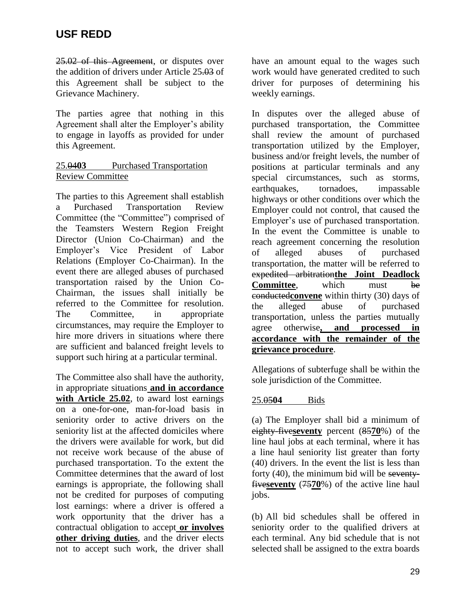25.02 of this Agreement, or disputes over the addition of drivers under Article 25.03 of this Agreement shall be subject to the Grievance Machinery.

The parties agree that nothing in this Agreement shall alter the Employer's ability to engage in layoffs as provided for under this Agreement.

### 25.04**03** Purchased Transportation Review Committee

The parties to this Agreement shall establish a Purchased Transportation Review Committee (the "Committee") comprised of the Teamsters Western Region Freight Director (Union Co-Chairman) and the Employer's Vice President of Labor Relations (Employer Co-Chairman). In the event there are alleged abuses of purchased transportation raised by the Union Co-Chairman, the issues shall initially be referred to the Committee for resolution. The Committee, in appropriate circumstances, may require the Employer to hire more drivers in situations where there are sufficient and balanced freight levels to support such hiring at a particular terminal.

The Committee also shall have the authority, in appropriate situations **and in accordance with Article 25.02**, to award lost earnings on a one-for-one, man-for-load basis in seniority order to active drivers on the seniority list at the affected domiciles where the drivers were available for work, but did not receive work because of the abuse of purchased transportation. To the extent the Committee determines that the award of lost earnings is appropriate, the following shall not be credited for purposes of computing lost earnings: where a driver is offered a work opportunity that the driver has a contractual obligation to accept **or involves other driving duties**, and the driver elects not to accept such work, the driver shall

have an amount equal to the wages such work would have generated credited to such driver for purposes of determining his weekly earnings.

In disputes over the alleged abuse of purchased transportation, the Committee shall review the amount of purchased transportation utilized by the Employer, business and/or freight levels, the number of positions at particular terminals and any special circumstances, such as storms, earthquakes, tornadoes, impassable highways or other conditions over which the Employer could not control, that caused the Employer's use of purchased transportation. In the event the Committee is unable to reach agreement concerning the resolution of alleged abuses of purchased transportation, the matter will be referred to expedited arbitration**the Joint Deadlock Committee.** which must be conducted**convene** within thirty (30) days of the alleged abuse of purchased transportation, unless the parties mutually agree otherwise**, and processed in accordance with the remainder of the grievance procedure**.

Allegations of subterfuge shall be within the sole jurisdiction of the Committee.

## 25.05**04** Bids

(a) The Employer shall bid a minimum of eighty-five**seventy** percent (85**70**%) of the line haul jobs at each terminal, where it has a line haul seniority list greater than forty (40) drivers. In the event the list is less than forty (40), the minimum bid will be seventyfive**seventy** (75**70**%) of the active line haul jobs.

(b) All bid schedules shall be offered in seniority order to the qualified drivers at each terminal. Any bid schedule that is not selected shall be assigned to the extra boards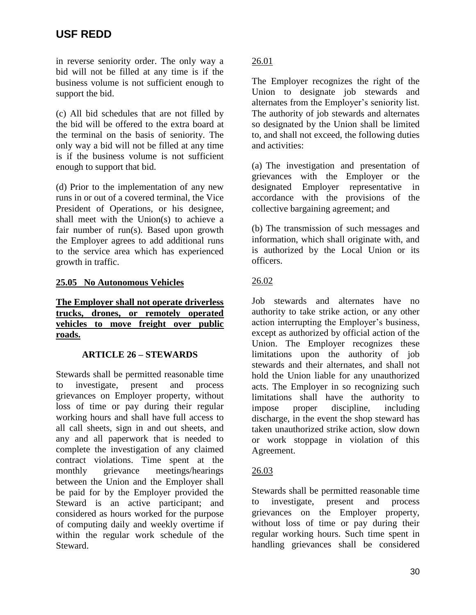in reverse seniority order. The only way a bid will not be filled at any time is if the business volume is not sufficient enough to support the bid.

(c) All bid schedules that are not filled by the bid will be offered to the extra board at the terminal on the basis of seniority. The only way a bid will not be filled at any time is if the business volume is not sufficient enough to support that bid.

(d) Prior to the implementation of any new runs in or out of a covered terminal, the Vice President of Operations, or his designee, shall meet with the Union(s) to achieve a fair number of run(s). Based upon growth the Employer agrees to add additional runs to the service area which has experienced growth in traffic.

# **25.05 No Autonomous Vehicles**

### **The Employer shall not operate driverless trucks, drones, or remotely operated vehicles to move freight over public roads.**

## **ARTICLE 26 – STEWARDS**

Stewards shall be permitted reasonable time to investigate, present and process grievances on Employer property, without loss of time or pay during their regular working hours and shall have full access to all call sheets, sign in and out sheets, and any and all paperwork that is needed to complete the investigation of any claimed contract violations. Time spent at the monthly grievance meetings/hearings between the Union and the Employer shall be paid for by the Employer provided the Steward is an active participant; and considered as hours worked for the purpose of computing daily and weekly overtime if within the regular work schedule of the Steward.

# 26.01

The Employer recognizes the right of the Union to designate job stewards and alternates from the Employer's seniority list. The authority of job stewards and alternates so designated by the Union shall be limited to, and shall not exceed, the following duties and activities:

(a) The investigation and presentation of grievances with the Employer or the designated Employer representative in accordance with the provisions of the collective bargaining agreement; and

(b) The transmission of such messages and information, which shall originate with, and is authorized by the Local Union or its officers.

## 26.02

Job stewards and alternates have no authority to take strike action, or any other action interrupting the Employer's business, except as authorized by official action of the Union. The Employer recognizes these limitations upon the authority of job stewards and their alternates, and shall not hold the Union liable for any unauthorized acts. The Employer in so recognizing such limitations shall have the authority to impose proper discipline, including discharge, in the event the shop steward has taken unauthorized strike action, slow down or work stoppage in violation of this Agreement.

## 26.03

Stewards shall be permitted reasonable time to investigate, present and process grievances on the Employer property, without loss of time or pay during their regular working hours. Such time spent in handling grievances shall be considered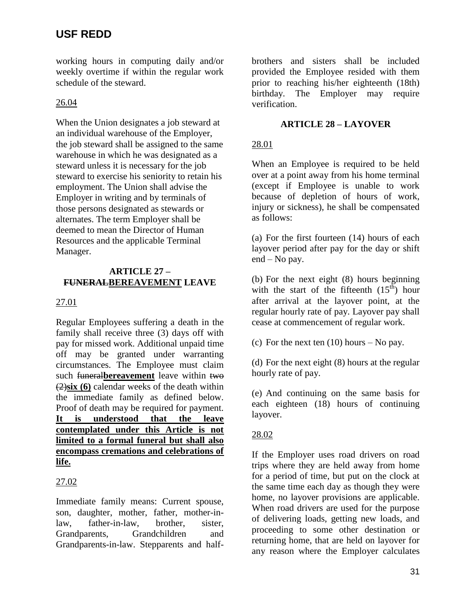working hours in computing daily and/or weekly overtime if within the regular work schedule of the steward.

# 26.04

When the Union designates a job steward at an individual warehouse of the Employer, the job steward shall be assigned to the same warehouse in which he was designated as a steward unless it is necessary for the job steward to exercise his seniority to retain his employment. The Union shall advise the Employer in writing and by terminals of those persons designated as stewards or alternates. The term Employer shall be deemed to mean the Director of Human Resources and the applicable Terminal Manager.

### **ARTICLE 27 – FUNERALBEREAVEMENT LEAVE**

# 27.01

Regular Employees suffering a death in the family shall receive three (3) days off with pay for missed work. Additional unpaid time off may be granted under warranting circumstances. The Employee must claim such funeral**bereavement** leave within two (2)**six (6)** calendar weeks of the death within the immediate family as defined below. Proof of death may be required for payment. **It is understood that the leave contemplated under this Article is not limited to a formal funeral but shall also encompass cremations and celebrations of life.**

# 27.02

Immediate family means: Current spouse, son, daughter, mother, father, mother-inlaw, father-in-law, brother, sister, Grandparents, Grandchildren and Grandparents-in-law. Stepparents and halfbrothers and sisters shall be included provided the Employee resided with them prior to reaching his/her eighteenth (18th) birthday. The Employer may require verification.

# **ARTICLE 28 – LAYOVER**

# 28.01

When an Employee is required to be held over at a point away from his home terminal (except if Employee is unable to work because of depletion of hours of work, injury or sickness), he shall be compensated as follows:

(a) For the first fourteen (14) hours of each layover period after pay for the day or shift end – No pay.

(b) For the next eight (8) hours beginning with the start of the fifteenth  $(15<sup>th</sup>)$  hour after arrival at the layover point, at the regular hourly rate of pay. Layover pay shall cease at commencement of regular work.

(c) For the next ten  $(10)$  hours – No pay.

(d) For the next eight (8) hours at the regular hourly rate of pay.

(e) And continuing on the same basis for each eighteen (18) hours of continuing layover.

# 28.02

If the Employer uses road drivers on road trips where they are held away from home for a period of time, but put on the clock at the same time each day as though they were home, no layover provisions are applicable. When road drivers are used for the purpose of delivering loads, getting new loads, and proceeding to some other destination or returning home, that are held on layover for any reason where the Employer calculates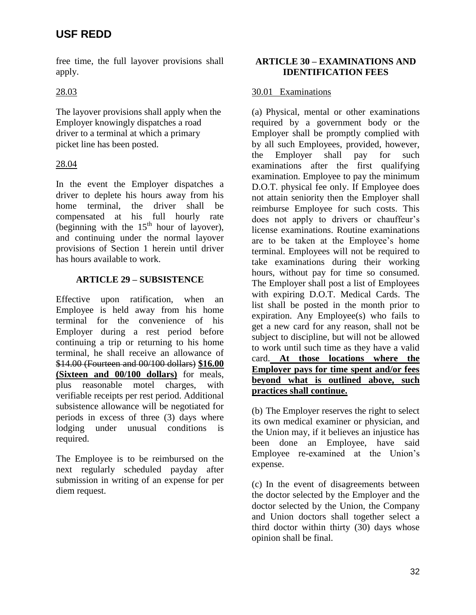free time, the full layover provisions shall apply.

# 28.03

The layover provisions shall apply when the Employer knowingly dispatches a road driver to a terminal at which a primary picket line has been posted.

# 28.04

In the event the Employer dispatches a driver to deplete his hours away from his home terminal, the driver shall be compensated at his full hourly rate (beginning with the  $15<sup>th</sup>$  hour of layover). and continuing under the normal layover provisions of Section 1 herein until driver has hours available to work.

# **ARTICLE 29 – SUBSISTENCE**

Effective upon ratification, when an Employee is held away from his home terminal for the convenience of his Employer during a rest period before continuing a trip or returning to his home terminal, he shall receive an allowance of \$14.00 (Fourteen and 00/100 dollars) **\$16.00 (Sixteen and 00/100 dollars)** for meals, plus reasonable motel charges, with verifiable receipts per rest period. Additional subsistence allowance will be negotiated for periods in excess of three (3) days where lodging under unusual conditions is required.

The Employee is to be reimbursed on the next regularly scheduled payday after submission in writing of an expense for per diem request.

## **ARTICLE 30 – EXAMINATIONS AND IDENTIFICATION FEES**

# 30.01 Examinations

(a) Physical, mental or other examinations required by a government body or the Employer shall be promptly complied with by all such Employees, provided, however, the Employer shall pay for such examinations after the first qualifying examination. Employee to pay the minimum D.O.T. physical fee only. If Employee does not attain seniority then the Employer shall reimburse Employee for such costs. This does not apply to drivers or chauffeur's license examinations. Routine examinations are to be taken at the Employee's home terminal. Employees will not be required to take examinations during their working hours, without pay for time so consumed. The Employer shall post a list of Employees with expiring D.O.T. Medical Cards. The list shall be posted in the month prior to expiration. Any Employee(s) who fails to get a new card for any reason, shall not be subject to discipline, but will not be allowed to work until such time as they have a valid card. **At those locations where the Employer pays for time spent and/or fees beyond what is outlined above, such practices shall continue.**

(b) The Employer reserves the right to select its own medical examiner or physician, and the Union may, if it believes an injustice has been done an Employee, have said Employee re-examined at the Union's expense.

(c) In the event of disagreements between the doctor selected by the Employer and the doctor selected by the Union, the Company and Union doctors shall together select a third doctor within thirty (30) days whose opinion shall be final.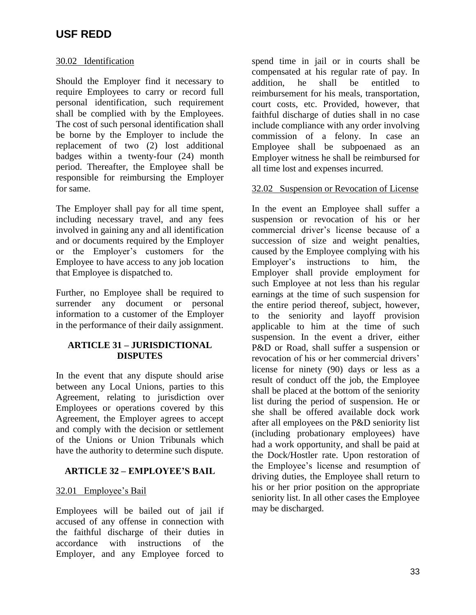### 30.02 Identification

Should the Employer find it necessary to require Employees to carry or record full personal identification, such requirement shall be complied with by the Employees. The cost of such personal identification shall be borne by the Employer to include the replacement of two (2) lost additional badges within a twenty-four (24) month period. Thereafter, the Employee shall be responsible for reimbursing the Employer for same.

The Employer shall pay for all time spent, including necessary travel, and any fees involved in gaining any and all identification and or documents required by the Employer or the Employer's customers for the Employee to have access to any job location that Employee is dispatched to.

Further, no Employee shall be required to surrender any document or personal information to a customer of the Employer in the performance of their daily assignment.

### **ARTICLE 31 – JURISDICTIONAL DISPUTES**

In the event that any dispute should arise between any Local Unions, parties to this Agreement, relating to jurisdiction over Employees or operations covered by this Agreement, the Employer agrees to accept and comply with the decision or settlement of the Unions or Union Tribunals which have the authority to determine such dispute.

## **ARTICLE 32 – EMPLOYEE'S BAIL**

### 32.01 Employee's Bail

Employees will be bailed out of jail if accused of any offense in connection with the faithful discharge of their duties in accordance with instructions of the Employer, and any Employee forced to

spend time in jail or in courts shall be compensated at his regular rate of pay. In addition, he shall be entitled to reimbursement for his meals, transportation, court costs, etc. Provided, however, that faithful discharge of duties shall in no case include compliance with any order involving commission of a felony. In case an Employee shall be subpoenaed as an Employer witness he shall be reimbursed for all time lost and expenses incurred.

### 32.02 Suspension or Revocation of License

In the event an Employee shall suffer a suspension or revocation of his or her commercial driver's license because of a succession of size and weight penalties, caused by the Employee complying with his Employer's instructions to him, the Employer shall provide employment for such Employee at not less than his regular earnings at the time of such suspension for the entire period thereof, subject, however, to the seniority and layoff provision applicable to him at the time of such suspension. In the event a driver, either P&D or Road, shall suffer a suspension or revocation of his or her commercial drivers' license for ninety (90) days or less as a result of conduct off the job, the Employee shall be placed at the bottom of the seniority list during the period of suspension. He or she shall be offered available dock work after all employees on the P&D seniority list (including probationary employees) have had a work opportunity, and shall be paid at the Dock/Hostler rate. Upon restoration of the Employee's license and resumption of driving duties, the Employee shall return to his or her prior position on the appropriate seniority list. In all other cases the Employee may be discharged.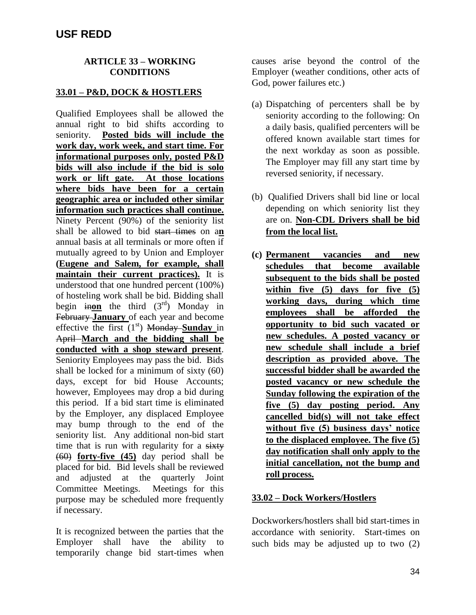### **ARTICLE 33 – WORKING CONDITIONS**

### **33.01 – P&D, DOCK & HOSTLERS**

Qualified Employees shall be allowed the annual right to bid shifts according to seniority. **Posted bids will include the work day, work week, and start time. For informational purposes only, posted P&D bids will also include if the bid is solo work or lift gate. At those locations where bids have been for a certain geographic area or included other similar information such practices shall continue.** Ninety Percent (90%) of the seniority list shall be allowed to bid start times on a**n** annual basis at all terminals or more often if mutually agreed to by Union and Employer **(Eugene and Salem, for example, shall maintain their current practices).** It is understood that one hundred percent (100%) of hosteling work shall be bid. Bidding shall begin inon the third  $(3<sup>rd</sup>)$  Monday in February **January** of each year and become effective the first  $(1<sup>st</sup>)$  **Monday Sunday** in April **March and the bidding shall be conducted with a shop steward present**. Seniority Employees may pass the bid. Bids shall be locked for a minimum of sixty (60) days, except for bid House Accounts; however, Employees may drop a bid during this period. If a bid start time is eliminated by the Employer, any displaced Employee may bump through to the end of the seniority list. Any additional non-bid start time that is run with regularity for a sixty (60) **forty-five (45)** day period shall be placed for bid. Bid levels shall be reviewed and adjusted at the quarterly Joint Committee Meetings. Meetings for this purpose may be scheduled more frequently if necessary.

It is recognized between the parties that the Employer shall have the ability to temporarily change bid start-times when causes arise beyond the control of the Employer (weather conditions, other acts of God, power failures etc.)

- (a) Dispatching of percenters shall be by seniority according to the following: On a daily basis, qualified percenters will be offered known available start times for the next workday as soon as possible. The Employer may fill any start time by reversed seniority, if necessary.
- (b) Qualified Drivers shall bid line or local depending on which seniority list they are on. **Non-CDL Drivers shall be bid from the local list.**
- **(c) Permanent vacancies and new schedules that become available subsequent to the bids shall be posted within five (5) days for five (5) working days, during which time employees shall be afforded the opportunity to bid such vacated or new schedules. A posted vacancy or new schedule shall include a brief description as provided above. The successful bidder shall be awarded the posted vacancy or new schedule the Sunday following the expiration of the five (5) day posting period. Any cancelled bid(s) will not take effect without five (5) business days' notice to the displaced employee. The five (5) day notification shall only apply to the initial cancellation, not the bump and roll process.**

### **33.02 – Dock Workers/Hostlers**

Dockworkers/hostlers shall bid start-times in accordance with seniority. Start-times on such bids may be adjusted up to two (2)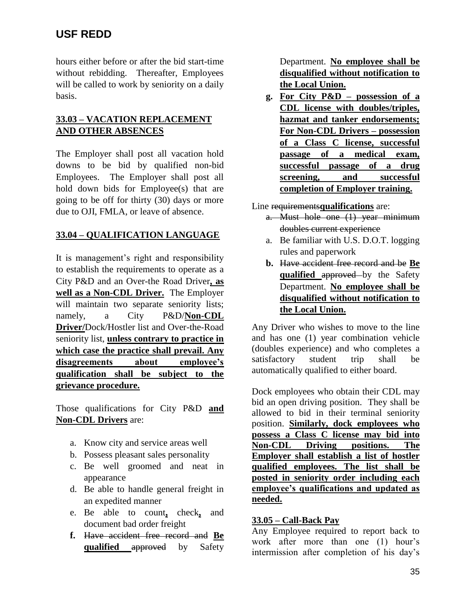hours either before or after the bid start-time without rebidding. Thereafter, Employees will be called to work by seniority on a daily basis.

# **33.03 – VACATION REPLACEMENT AND OTHER ABSENCES**

The Employer shall post all vacation hold downs to be bid by qualified non-bid Employees. The Employer shall post all hold down bids for Employee(s) that are going to be off for thirty (30) days or more due to OJI, FMLA, or leave of absence.

# **33.04 – QUALIFICATION LANGUAGE**

It is management's right and responsibility to establish the requirements to operate as a City P&D and an Over-the Road Driver**, as well as a Non-CDL Driver.** The Employer will maintain two separate seniority lists; namely, a City P&D/**Non-CDL Driver/**Dock/Hostler list and Over-the-Road seniority list, **unless contrary to practice in which case the practice shall prevail. Any disagreements about employee's qualification shall be subject to the grievance procedure.** 

Those qualifications for City P&D **and Non-CDL Drivers** are:

- a. Know city and service areas well
- b. Possess pleasant sales personality
- c. Be well groomed and neat in appearance
- d. Be able to handle general freight in an expedited manner
- e. Be able to count**,** check**,** and document bad order freight
- **f.** Have accident free record and **Be qualified** approved by Safety

Department. **No employee shall be disqualified without notification to the Local Union.**

**g. For City P&D – possession of a CDL license with doubles/triples, hazmat and tanker endorsements; For Non-CDL Drivers – possession of a Class C license, successful passage of a medical exam, successful passage of a drug screening, and successful completion of Employer training.**

Line requirements**qualifications** are:

- a. Must hole one (1) year minimum doubles current experience
- a. Be familiar with U.S. D.O.T. logging rules and paperwork
- **b.** Have accident free record and be **Be qualified** approved by the Safety Department. **No employee shall be disqualified without notification to the Local Union.**

Any Driver who wishes to move to the line and has one (1) year combination vehicle (doubles experience) and who completes a satisfactory student trip shall be automatically qualified to either board.

Dock employees who obtain their CDL may bid an open driving position. They shall be allowed to bid in their terminal seniority position. **Similarly, dock employees who possess a Class C license may bid into Non-CDL Driving positions. The Employer shall establish a list of hostler qualified employees. The list shall be posted in seniority order including each employee's qualifications and updated as needed.**

## **33.05 – Call-Back Pay**

Any Employee required to report back to work after more than one (1) hour's intermission after completion of his day's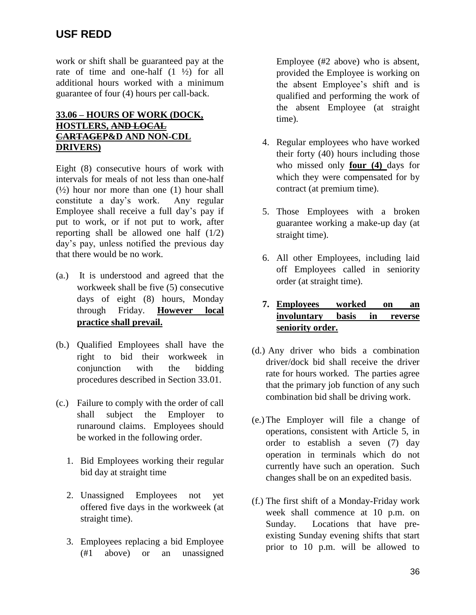work or shift shall be guaranteed pay at the rate of time and one-half (1 ½) for all additional hours worked with a minimum guarantee of four (4) hours per call-back.

## **33.06 – HOURS OF WORK (DOCK, HOSTLERS, AND LOCAL CARTAGEP&D AND NON-CDL DRIVERS)**

Eight (8) consecutive hours of work with intervals for meals of not less than one-half  $(½)$  hour nor more than one  $(1)$  hour shall constitute a day's work. Any regular Employee shall receive a full day's pay if put to work, or if not put to work, after reporting shall be allowed one half (1/2) day's pay, unless notified the previous day that there would be no work.

- (a.) It is understood and agreed that the workweek shall be five (5) consecutive days of eight (8) hours, Monday through Friday. **However local practice shall prevail.**
- (b.) Qualified Employees shall have the right to bid their workweek in conjunction with the bidding procedures described in Section 33.01.
- (c.) Failure to comply with the order of call shall subject the Employer to runaround claims. Employees should be worked in the following order.
	- 1. Bid Employees working their regular bid day at straight time
	- 2. Unassigned Employees not yet offered five days in the workweek (at straight time).
	- 3. Employees replacing a bid Employee (#1 above) or an unassigned

Employee (#2 above) who is absent, provided the Employee is working on the absent Employee's shift and is qualified and performing the work of the absent Employee (at straight time).

- 4. Regular employees who have worked their forty (40) hours including those who missed only **four (4)** days for which they were compensated for by contract (at premium time).
- 5. Those Employees with a broken guarantee working a make-up day (at straight time).
- 6. All other Employees, including laid off Employees called in seniority order (at straight time).
- **7. Employees worked on an involuntary basis in reverse seniority order.**
- (d.) Any driver who bids a combination driver/dock bid shall receive the driver rate for hours worked. The parties agree that the primary job function of any such combination bid shall be driving work.
- (e.)The Employer will file a change of operations, consistent with Article 5, in order to establish a seven (7) day operation in terminals which do not currently have such an operation. Such changes shall be on an expedited basis.
- (f.) The first shift of a Monday-Friday work week shall commence at 10 p.m. on Sunday. Locations that have preexisting Sunday evening shifts that start prior to 10 p.m. will be allowed to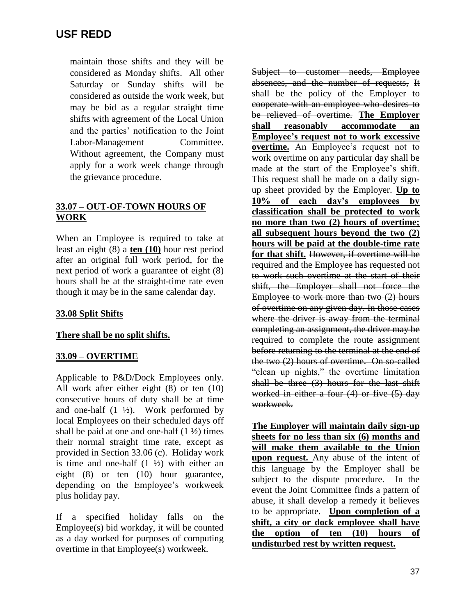maintain those shifts and they will be considered as Monday shifts. All other Saturday or Sunday shifts will be considered as outside the work week, but may be bid as a regular straight time shifts with agreement of the Local Union and the parties' notification to the Joint Labor-Management Committee. Without agreement, the Company must apply for a work week change through the grievance procedure.

# **33.07 – OUT-OF-TOWN HOURS OF WORK**

When an Employee is required to take at least an eight (8) a **ten (10)** hour rest period after an original full work period, for the next period of work a guarantee of eight (8) hours shall be at the straight-time rate even though it may be in the same calendar day.

## **33.08 Split Shifts**

## **There shall be no split shifts.**

## **33.09 – OVERTIME**

Applicable to P&D/Dock Employees only. All work after either eight (8) or ten (10) consecutive hours of duty shall be at time and one-half  $(1 \frac{1}{2})$ . Work performed by local Employees on their scheduled days off shall be paid at one and one-half  $(1 \frac{1}{2})$  times their normal straight time rate, except as provided in Section 33.06 (c). Holiday work is time and one-half  $(1 \frac{1}{2})$  with either an eight (8) or ten (10) hour guarantee, depending on the Employee's workweek plus holiday pay.

If a specified holiday falls on the Employee(s) bid workday, it will be counted as a day worked for purposes of computing overtime in that Employee(s) workweek.

Subject to customer needs, Employee absences, and the number of requests, It shall be the policy of the Employer to cooperate with an employee who desires to be relieved of overtime. **The Employer shall reasonably accommodate an Employee's request not to work excessive overtime.** An Employee's request not to work overtime on any particular day shall be made at the start of the Employee's shift. This request shall be made on a daily signup sheet provided by the Employer. **Up to 10% of each day's employees by classification shall be protected to work no more than two (2) hours of overtime; all subsequent hours beyond the two (2) hours will be paid at the double-time rate for that shift.** However, if overtime will be required and the Employee has requested not to work such overtime at the start of their shift, the Employer shall not force the Employee to work more than two (2) hours of overtime on any given day. In those cases where the driver is away from the terminal completing an assignment, the driver may be required to complete the route assignment before returning to the terminal at the end of the two (2) hours of overtime. On so-called "clean up nights," the overtime limitation shall be three (3) hours for the last shift worked in either a four (4) or five (5) day workweek.

**The Employer will maintain daily sign-up sheets for no less than six (6) months and will make them available to the Union upon request.** Any abuse of the intent of this language by the Employer shall be subject to the dispute procedure. In the event the Joint Committee finds a pattern of abuse, it shall develop a remedy it believes to be appropriate. **Upon completion of a shift, a city or dock employee shall have the option of ten (10) hours of undisturbed rest by written request.**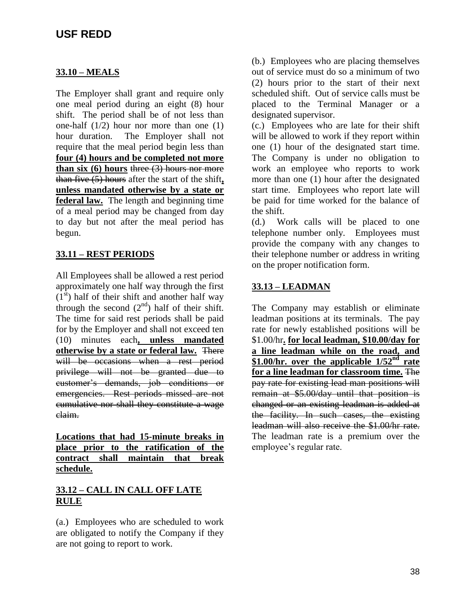### **33.10 – MEALS**

The Employer shall grant and require only one meal period during an eight (8) hour shift. The period shall be of not less than one-half (1/2) hour nor more than one (1) hour duration. The Employer shall not require that the meal period begin less than **four (4) hours and be completed not more than six (6) hours** three (3) hours nor more than five (5) hours after the start of the shift**, unless mandated otherwise by a state or federal law.** The length and beginning time of a meal period may be changed from day to day but not after the meal period has begun.

## **33.11 – REST PERIODS**

All Employees shall be allowed a rest period approximately one half way through the first  $(1<sup>st</sup>)$  half of their shift and another half way through the second  $(2<sup>nd</sup>)$  half of their shift. The time for said rest periods shall be paid for by the Employer and shall not exceed ten (10) minutes each**, unless mandated otherwise by a state or federal law.** There will be occasions when a rest period privilege will not be granted due to customer's demands, job conditions or emergencies. Rest periods missed are not cumulative nor shall they constitute a wage claim.

**Locations that had 15-minute breaks in place prior to the ratification of the contract shall maintain that break schedule.** 

### **33.12 – CALL IN CALL OFF LATE RULE**

(a.) Employees who are scheduled to work are obligated to notify the Company if they are not going to report to work.

(b.) Employees who are placing themselves out of service must do so a minimum of two (2) hours prior to the start of their next scheduled shift. Out of service calls must be placed to the Terminal Manager or a designated supervisor.

(c.) Employees who are late for their shift will be allowed to work if they report within one (1) hour of the designated start time. The Company is under no obligation to work an employee who reports to work more than one (1) hour after the designated start time. Employees who report late will be paid for time worked for the balance of the shift.

(d.) Work calls will be placed to one telephone number only. Employees must provide the company with any changes to their telephone number or address in writing on the proper notification form.

## **33.13 – LEADMAN**

The Company may establish or eliminate leadman positions at its terminals. The pay rate for newly established positions will be \$1.00/hr**. for local leadman, \$10.00/day for a line leadman while on the road, and \$1.00/hr. over the applicable 1/52nd rate for a line leadman for classroom time.** The pay rate for existing lead man positions will remain at \$5.00/day until that position is changed or an existing leadman is added at the facility. In such cases, the existing leadman will also receive the \$1.00/hr rate. The leadman rate is a premium over the employee's regular rate.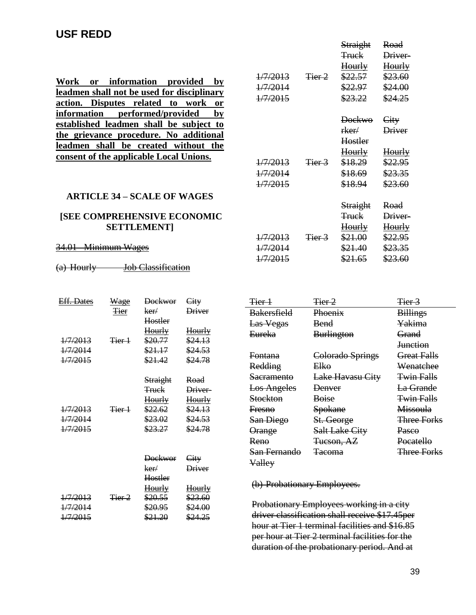**Work or information provided by leadmen shall not be used for disciplinary action. Disputes related to work or information performed/provided by established leadmen shall be subject to the grievance procedure. No additional leadmen shall be created without the consent of the applicable Local Unions.**

### **ARTICLE 34 – SCALE OF WAGES**

### **[SEE COMPREHENSIVE ECONOMIC SETTLEMENT]**

#### 34.01 Minimum Wages

(a) Hourly **Job Classification** 

| <b>Eff. Dates</b>   | Wage              | <b>Dockwor</b>   | City               |
|---------------------|-------------------|------------------|--------------------|
|                     | <b>Tier</b>       | ker/             | Driver             |
|                     |                   | Hostler          |                    |
|                     |                   | Hourly           | <u>Hourly</u>      |
| $\frac{1}{7}{2013}$ | <del>Tier 1</del> | \$20.77          | \$24.13            |
| 1/7/2014            |                   | \$21.17          | \$24.53            |
| <del>1/7/2015</del> |                   | \$21.42          | <del>\$24.78</del> |
|                     |                   |                  |                    |
|                     |                   | Straight         | Road               |
|                     |                   | <del>Truck</del> | Driver-            |
|                     |                   | Hourly           | <u>Hourly</u>      |
| 1/7/2013            | <del>Tier 1</del> | <u>\$22.62</u>   | \$24.13            |
| 1/7/2014            |                   | \$23.02          | \$24.53            |
| 1/7/2015            |                   | \$23.27          | \$24.78            |
|                     |                   |                  |                    |
|                     |                   |                  |                    |
|                     |                   | <b>Dockwor</b>   | City               |
|                     |                   | ker/             | <b>Driver</b>      |
|                     |                   | Hostler          |                    |
|                     |                   | Hourly           | <u>Hourly</u>      |
| 1/7/2013            | <del>Tier 2</del> | \$20.55          | \$23.60            |
| <del>1/7/2014</del> |                   | \$20.95          | \$24.00            |
| $\frac{1}{7}{2015}$ |                   | \$21.20          | \$24.25            |

|                     |                   | <b>Straight</b>    | Road               |
|---------------------|-------------------|--------------------|--------------------|
|                     |                   | <del>Truck</del>   | Driver-            |
|                     |                   | Hourly             | Hourly             |
| 1/7/2013            | Tier 2            | \$22.57            | \$23.60            |
| 1/7/2014            |                   | \$22.97            | \$24.00            |
| 1/7/2015            |                   | \$23.22            | \$24.25            |
|                     |                   | <b>Dockwo</b>      | City               |
|                     |                   | rker/              | <b>Driver</b>      |
|                     |                   | Hostler            |                    |
|                     |                   | <del>Hourly</del>  | Hourly             |
| 1/7/2013            | <del>Tier 3</del> | \$18.29            | <u>\$22.95</u>     |
| 1/7/2014            |                   | \$18.69            | \$23.35            |
| $\frac{1}{7}{2015}$ |                   | \$18.94            | \$23.60            |
|                     |                   |                    |                    |
|                     |                   | <b>Straight</b>    | Road               |
|                     |                   | <del>Truck</del>   | Driver-            |
|                     |                   | <u>Hourly</u>      | <u>Hourly</u>      |
| 1/7/2013            | <del>Tier 3</del> | \$21.00            | \$22.95            |
| <del>1/7/2014</del> |                   | \$21.40            | <del>\$23.35</del> |
| <del>1/7/2015</del> |                   | <del>\$21.65</del> | \$23.60            |

| Tier 1             | Tier 2                | Tier <sub>3</sub>  |
|--------------------|-----------------------|--------------------|
| <b>Bakersfield</b> | Phoenix               | <b>Billings</b>    |
| Las Vegas          | <b>Bend</b>           | Yakima             |
| <b>Eureka</b>      | <b>Burlington</b>     | Grand              |
|                    |                       | <b>Junction</b>    |
| <del>Fontana</del> | Colorado Springs      | <b>Great Falls</b> |
| Redding            | Elko                  | Wenatchee          |
| Sacramento         | Lake Havasu City      | <b>Twin Falls</b>  |
| <b>Los Angeles</b> | <b>Denver</b>         | La Grande          |
| <b>Stockton</b>    | <b>Boise</b>          | <b>Twin Falls</b>  |
| <b>Fresno</b>      | <b>Spokane</b>        | <b>Missoula</b>    |
| San Diego          | St. George            | <b>Three Forks</b> |
| <b>Orange</b>      | <b>Salt Lake City</b> | <b>Pasco</b>       |
| Reno               | Tueson, AZ            | Pocatello          |
| San Fernando       | <del>Tacoma</del>     | <b>Three Forks</b> |
| Valley             |                       |                    |

(b) Probationary Employees.

Probationary Employees working in a city driver classification shall receive \$17.45per hour at Tier 1 terminal facilities and \$16.85 per hour at Tier 2 terminal facilities for the duration of the probationary period. And at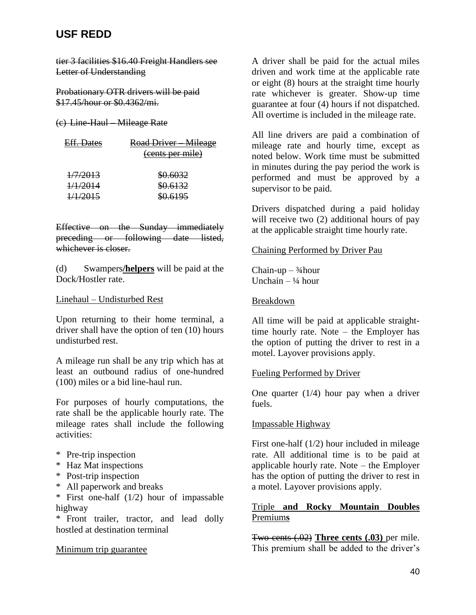tier 3 facilities \$16.40 Freight Handlers see Letter of Understanding

Probationary OTR drivers will be paid \$17.45/hour or \$0.4362/mi.

### (c) Line-Haul – Mileage Rate

| <del>Eff. Dates</del> | Road Driver Mileage<br>(cents per mile) |
|-----------------------|-----------------------------------------|
| 1/7/2013              | \$0.6032                                |
| <del>1/1/2014</del>   | \$0.6132                                |
| <del>1/1/2015</del>   | \$0.6195                                |

Effective on the Sunday immediately preceding or following date listed, whichever is closer.

(d) Swampers**/helpers** will be paid at the Dock/Hostler rate.

### Linehaul – Undisturbed Rest

Upon returning to their home terminal, a driver shall have the option of ten (10) hours undisturbed rest.

A mileage run shall be any trip which has at least an outbound radius of one-hundred (100) miles or a bid line-haul run.

For purposes of hourly computations, the rate shall be the applicable hourly rate. The mileage rates shall include the following activities:

- \* Pre-trip inspection
- \* Haz Mat inspections
- \* Post-trip inspection
- \* All paperwork and breaks
- \* First one-half (1/2) hour of impassable highway

\* Front trailer, tractor, and lead dolly hostled at destination terminal

### Minimum trip guarantee

A driver shall be paid for the actual miles driven and work time at the applicable rate or eight (8) hours at the straight time hourly rate whichever is greater. Show-up time guarantee at four (4) hours if not dispatched. All overtime is included in the mileage rate.

All line drivers are paid a combination of mileage rate and hourly time, except as noted below. Work time must be submitted in minutes during the pay period the work is performed and must be approved by a supervisor to be paid.

Drivers dispatched during a paid holiday will receive two (2) additional hours of pay at the applicable straight time hourly rate.

### Chaining Performed by Driver Pau

Chain-up  $\frac{3}{4}$ hour Unchain  $-$  <sup>1</sup>/4 hour

### Breakdown

All time will be paid at applicable straighttime hourly rate. Note – the Employer has the option of putting the driver to rest in a motel. Layover provisions apply.

### Fueling Performed by Driver

One quarter  $(1/4)$  hour pay when a driver fuels.

### Impassable Highway

First one-half (1/2) hour included in mileage rate. All additional time is to be paid at applicable hourly rate. Note – the Employer has the option of putting the driver to rest in a motel. Layover provisions apply.

## Triple **and Rocky Mountain Doubles**  Premium**s**

Two cents (.02) **Three cents (.03)** per mile. This premium shall be added to the driver's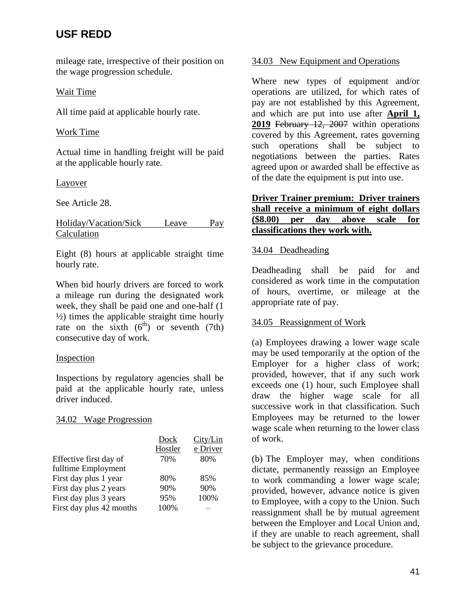mileage rate, irrespective of their position on the wage progression schedule.

### Wait Time

All time paid at applicable hourly rate.

### Work Time

Actual time in handling freight will be paid at the applicable hourly rate.

### Layover

See Article 28.

### Holiday/Vacation/Sick Leave Pay Calculation

Eight (8) hours at applicable straight time hourly rate.

When bid hourly drivers are forced to work a mileage run during the designated work week, they shall be paid one and one-half (1 ½) times the applicable straight time hourly rate on the sixth  $(6<sup>th</sup>)$  or seventh (7th) consecutive day of work.

## Inspection

Inspections by regulatory agencies shall be paid at the applicable hourly rate, unless driver induced.

### 34.02 Wage Progression

|                          | Dock    | City/Lin |
|--------------------------|---------|----------|
|                          | Hostler | e Driver |
| Effective first day of   | 70%     | 80%      |
| fulltime Employment      |         |          |
| First day plus 1 year    | 80%     | 85%      |
| First day plus 2 years   | 90%     | 90%      |
| First day plus 3 years   | 95%     | 100%     |
| First day plus 42 months | 100%    |          |

# 34.03 New Equipment and Operations

Where new types of equipment and/or operations are utilized, for which rates of pay are not established by this Agreement, and which are put into use after **April 1, 2019** February 12, 2007 within operations covered by this Agreement, rates governing such operations shall be subject to negotiations between the parties. Rates agreed upon or awarded shall be effective as of the date the equipment is put into use.

## **Driver Trainer premium: Driver trainers shall receive a minimum of eight dollars (\$8.00) per day above scale for classifications they work with.**

### 34.04 Deadheading

Deadheading shall be paid for and considered as work time in the computation of hours, overtime, or mileage at the appropriate rate of pay.

## 34.05 Reassignment of Work

(a) Employees drawing a lower wage scale may be used temporarily at the option of the Employer for a higher class of work; provided, however, that if any such work exceeds one (1) hour, such Employee shall draw the higher wage scale for all successive work in that classification. Such Employees may be returned to the lower wage scale when returning to the lower class of work.

(b) The Employer may, when conditions dictate, permanently reassign an Employee to work commanding a lower wage scale; provided, however, advance notice is given to Employee, with a copy to the Union. Such reassignment shall be by mutual agreement between the Employer and Local Union and, if they are unable to reach agreement, shall be subject to the grievance procedure.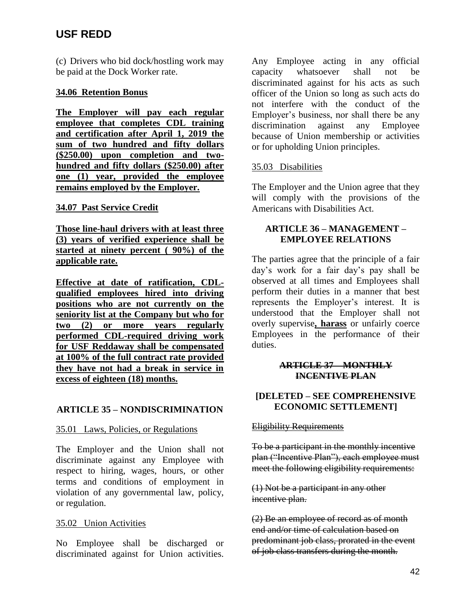(c) Drivers who bid dock/hostling work may be paid at the Dock Worker rate.

### **34.06 Retention Bonus**

**The Employer will pay each regular employee that completes CDL training and certification after April 1, 2019 the sum of two hundred and fifty dollars (\$250.00) upon completion and twohundred and fifty dollars (\$250.00) after one (1) year, provided the employee remains employed by the Employer.**

### **34.07 Past Service Credit**

**Those line-haul drivers with at least three (3) years of verified experience shall be started at ninety percent ( 90%) of the applicable rate.** 

**Effective at date of ratification, CDLqualified employees hired into driving positions who are not currently on the seniority list at the Company but who for two (2) or more years regularly performed CDL-required driving work for USF Reddaway shall be compensated at 100% of the full contract rate provided they have not had a break in service in excess of eighteen (18) months.**

### **ARTICLE 35 – NONDISCRIMINATION**

### 35.01 Laws, Policies, or Regulations

The Employer and the Union shall not discriminate against any Employee with respect to hiring, wages, hours, or other terms and conditions of employment in violation of any governmental law, policy, or regulation.

### 35.02 Union Activities

No Employee shall be discharged or discriminated against for Union activities.

Any Employee acting in any official capacity whatsoever shall not be discriminated against for his acts as such officer of the Union so long as such acts do not interfere with the conduct of the Employer's business, nor shall there be any discrimination against any Employee because of Union membership or activities or for upholding Union principles.

### 35.03 Disabilities

The Employer and the Union agree that they will comply with the provisions of the Americans with Disabilities Act.

### **ARTICLE 36 – MANAGEMENT – EMPLOYEE RELATIONS**

The parties agree that the principle of a fair day's work for a fair day's pay shall be observed at all times and Employees shall perform their duties in a manner that best represents the Employer's interest. It is understood that the Employer shall not overly supervise**, harass** or unfairly coerce Employees in the performance of their duties.

### **ARTICLE 37 – MONTHLY INCENTIVE PLAN**

## **[DELETED – SEE COMPREHENSIVE ECONOMIC SETTLEMENT]**

### **Eligibility Requirements**

To be a participant in the monthly incentive plan ("Incentive Plan"), each employee must meet the following eligibility requirements:

(1) Not be a participant in any other incentive plan.

(2) Be an employee of record as of month end and/or time of calculation based on predominant job class, prorated in the event of job class transfers during the month.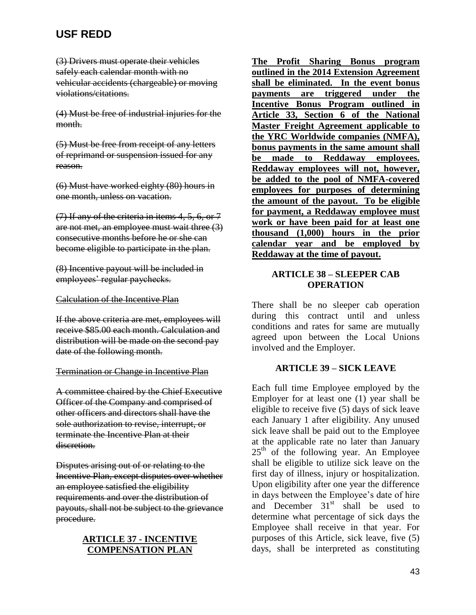(3) Drivers must operate their vehicles safely each calendar month with no vehicular accidents (chargeable) or moving violations/citations.

(4) Must be free of industrial injuries for the month.

(5) Must be free from receipt of any letters of reprimand or suspension issued for any reason.

(6) Must have worked eighty (80) hours in one month, unless on vacation.

(7) If any of the criteria in items 4, 5, 6, or 7 are not met, an employee must wait three (3) consecutive months before he or she can become eligible to participate in the plan.

(8) Incentive payout will be included in employees' regular paychecks.

### Calculation of the Incentive Plan

If the above criteria are met, employees will receive \$85.00 each month. Calculation and distribution will be made on the second pay date of the following month.

### Termination or Change in Incentive Plan

A committee chaired by the Chief Executive Officer of the Company and comprised of other officers and directors shall have the sole authorization to revise, interrupt, or terminate the Incentive Plan at their discretion.

Disputes arising out of or relating to the Incentive Plan, except disputes over whether an employee satisfied the eligibility requirements and over the distribution of payouts, shall not be subject to the grievance procedure.

### **ARTICLE 37 - INCENTIVE COMPENSATION PLAN**

**The Profit Sharing Bonus program outlined in the 2014 Extension Agreement shall be eliminated. In the event bonus payments are triggered under the Incentive Bonus Program outlined in Article 33, Section 6 of the National Master Freight Agreement applicable to the YRC Worldwide companies (NMFA), bonus payments in the same amount shall be made to Reddaway employees. Reddaway employees will not, however, be added to the pool of NMFA-covered employees for purposes of determining the amount of the payout. To be eligible for payment, a Reddaway employee must work or have been paid for at least one thousand (1,000) hours in the prior calendar year and be employed by Reddaway at the time of payout.** 

### **ARTICLE 38 – SLEEPER CAB OPERATION**

There shall be no sleeper cab operation during this contract until and unless conditions and rates for same are mutually agreed upon between the Local Unions involved and the Employer.

### **ARTICLE 39 – SICK LEAVE**

Each full time Employee employed by the Employer for at least one (1) year shall be eligible to receive five (5) days of sick leave each January 1 after eligibility. Any unused sick leave shall be paid out to the Employee at the applicable rate no later than January  $25<sup>th</sup>$  of the following year. An Employee shall be eligible to utilize sick leave on the first day of illness, injury or hospitalization. Upon eligibility after one year the difference in days between the Employee's date of hire and December  $31<sup>st</sup>$  shall be used to determine what percentage of sick days the Employee shall receive in that year. For purposes of this Article, sick leave, five (5) days, shall be interpreted as constituting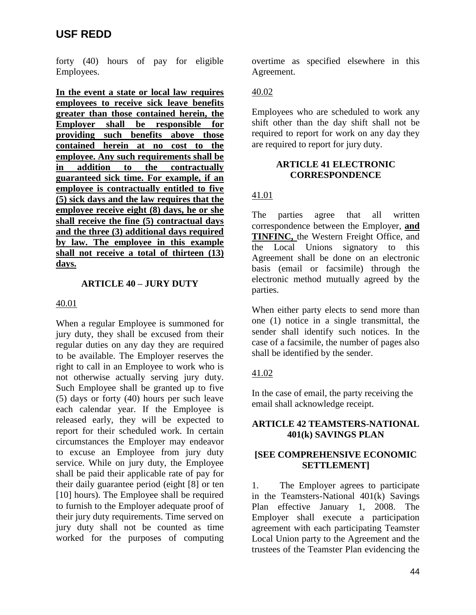forty (40) hours of pay for eligible Employees.

**In the event a state or local law requires employees to receive sick leave benefits greater than those contained herein, the Employer shall be responsible for providing such benefits above those contained herein at no cost to the employee. Any such requirements shall be in addition to the contractually guaranteed sick time. For example, if an employee is contractually entitled to five (5) sick days and the law requires that the employee receive eight (8) days, he or she shall receive the fine (5) contractual days and the three (3) additional days required by law. The employee in this example shall not receive a total of thirteen (13) days.**

### **ARTICLE 40 – JURY DUTY**

### 40.01

When a regular Employee is summoned for jury duty, they shall be excused from their regular duties on any day they are required to be available. The Employer reserves the right to call in an Employee to work who is not otherwise actually serving jury duty. Such Employee shall be granted up to five (5) days or forty (40) hours per such leave each calendar year. If the Employee is released early, they will be expected to report for their scheduled work. In certain circumstances the Employer may endeavor to excuse an Employee from jury duty service. While on jury duty, the Employee shall be paid their applicable rate of pay for their daily guarantee period (eight [8] or ten [10] hours). The Employee shall be required to furnish to the Employer adequate proof of their jury duty requirements. Time served on jury duty shall not be counted as time worked for the purposes of computing

overtime as specified elsewhere in this Agreement.

### 40.02

Employees who are scheduled to work any shift other than the day shift shall not be required to report for work on any day they are required to report for jury duty.

### **ARTICLE 41 ELECTRONIC CORRESPONDENCE**

# 41.01

The parties agree that all written correspondence between the Employer, **and TINFINC,** the Western Freight Office, and the Local Unions signatory to this Agreement shall be done on an electronic basis (email or facsimile) through the electronic method mutually agreed by the parties.

When either party elects to send more than one (1) notice in a single transmittal, the sender shall identify such notices. In the case of a facsimile, the number of pages also shall be identified by the sender.

## 41.02

In the case of email, the party receiving the email shall acknowledge receipt.

## **ARTICLE 42 TEAMSTERS-NATIONAL 401(k) SAVINGS PLAN**

### **[SEE COMPREHENSIVE ECONOMIC SETTLEMENT]**

1. The Employer agrees to participate in the Teamsters-National 401(k) Savings Plan effective January 1, 2008. The Employer shall execute a participation agreement with each participating Teamster Local Union party to the Agreement and the trustees of the Teamster Plan evidencing the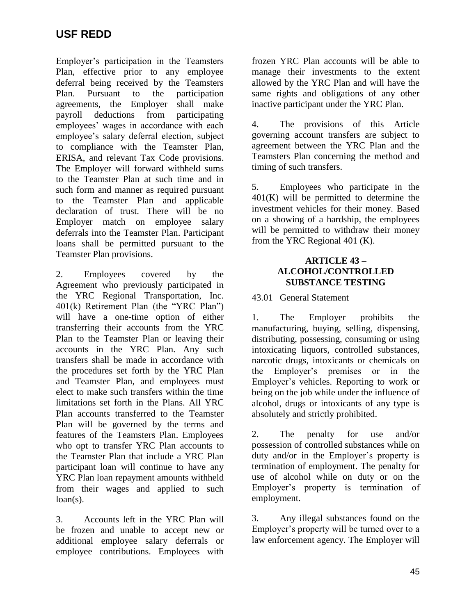Employer's participation in the Teamsters Plan, effective prior to any employee deferral being received by the Teamsters Plan. Pursuant to the participation agreements, the Employer shall make payroll deductions from participating employees' wages in accordance with each employee's salary deferral election, subject to compliance with the Teamster Plan, ERISA, and relevant Tax Code provisions. The Employer will forward withheld sums to the Teamster Plan at such time and in such form and manner as required pursuant to the Teamster Plan and applicable declaration of trust. There will be no Employer match on employee salary deferrals into the Teamster Plan. Participant loans shall be permitted pursuant to the Teamster Plan provisions.

2. Employees covered by the Agreement who previously participated in the YRC Regional Transportation, Inc. 401(k) Retirement Plan (the "YRC Plan") will have a one-time option of either transferring their accounts from the YRC Plan to the Teamster Plan or leaving their accounts in the YRC Plan. Any such transfers shall be made in accordance with the procedures set forth by the YRC Plan and Teamster Plan, and employees must elect to make such transfers within the time limitations set forth in the Plans. All YRC Plan accounts transferred to the Teamster Plan will be governed by the terms and features of the Teamsters Plan. Employees who opt to transfer YRC Plan accounts to the Teamster Plan that include a YRC Plan participant loan will continue to have any YRC Plan loan repayment amounts withheld from their wages and applied to such  $loan(s)$ .

3. Accounts left in the YRC Plan will be frozen and unable to accept new or additional employee salary deferrals or employee contributions. Employees with

frozen YRC Plan accounts will be able to manage their investments to the extent allowed by the YRC Plan and will have the same rights and obligations of any other inactive participant under the YRC Plan.

4. The provisions of this Article governing account transfers are subject to agreement between the YRC Plan and the Teamsters Plan concerning the method and timing of such transfers.

5. Employees who participate in the  $401(K)$  will be permitted to determine the investment vehicles for their money. Based on a showing of a hardship, the employees will be permitted to withdraw their money from the YRC Regional 401 (K).

### **ARTICLE 43 – ALCOHOL/CONTROLLED SUBSTANCE TESTING**

## 43.01 General Statement

1. The Employer prohibits the manufacturing, buying, selling, dispensing, distributing, possessing, consuming or using intoxicating liquors, controlled substances, narcotic drugs, intoxicants or chemicals on the Employer's premises or in the Employer's vehicles. Reporting to work or being on the job while under the influence of alcohol, drugs or intoxicants of any type is absolutely and strictly prohibited.

2. The penalty for use and/or possession of controlled substances while on duty and/or in the Employer's property is termination of employment. The penalty for use of alcohol while on duty or on the Employer's property is termination of employment.

3. Any illegal substances found on the Employer's property will be turned over to a law enforcement agency. The Employer will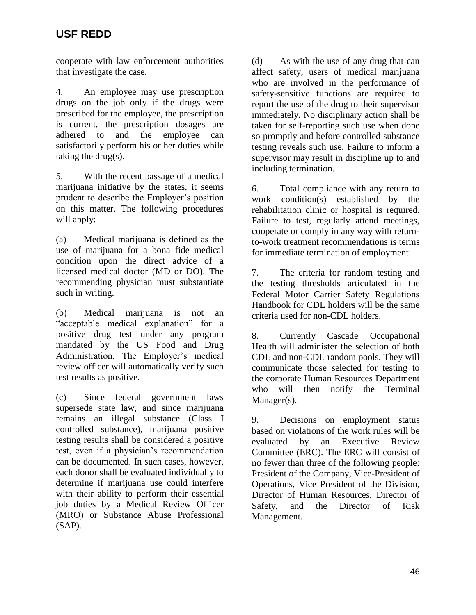cooperate with law enforcement authorities that investigate the case.

4. An employee may use prescription drugs on the job only if the drugs were prescribed for the employee, the prescription is current, the prescription dosages are adhered to and the employee can satisfactorily perform his or her duties while taking the drug(s).

5. With the recent passage of a medical marijuana initiative by the states, it seems prudent to describe the Employer's position on this matter. The following procedures will apply:

(a) Medical marijuana is defined as the use of marijuana for a bona fide medical condition upon the direct advice of a licensed medical doctor (MD or DO). The recommending physician must substantiate such in writing.

(b) Medical marijuana is not an "acceptable medical explanation" for a positive drug test under any program mandated by the US Food and Drug Administration. The Employer's medical review officer will automatically verify such test results as positive.

(c) Since federal government laws supersede state law, and since marijuana remains an illegal substance (Class I controlled substance), marijuana positive testing results shall be considered a positive test, even if a physician's recommendation can be documented. In such cases, however, each donor shall be evaluated individually to determine if marijuana use could interfere with their ability to perform their essential job duties by a Medical Review Officer (MRO) or Substance Abuse Professional (SAP).

(d) As with the use of any drug that can affect safety, users of medical marijuana who are involved in the performance of safety-sensitive functions are required to report the use of the drug to their supervisor immediately. No disciplinary action shall be taken for self-reporting such use when done so promptly and before controlled substance testing reveals such use. Failure to inform a supervisor may result in discipline up to and including termination.

6. Total compliance with any return to work condition(s) established by the rehabilitation clinic or hospital is required. Failure to test, regularly attend meetings, cooperate or comply in any way with returnto-work treatment recommendations is terms for immediate termination of employment.

7. The criteria for random testing and the testing thresholds articulated in the Federal Motor Carrier Safety Regulations Handbook for CDL holders will be the same criteria used for non-CDL holders.

8. Currently Cascade Occupational Health will administer the selection of both CDL and non-CDL random pools. They will communicate those selected for testing to the corporate Human Resources Department who will then notify the Terminal Manager(s).

9. Decisions on employment status based on violations of the work rules will be evaluated by an Executive Review Committee (ERC). The ERC will consist of no fewer than three of the following people: President of the Company, Vice-President of Operations, Vice President of the Division, Director of Human Resources, Director of Safety, and the Director of Risk Management.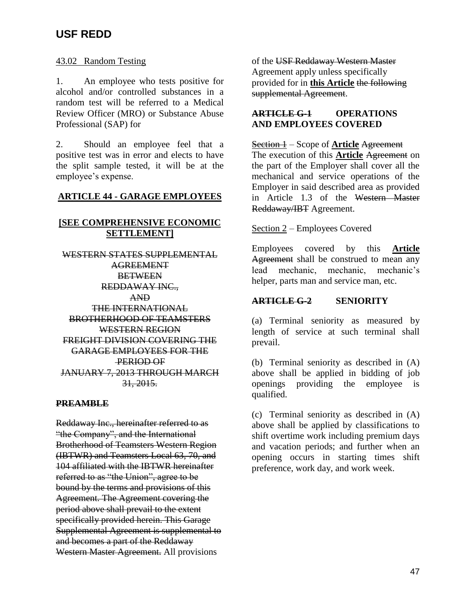### 43.02 Random Testing

1. An employee who tests positive for alcohol and/or controlled substances in a random test will be referred to a Medical Review Officer (MRO) or Substance Abuse Professional (SAP) for

2. Should an employee feel that a positive test was in error and elects to have the split sample tested, it will be at the employee's expense.

### **ARTICLE 44 - GARAGE EMPLOYEES**

# **[SEE COMPREHENSIVE ECONOMIC SETTLEMENT]**

WESTERN STATES SUPPLEMENTAL AGREEMENT **BETWEEN** REDDAWAY INC., AND THE INTERNATIONAL BROTHERHOOD OF TEAMSTERS WESTERN REGION FREIGHT DIVISION COVERING THE GARAGE EMPLOYEES FOR THE PERIOD OF JANUARY 7, 2013 THROUGH MARCH 31, 2015.

### **PREAMBLE**

Reddaway Inc., hereinafter referred to as "the Company", and the International Brotherhood of Teamsters Western Region (IBTWR) and Teamsters Local 63, 70, and 104 affiliated with the IBTWR hereinafter referred to as "the Union", agree to be bound by the terms and provisions of this Agreement. The Agreement covering the period above shall prevail to the extent specifically provided herein. This Garage Supplemental Agreement is supplemental to and becomes a part of the Reddaway Western Master Agreement. All provisions

of the USF Reddaway Western Master Agreement apply unless specifically provided for in **this Article** the following supplemental Agreement.

## **ARTICLE G-1 OPERATIONS AND EMPLOYEES COVERED**

Section 1 – Scope of **Article** Agreement The execution of this **Article** Agreement on the part of the Employer shall cover all the mechanical and service operations of the Employer in said described area as provided in Article 1.3 of the Western Master Reddaway/IBT Agreement.

## Section 2 – Employees Covered

Employees covered by this **Article** Agreement shall be construed to mean any lead mechanic, mechanic, mechanic's helper, parts man and service man, etc.

# **ARTICLE G-2 SENIORITY**

(a) Terminal seniority as measured by length of service at such terminal shall prevail.

(b) Terminal seniority as described in (A) above shall be applied in bidding of job openings providing the employee is qualified.

(c) Terminal seniority as described in (A) above shall be applied by classifications to shift overtime work including premium days and vacation periods; and further when an opening occurs in starting times shift preference, work day, and work week.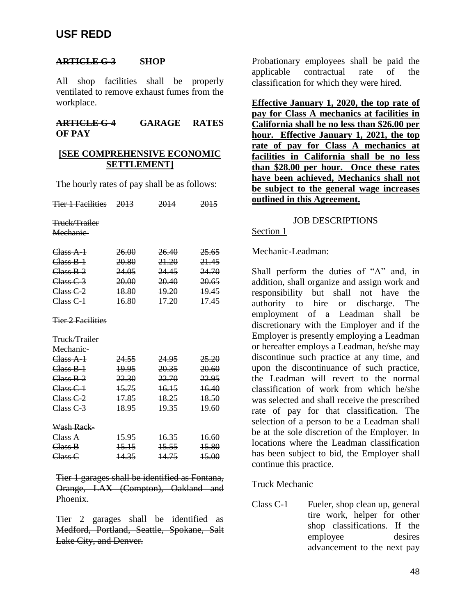### **ARTICLE G-3 SHOP**

All shop facilities shall be properly ventilated to remove exhaust fumes from the workplace.

### **ARTICLE G-4 GARAGE RATES OF PAY**

### **[SEE COMPREHENSIVE ECONOMIC SETTLEMENT]**

The hourly rates of pay shall be as follows:

| <del>Tier 1 Facilities</del>     | 2013             | 2014             | 2015             |
|----------------------------------|------------------|------------------|------------------|
| Truck/Trailer                    |                  |                  |                  |
| Mechanic-                        |                  |                  |                  |
| Class A-1                        | 26.00            | 26.40            | 25.65            |
| $Class B-1$                      | 20.80            | 21.20            | 21.45            |
| $Class B-2$                      | 24.05            | 24.45            | 24.70            |
| $Class C-3$                      | 20.00            | 20.40            | 20.65            |
| C <sub>less</sub> C <sub>2</sub> | 18.80            | <b>19.20</b>     | <u> 19.45 </u>   |
| $C$ lass $C-1$                   | 16.80            | <del>17.20</del> | <del>17.45</del> |
| <del>Tier 2 Facilities</del>     |                  |                  |                  |
| <del>Truck/Trailer</del>         |                  |                  |                  |
| Mechanic-                        |                  |                  |                  |
| $Class A-1$                      | 24.55            | 24.95            | 25.20            |
| $Class B-1$                      | 19.95            | 20.35            | 20.60            |
| $Cless R-2$                      | 22.30            | 22.70            | 22.95            |
| $C$ lass $C-1$                   | <del>15.75</del> | 16.15            | <del>16.40</del> |
| $Class C-2$                      | 17.85            | 18.25            | 18.50            |
| $Class C-3$                      | 18.95            | 19.35            | 19.60            |
| Wash Rack–                       |                  |                  |                  |
| Class A                          | 45.95            | <del>16.35</del> | <del>16.60</del> |
| Class B                          | <del>15.15</del> | <del>15.55</del> | 15.80            |
| $C$ lass $C$                     | 14.35            | 14.75            | <del>15.00</del> |

Tier 1 garages shall be identified as Fontana, Orange, LAX (Compton), Oakland and Phoenix.

Tier 2 garages shall be identified as Medford, Portland, Seattle, Spokane, Salt Lake City, and Denver.

Probationary employees shall be paid the applicable contractual rate of the classification for which they were hired.

**Effective January 1, 2020, the top rate of pay for Class A mechanics at facilities in California shall be no less than \$26.00 per hour. Effective January 1, 2021, the top rate of pay for Class A mechanics at facilities in California shall be no less than \$28.00 per hour. Once these rates have been achieved, Mechanics shall not be subject to the general wage increases outlined in this Agreement.**

#### JOB DESCRIPTIONS

### Section 1

Mechanic-Leadman:

Shall perform the duties of "A" and, in addition, shall organize and assign work and responsibility but shall not have the authority to hire or discharge. The employment of a Leadman shall be discretionary with the Employer and if the Employer is presently employing a Leadman or hereafter employs a Leadman, he/she may discontinue such practice at any time, and upon the discontinuance of such practice, the Leadman will revert to the normal classification of work from which he/she was selected and shall receive the prescribed rate of pay for that classification. The selection of a person to be a Leadman shall be at the sole discretion of the Employer. In locations where the Leadman classification has been subject to bid, the Employer shall continue this practice.

### Truck Mechanic

Class C-1 Fueler, shop clean up, general tire work, helper for other shop classifications. If the employee desires advancement to the next pay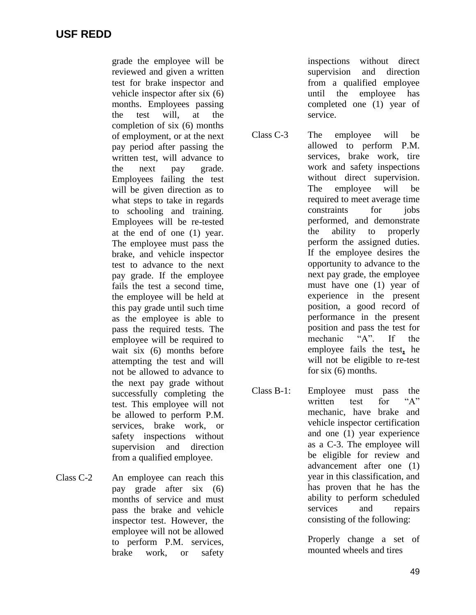grade the employee will be reviewed and given a written test for brake inspector and vehicle inspector after six (6) months. Employees passing the test will, at the completion of six (6) months of employment, or at the next pay period after passing the written test, will advance to the next pay grade. Employees failing the test will be given direction as to what steps to take in regards to schooling and training. Employees will be re-tested at the end of one (1) year. The employee must pass the brake, and vehicle inspector test to advance to the next pay grade. If the employee fails the test a second time, the employee will be held at this pay grade until such time as the employee is able to pass the required tests. The employee will be required to wait six (6) months before attempting the test and will not be allowed to advance to the next pay grade without successfully completing the test. This employee will not be allowed to perform P.M. services, brake work, or safety inspections without supervision and direction from a qualified employee.

Class C-2 An employee can reach this pay grade after six (6) months of service and must pass the brake and vehicle inspector test. However, the employee will not be allowed to perform P.M. services, brake work, or safety

inspections without direct supervision and direction from a qualified employee until the employee has completed one (1) year of service.

Class C-3 The employee will be allowed to perform P.M. services, brake work, tire work and safety inspections without direct supervision. The employee will be required to meet average time constraints for jobs performed, and demonstrate the ability to properly perform the assigned duties. If the employee desires the opportunity to advance to the next pay grade, the employee must have one (1) year of experience in the present position, a good record of performance in the present position and pass the test for<br>mechanic "A". If the mechanic "A". If the employee fails the test**,** he will not be eligible to re-test for six (6) months.

Class B-1: Employee must pass the written test for "A" mechanic, have brake and vehicle inspector certification and one (1) year experience as a C-3. The employee will be eligible for review and advancement after one (1) year in this classification, and has proven that he has the ability to perform scheduled services and repairs consisting of the following:

> Properly change a set of mounted wheels and tires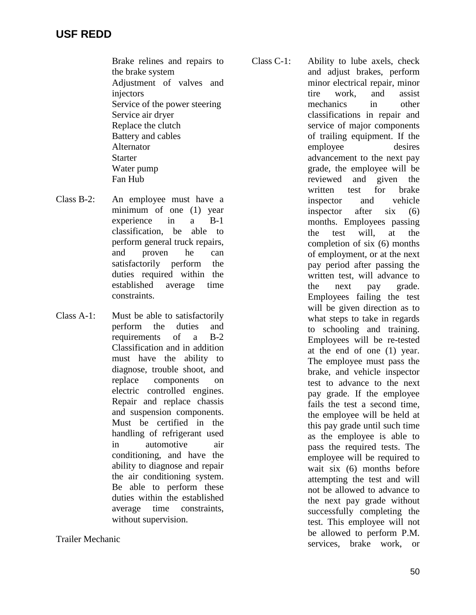Brake relines and repairs to the brake system Adjustment of valves and injectors Service of the power steering Service air dryer Replace the clutch Battery and cables Alternator **Starter** Water pump Fan Hub

- Class B-2: An employee must have a minimum of one (1) year experience in a B-1 classification, be able to perform general truck repairs, and proven he can satisfactorily perform the duties required within the established average time constraints.
- Class A-1: Must be able to satisfactorily perform the duties and requirements of a B-2 Classification and in addition must have the ability to diagnose, trouble shoot, and replace components on electric controlled engines. Repair and replace chassis and suspension components. Must be certified in the handling of refrigerant used in automotive air conditioning, and have the ability to diagnose and repair the air conditioning system. Be able to perform these duties within the established average time constraints, without supervision.

Trailer Mechanic

Class C-1: Ability to lube axels, check and adjust brakes, perform minor electrical repair, minor tire work, and assist mechanics in other classifications in repair and service of major components of trailing equipment. If the employee desires advancement to the next pay grade, the employee will be reviewed and given the written test for brake inspector and vehicle inspector after six (6) months. Employees passing the test will, at the completion of six (6) months of employment, or at the next pay period after passing the written test, will advance to the next pay grade. Employees failing the test will be given direction as to what steps to take in regards to schooling and training. Employees will be re-tested at the end of one (1) year. The employee must pass the brake, and vehicle inspector test to advance to the next pay grade. If the employee fails the test a second time, the employee will be held at this pay grade until such time as the employee is able to pass the required tests. The employee will be required to wait six (6) months before attempting the test and will not be allowed to advance to the next pay grade without successfully completing the test. This employee will not be allowed to perform P.M.

services, brake work, or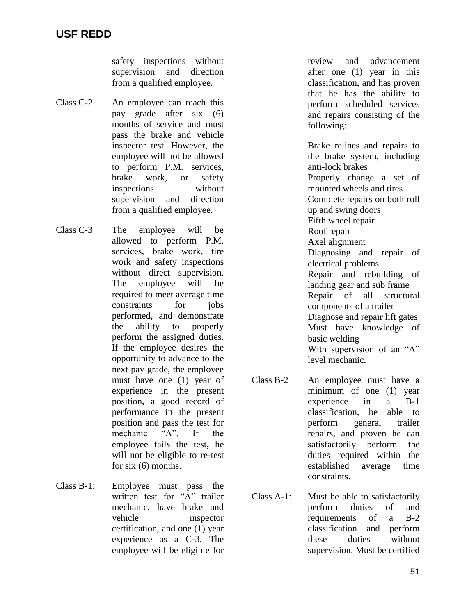safety inspections without supervision and direction from a qualified employee.

- Class C-2 An employee can reach this pay grade after six (6) months of service and must pass the brake and vehicle inspector test. However, the employee will not be allowed to perform P.M. services, brake work, or safety inspections without supervision and direction from a qualified employee.
- Class C-3 The employee will be allowed to perform P.M. services, brake work, tire work and safety inspections without direct supervision. The employee will be required to meet average time constraints for iobs performed, and demonstrate the ability to properly perform the assigned duties. If the employee desires the opportunity to advance to the next pay grade, the employee must have one (1) year of experience in the present position, a good record of performance in the present position and pass the test for mechanic "A". If the employee fails the test**,** he will not be eligible to re-test for six (6) months.
- Class B-1: Employee must pass the written test for "A" trailer mechanic, have brake and vehicle inspector certification, and one (1) year experience as a C-3. The employee will be eligible for

review and advancement after one (1) year in this classification, and has proven that he has the ability to perform scheduled services and repairs consisting of the following:

Brake relines and repairs to the brake system, including anti-lock brakes Properly change a set of mounted wheels and tires Complete repairs on both roll up and swing doors Fifth wheel repair Roof repair Axel alignment Diagnosing and repair of electrical problems Repair and rebuilding of landing gear and sub frame Repair of all structural components of a trailer Diagnose and repair lift gates Must have knowledge of basic welding With supervision of an "A" level mechanic.

- Class B-2 An employee must have a minimum of one (1) year experience in a B-1 classification, be able to perform general trailer repairs, and proven he can satisfactorily perform the duties required within the established average time constraints.
- Class A-1: Must be able to satisfactorily perform duties of and requirements of a B-2 classification and perform these duties without supervision. Must be certified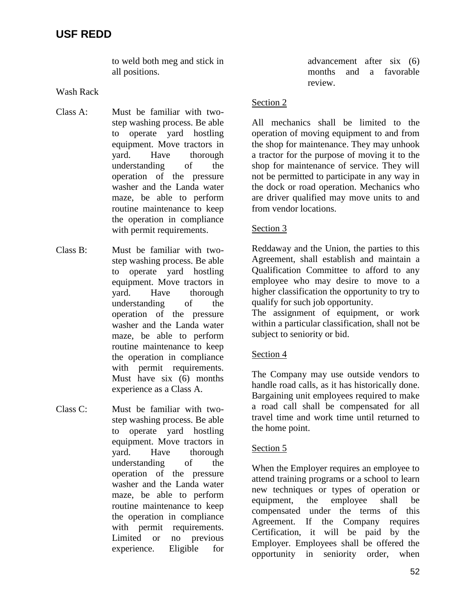to weld both meg and stick in all positions.

Wash Rack

- Class A: Must be familiar with twostep washing process. Be able to operate yard hostling equipment. Move tractors in yard. Have thorough understanding of the operation of the pressure washer and the Landa water maze, be able to perform routine maintenance to keep the operation in compliance with permit requirements.
- Class B: Must be familiar with twostep washing process. Be able to operate yard hostling equipment. Move tractors in yard. Have thorough understanding of the operation of the pressure washer and the Landa water maze, be able to perform routine maintenance to keep the operation in compliance with permit requirements. Must have six (6) months experience as a Class A.
- Class C: Must be familiar with twostep washing process. Be able to operate yard hostling equipment. Move tractors in yard. Have thorough understanding of the operation of the pressure washer and the Landa water maze, be able to perform routine maintenance to keep the operation in compliance with permit requirements. Limited or no previous experience. Eligible for

advancement after six (6) months and a favorable review.

### Section 2

All mechanics shall be limited to the operation of moving equipment to and from the shop for maintenance. They may unhook a tractor for the purpose of moving it to the shop for maintenance of service. They will not be permitted to participate in any way in the dock or road operation. Mechanics who are driver qualified may move units to and from vendor locations.

## Section 3

Reddaway and the Union, the parties to this Agreement, shall establish and maintain a Qualification Committee to afford to any employee who may desire to move to a higher classification the opportunity to try to qualify for such job opportunity.

The assignment of equipment, or work within a particular classification, shall not be subject to seniority or bid.

## Section 4

The Company may use outside vendors to handle road calls, as it has historically done. Bargaining unit employees required to make a road call shall be compensated for all travel time and work time until returned to the home point.

### Section 5

When the Employer requires an employee to attend training programs or a school to learn new techniques or types of operation or equipment, the employee shall be compensated under the terms of this Agreement. If the Company requires Certification, it will be paid by the Employer. Employees shall be offered the opportunity in seniority order, when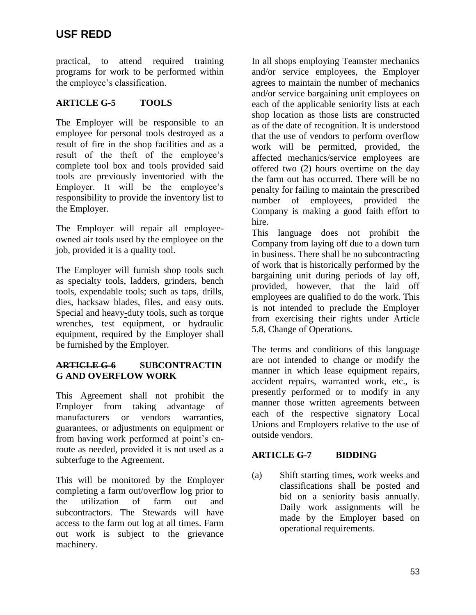practical, to attend required training programs for work to be performed within the employee's classification.

# **ARTICLE G-5 TOOLS**

The Employer will be responsible to an employee for personal tools destroyed as a result of fire in the shop facilities and as a result of the theft of the employee's complete tool box and tools provided said tools are previously inventoried with the Employer. It will be the employee's responsibility to provide the inventory list to the Employer.

The Employer will repair all employeeowned air tools used by the employee on the job, provided it is a quality tool.

The Employer will furnish shop tools such as specialty tools, ladders, grinders, bench tools, expendable tools; such as taps, drills, dies, hacksaw blades, files, and easy outs. Special and heavy**-**duty tools, such as torque wrenches, test equipment, or hydraulic equipment, required by the Employer shall be furnished by the Employer.

# **ARTICLE G-6 SUBCONTRACTIN G AND OVERFLOW WORK**

This Agreement shall not prohibit the Employer from taking advantage of manufacturers or vendors warranties, guarantees, or adjustments on equipment or from having work performed at point's enroute as needed, provided it is not used as a subterfuge to the Agreement.

This will be monitored by the Employer completing a farm out/overflow log prior to the utilization of farm out and subcontractors. The Stewards will have access to the farm out log at all times. Farm out work is subject to the grievance machinery.

In all shops employing Teamster mechanics and/or service employees, the Employer agrees to maintain the number of mechanics and/or service bargaining unit employees on each of the applicable seniority lists at each shop location as those lists are constructed as of the date of recognition. It is understood that the use of vendors to perform overflow work will be permitted, provided, the affected mechanics/service employees are offered two (2) hours overtime on the day the farm out has occurred. There will be no penalty for failing to maintain the prescribed number of employees, provided the Company is making a good faith effort to hire.

This language does not prohibit the Company from laying off due to a down turn in business. There shall be no subcontracting of work that is historically performed by the bargaining unit during periods of lay off, provided, however, that the laid off employees are qualified to do the work. This is not intended to preclude the Employer from exercising their rights under Article 5.8, Change of Operations.

The terms and conditions of this language are not intended to change or modify the manner in which lease equipment repairs, accident repairs, warranted work, etc., is presently performed or to modify in any manner those written agreements between each of the respective signatory Local Unions and Employers relative to the use of outside vendors.

# **ARTICLE G-7 BIDDING**

(a) Shift starting times, work weeks and classifications shall be posted and bid on a seniority basis annually. Daily work assignments will be made by the Employer based on operational requirements.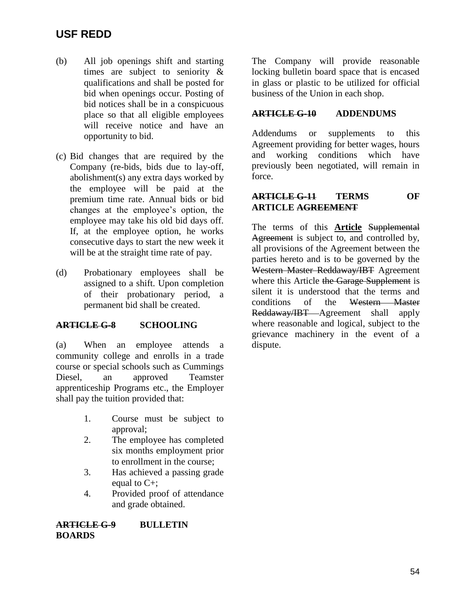- (b) All job openings shift and starting times are subject to seniority & qualifications and shall be posted for bid when openings occur. Posting of bid notices shall be in a conspicuous place so that all eligible employees will receive notice and have an opportunity to bid.
- (c) Bid changes that are required by the Company (re-bids, bids due to lay-off, abolishment(s) any extra days worked by the employee will be paid at the premium time rate. Annual bids or bid changes at the employee's option, the employee may take his old bid days off. If, at the employee option, he works consecutive days to start the new week it will be at the straight time rate of pay.
- (d) Probationary employees shall be assigned to a shift. Upon completion of their probationary period, a permanent bid shall be created.

### **ARTICLE G-8 SCHOOLING**

(a) When an employee attends a community college and enrolls in a trade course or special schools such as Cummings Diesel, an approved Teamster apprenticeship Programs etc., the Employer shall pay the tuition provided that:

- 1. Course must be subject to approval;
- 2. The employee has completed six months employment prior to enrollment in the course;
- 3. Has achieved a passing grade equal to C+;
- 4. Provided proof of attendance and grade obtained.

**ARTICLE G-9 BULLETIN BOARDS**

The Company will provide reasonable locking bulletin board space that is encased in glass or plastic to be utilized for official business of the Union in each shop.

### **ARTICLE G-10 ADDENDUMS**

Addendums or supplements to this Agreement providing for better wages, hours and working conditions which have previously been negotiated, will remain in force.

### **ARTICLE G-11 TERMS OF ARTICLE AGREEMENT**

The terms of this **Article** Supplemental Agreement is subject to, and controlled by, all provisions of the Agreement between the parties hereto and is to be governed by the Western Master Reddaway/IBT Agreement where this Article the Garage Supplement is silent it is understood that the terms and conditions of the Western Master Reddaway/IBT Agreement shall apply where reasonable and logical, subject to the grievance machinery in the event of a dispute.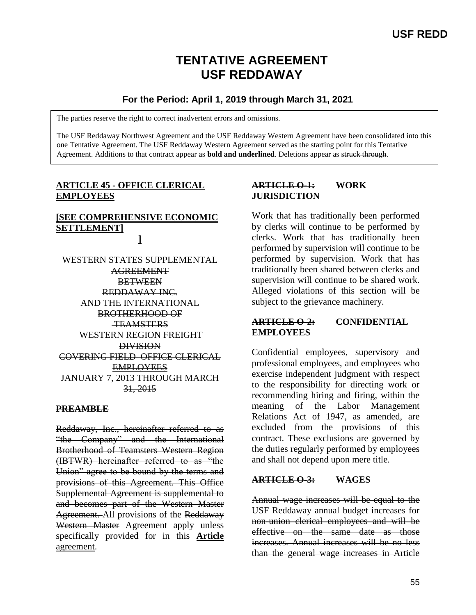# **TENTATIVE AGREEMENT USF REDDAWAY**

# **For the Period: April 1, 2019 through March 31, 2021**

The parties reserve the right to correct inadvertent errors and omissions.

The USF Reddaway Northwest Agreement and the USF Reddaway Western Agreement have been consolidated into this one Tentative Agreement. The USF Reddaway Western Agreement served as the starting point for this Tentative Agreement. Additions to that contract appear as **bold and underlined**. Deletions appear as struck through.

## **ARTICLE 45 - OFFICE CLERICAL EMPLOYEES**

### **[SEE COMPREHENSIVE ECONOMIC SETTLEMENT] ]**

WESTERN STATES SUPPLEMENTAL AGREEMENT **BETWEEN** REDDAWAY INC. AND THE INTERNATIONAL BROTHERHOOD OF **TEAMSTERS** WESTERN REGION FREIGHT DIVISION COVERING FIELD OFFICE CLERICAL EMPLOYEES JANUARY 7, 2013 THROUGH MARCH 31, 2015

### **PREAMBLE**

Reddaway, Inc., hereinafter referred to as "the Company" and the International Brotherhood of Teamsters Western Region (IBTWR) hereinafter referred to as "the Union" agree to be bound by the terms and provisions of this Agreement. This Office Supplemental Agreement is supplemental to and becomes part of the Western Master Agreement. All provisions of the Reddaway Western Master Agreement apply unless specifically provided for in this **Article** agreement.

# **ARTICLE O-1: WORK JURISDICTION**

Work that has traditionally been performed by clerks will continue to be performed by clerks. Work that has traditionally been performed by supervision will continue to be performed by supervision. Work that has traditionally been shared between clerks and supervision will continue to be shared work. Alleged violations of this section will be subject to the grievance machinery.

# **ARTICLE O-2: CONFIDENTIAL EMPLOYEES**

Confidential employees, supervisory and professional employees, and employees who exercise independent judgment with respect to the responsibility for directing work or recommending hiring and firing, within the meaning of the Labor Management Relations Act of 1947, as amended, are excluded from the provisions of this contract. These exclusions are governed by the duties regularly performed by employees and shall not depend upon mere title.

## **ARTICLE O-3: WAGES**

Annual wage increases will be equal to the USF Reddaway annual budget increases for non-union clerical employees and will be effective on the same date as those increases. Annual increases will be no less than the general wage increases in Article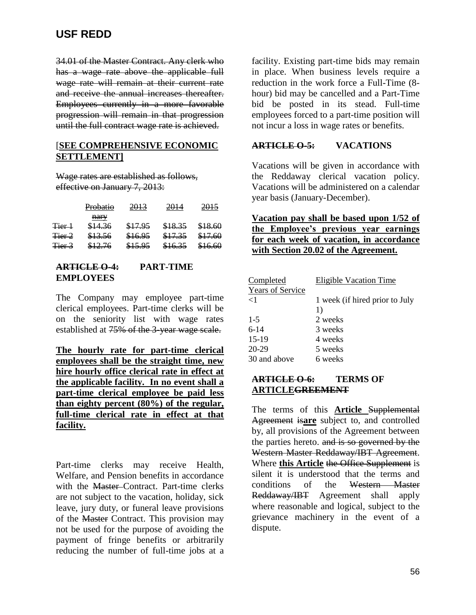34.01 of the Master Contract. Any clerk who has a wage rate above the applicable full wage rate will remain at their current rate and receive the annual increases thereafter. Employees currently in a more favorable progression will remain in that progression until the full contract wage rate is achieved.

### [**SEE COMPREHENSIVE ECONOMIC SETTLEMENT]**

Wage rates are established as follows, effective on January 7, 2013:

|                   | Probatio | 2013    | 2014    | 2015    |
|-------------------|----------|---------|---------|---------|
|                   | nary     |         |         |         |
| Tier 1            | \$14.36  | \$17.95 | \$18.35 | \$18.60 |
| <del>Tier 2</del> | \$13.56  | \$16.95 | \$17.35 | \$17.60 |
| Tier 3            | \$12.76  | \$15.95 | \$16.35 | \$16.60 |

### **ARTICLE O-4: PART-TIME EMPLOYEES**

The Company may employee part-time clerical employees. Part-time clerks will be on the seniority list with wage rates established at 75% of the 3-year wage scale.

**The hourly rate for part-time clerical employees shall be the straight time, new hire hourly office clerical rate in effect at the applicable facility. In no event shall a part-time clerical employee be paid less than eighty percent (80%) of the regular, full-time clerical rate in effect at that facility.**

Part-time clerks may receive Health, Welfare, and Pension benefits in accordance with the **Master-Contract**. Part-time clerks are not subject to the vacation, holiday, sick leave, jury duty, or funeral leave provisions of the Master Contract. This provision may not be used for the purpose of avoiding the payment of fringe benefits or arbitrarily reducing the number of full-time jobs at a

facility. Existing part-time bids may remain in place. When business levels require a reduction in the work force a Full-Time (8 hour) bid may be cancelled and a Part-Time bid be posted in its stead. Full-time employees forced to a part-time position will not incur a loss in wage rates or benefits.

### **ARTICLE O-5: VACATIONS**

Vacations will be given in accordance with the Reddaway clerical vacation policy. Vacations will be administered on a calendar year basis (January-December).

**Vacation pay shall be based upon 1/52 of the Employee's previous year earnings for each week of vacation, in accordance with Section 20.02 of the Agreement.** 

| Completed               | <b>Eligible Vacation Time</b>  |  |
|-------------------------|--------------------------------|--|
| <b>Years of Service</b> |                                |  |
| $\leq$ 1                | 1 week (if hired prior to July |  |
|                         | 1)                             |  |
| $1 - 5$                 | 2 weeks                        |  |
| $6-14$                  | 3 weeks                        |  |
| $15-19$                 | 4 weeks                        |  |
| $20-29$                 | 5 weeks                        |  |
| 30 and above            | 6 weeks                        |  |

## **ARTICLE O-6: TERMS OF ARTICLEGREEMENT**

The terms of this **Article** Supplemental Agreement is**are** subject to, and controlled by, all provisions of the Agreement between the parties hereto. and is so governed by the Western Master Reddaway/IBT Agreement. Where **this Article** the Office Supplement is silent it is understood that the terms and conditions of the Western Master Reddaway/IBT Agreement shall apply where reasonable and logical, subject to the grievance machinery in the event of a dispute.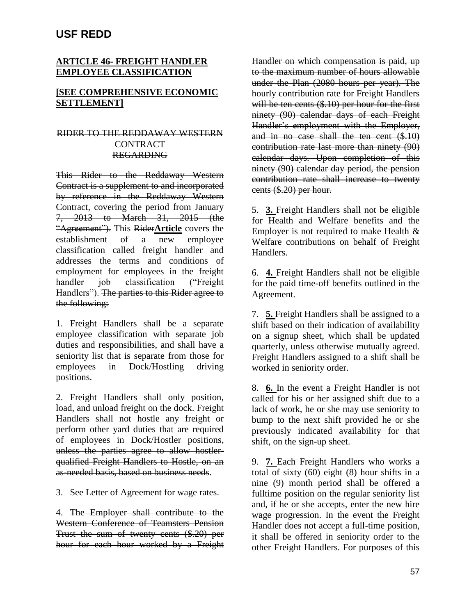### **ARTICLE 46- FREIGHT HANDLER EMPLOYEE CLASSIFICATION**

### **[SEE COMPREHENSIVE ECONOMIC SETTLEMENT]**

### RIDER TO THE REDDAWAY WESTERN **CONTRACT** REGARDING

This Rider to the Reddaway Western Contract is a supplement to and incorporated by reference in the Reddaway Western Contract, covering the period from January 7, 2013 to March 31, 2015 (the "Agreement"). This Rider**Article** covers the establishment of a new employee classification called freight handler and addresses the terms and conditions of employment for employees in the freight handler job classification ("Freight Handlers"). The parties to this Rider agree to the following:

1. Freight Handlers shall be a separate employee classification with separate job duties and responsibilities, and shall have a seniority list that is separate from those for employees in Dock/Hostling driving positions.

2. Freight Handlers shall only position, load, and unload freight on the dock. Freight Handlers shall not hostle any freight or perform other yard duties that are required of employees in Dock/Hostler positions, unless the parties agree to allow hostlerqualified Freight Handlers to Hostle, on an as-needed basis, based on business needs.

3. See Letter of Agreement for wage rates.

4. The Employer shall contribute to the Western Conference of Teamsters Pension Trust the sum of twenty cents (\$.20) per hour for each hour worked by a Freight Handler on which compensation is paid, up to the maximum number of hours allowable under the Plan (2080 hours per year). The hourly contribution rate for Freight Handlers will be ten cents (\$.10) per hour for the first ninety (90) calendar days of each Freight Handler's employment with the Employer, and in no case shall the ten cent (\$.10) contribution rate last more than ninety (90) calendar days. Upon completion of this ninety (90) calendar day period, the pension contribution rate shall increase to twenty cents (\$.20) per hour.

5. **3.** Freight Handlers shall not be eligible for Health and Welfare benefits and the Employer is not required to make Health & Welfare contributions on behalf of Freight Handlers.

6. **4.** Freight Handlers shall not be eligible for the paid time-off benefits outlined in the Agreement.

7. **5.** Freight Handlers shall be assigned to a shift based on their indication of availability on a signup sheet, which shall be updated quarterly, unless otherwise mutually agreed. Freight Handlers assigned to a shift shall be worked in seniority order.

8. **6.** In the event a Freight Handler is not called for his or her assigned shift due to a lack of work, he or she may use seniority to bump to the next shift provided he or she previously indicated availability for that shift, on the sign-up sheet.

9. **7.** Each Freight Handlers who works a total of sixty (60) eight (8) hour shifts in a nine (9) month period shall be offered a fulltime position on the regular seniority list and, if he or she accepts, enter the new hire wage progression. In the event the Freight Handler does not accept a full-time position, it shall be offered in seniority order to the other Freight Handlers. For purposes of this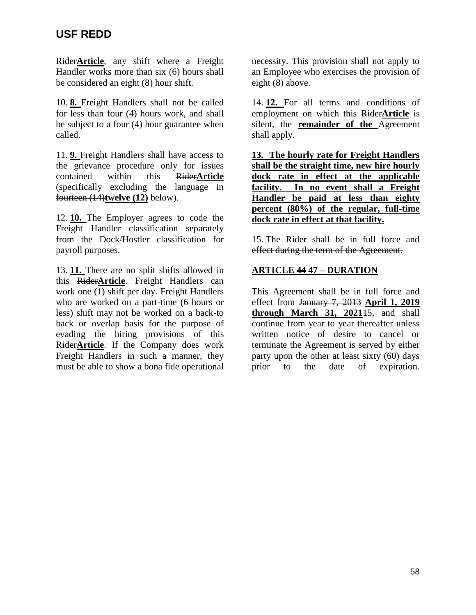Rider**Article**, any shift where a Freight Handler works more than six (6) hours shall be considered an eight (8) hour shift.

10. **8.** Freight Handlers shall not be called for less than four (4) hours work, and shall be subject to a four (4) hour guarantee when called.

11. **9.** Freight Handlers shall have access to the grievance procedure only for issues contained within this Rider**Article** (specifically excluding the language in fourteen (14)**twelve (12)** below).

12. **10.** The Employer agrees to code the Freight Handler classification separately from the Dock/Hostler classification for payroll purposes.

13. **11.** There are no split shifts allowed in this Rider**Article**. Freight Handlers can work one (1) shift per day. Freight Handlers who are worked on a part-time (6 hours or less) shift may not be worked on a back-to back or overlap basis for the purpose of evading the hiring provisions of this Rider**Article**. If the Company does work Freight Handlers in such a manner, they must be able to show a bona fide operational

necessity. This provision shall not apply to an Employee who exercises the provision of eight (8) above.

14. **12.** For all terms and conditions of employment on which this Rider**Article** is silent, the **remainder of the** Agreement shall apply.

**13. The hourly rate for Freight Handlers shall be the straight time, new hire hourly dock rate in effect at the applicable facility. In no event shall a Freight Handler be paid at less than eighty percent (80%) of the regular, full-time dock rate in effect at that facility.** 

15. The Rider shall be in full force and effect during the term of the Agreement.

# **ARTICLE 44 47 – DURATION**

This Agreement shall be in full force and effect from January 7, 2013 **April 1, 2019 through March 31, 2021**15, and shall continue from year to year thereafter unless written notice of desire to cancel or terminate the Agreement is served by either party upon the other at least sixty (60) days prior to the date of expiration.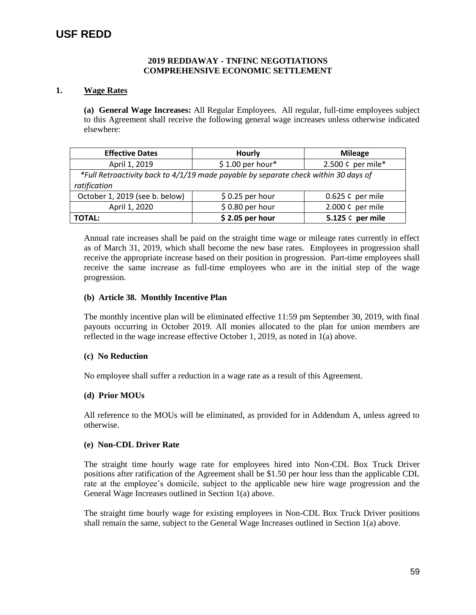#### **2019 REDDAWAY - TNFINC NEGOTIATIONS COMPREHENSIVE ECONOMIC SETTLEMENT**

#### **1. Wage Rates**

**(a) General Wage Increases:** All Regular Employees. All regular, full-time employees subject to this Agreement shall receive the following general wage increases unless otherwise indicated elsewhere:

| <b>Effective Dates</b><br><b>Hourly</b> |                                                                                     | <b>Mileage</b>     |  |  |  |
|-----------------------------------------|-------------------------------------------------------------------------------------|--------------------|--|--|--|
| April 1, 2019                           | $$1.00$ per hour*                                                                   | 2.500 ¢ per mile*  |  |  |  |
|                                         | *Full Retroactivity back to 4/1/19 made payable by separate check within 30 days of |                    |  |  |  |
| ratification                            |                                                                                     |                    |  |  |  |
| October 1, 2019 (see b. below)          | $$0.25$ per hour                                                                    | $0.625$ ¢ per mile |  |  |  |
| April 1, 2020                           | $$0.80$ per hour                                                                    | 2.000 ¢ per mile   |  |  |  |
| <b>TOTAL:</b>                           | $$2.05$ per hour                                                                    | 5.125 ¢ per mile   |  |  |  |

Annual rate increases shall be paid on the straight time wage or mileage rates currently in effect as of March 31, 2019, which shall become the new base rates. Employees in progression shall receive the appropriate increase based on their position in progression. Part-time employees shall receive the same increase as full-time employees who are in the initial step of the wage progression.

#### **(b) Article 38. Monthly Incentive Plan**

The monthly incentive plan will be eliminated effective 11:59 pm September 30, 2019, with final payouts occurring in October 2019. All monies allocated to the plan for union members are reflected in the wage increase effective October 1, 2019, as noted in 1(a) above.

#### **(c) No Reduction**

No employee shall suffer a reduction in a wage rate as a result of this Agreement.

#### **(d) Prior MOUs**

All reference to the MOUs will be eliminated, as provided for in Addendum A, unless agreed to otherwise.

#### **(e) Non-CDL Driver Rate**

The straight time hourly wage rate for employees hired into Non-CDL Box Truck Driver positions after ratification of the Agreement shall be \$1.50 per hour less than the applicable CDL rate at the employee's domicile, subject to the applicable new hire wage progression and the General Wage Increases outlined in Section 1(a) above.

The straight time hourly wage for existing employees in Non-CDL Box Truck Driver positions shall remain the same, subject to the General Wage Increases outlined in Section 1(a) above.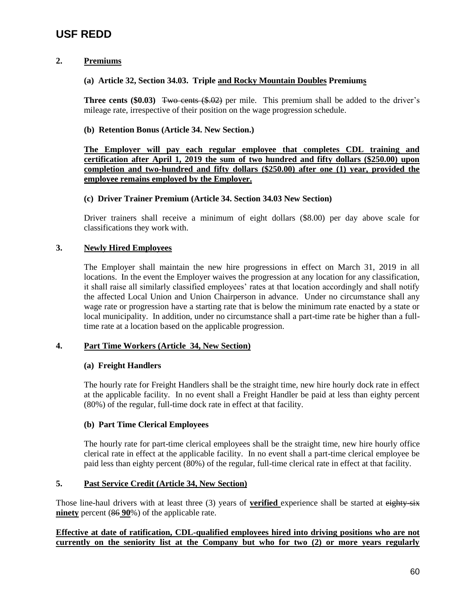### **2. Premiums**

### **(a) Article 32, Section 34.03. Triple and Rocky Mountain Doubles Premiums**

**Three cents (\$0.03)** Two cents (\$.02) per mile. This premium shall be added to the driver's mileage rate, irrespective of their position on the wage progression schedule.

#### **(b) Retention Bonus (Article 34. New Section.)**

**The Employer will pay each regular employee that completes CDL training and certification after April 1, 2019 the sum of two hundred and fifty dollars (\$250.00) upon completion and two-hundred and fifty dollars (\$250.00) after one (1) year, provided the employee remains employed by the Employer.** 

#### **(c) Driver Trainer Premium (Article 34. Section 34.03 New Section)**

Driver trainers shall receive a minimum of eight dollars (\$8.00) per day above scale for classifications they work with.

### **3. Newly Hired Employees**

The Employer shall maintain the new hire progressions in effect on March 31, 2019 in all locations. In the event the Employer waives the progression at any location for any classification, it shall raise all similarly classified employees' rates at that location accordingly and shall notify the affected Local Union and Union Chairperson in advance. Under no circumstance shall any wage rate or progression have a starting rate that is below the minimum rate enacted by a state or local municipality. In addition, under no circumstance shall a part-time rate be higher than a fulltime rate at a location based on the applicable progression.

### **4. Part Time Workers (Article 34, New Section)**

### **(a) Freight Handlers**

The hourly rate for Freight Handlers shall be the straight time, new hire hourly dock rate in effect at the applicable facility. In no event shall a Freight Handler be paid at less than eighty percent (80%) of the regular, full-time dock rate in effect at that facility.

### **(b) Part Time Clerical Employees**

The hourly rate for part-time clerical employees shall be the straight time, new hire hourly office clerical rate in effect at the applicable facility. In no event shall a part-time clerical employee be paid less than eighty percent (80%) of the regular, full-time clerical rate in effect at that facility.

### **5. Past Service Credit (Article 34, New Section)**

Those line-haul drivers with at least three (3) years of **verified** experience shall be started at eighty-six **ninety** percent (86 **90**%) of the applicable rate.

### **Effective at date of ratification, CDL-qualified employees hired into driving positions who are not currently on the seniority list at the Company but who for two (2) or more years regularly**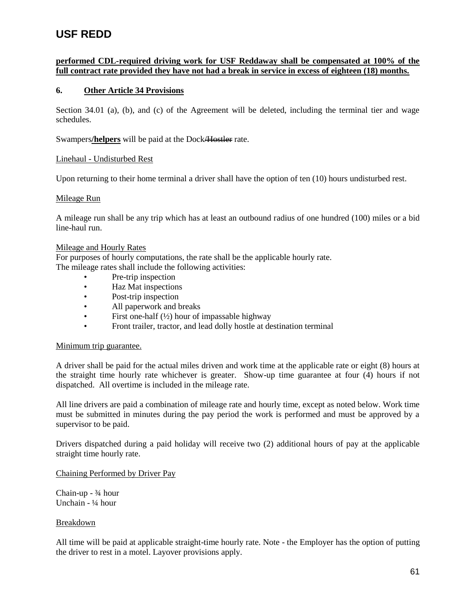### **performed CDL-required driving work for USF Reddaway shall be compensated at 100% of the full contract rate provided they have not had a break in service in excess of eighteen (18) months.**

#### **6. Other Article 34 Provisions**

Section 34.01 (a), (b), and (c) of the Agreement will be deleted, including the terminal tier and wage schedules.

Swampers**/helpers** will be paid at the Dock/Hostler rate.

#### Linehaul - Undisturbed Rest

Upon returning to their home terminal a driver shall have the option of ten (10) hours undisturbed rest.

#### Mileage Run

A mileage run shall be any trip which has at least an outbound radius of one hundred (100) miles or a bid line-haul run.

#### Mileage and Hourly Rates

For purposes of hourly computations, the rate shall be the applicable hourly rate.

The mileage rates shall include the following activities:

- Pre-trip inspection
- Haz Mat inspections
- Post-trip inspection
- All paperwork and breaks
- First one-half  $(\frac{1}{2})$  hour of impassable highway
- Front trailer, tractor, and lead dolly hostle at destination terminal

#### Minimum trip guarantee.

A driver shall be paid for the actual miles driven and work time at the applicable rate or eight (8) hours at the straight time hourly rate whichever is greater. Show-up time guarantee at four (4) hours if not dispatched. All overtime is included in the mileage rate.

All line drivers are paid a combination of mileage rate and hourly time, except as noted below. Work time must be submitted in minutes during the pay period the work is performed and must be approved by a supervisor to be paid.

Drivers dispatched during a paid holiday will receive two (2) additional hours of pay at the applicable straight time hourly rate.

#### Chaining Performed by Driver Pay

Chain-up - ¾ hour Unchain - ¼ hour

#### Breakdown

All time will be paid at applicable straight-time hourly rate. Note - the Employer has the option of putting the driver to rest in a motel. Layover provisions apply.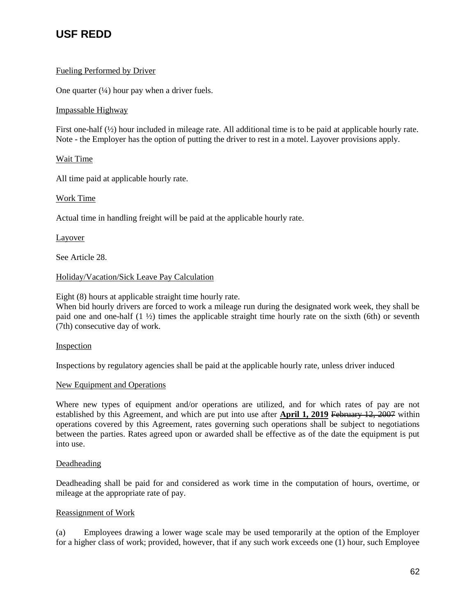### Fueling Performed by Driver

One quarter  $(½)$  hour pay when a driver fuels.

### Impassable Highway

First one-half (½) hour included in mileage rate. All additional time is to be paid at applicable hourly rate. Note - the Employer has the option of putting the driver to rest in a motel. Layover provisions apply.

### Wait Time

All time paid at applicable hourly rate.

### Work Time

Actual time in handling freight will be paid at the applicable hourly rate.

### Layover

See Article 28.

### Holiday/Vacation/Sick Leave Pay Calculation

Eight (8) hours at applicable straight time hourly rate.

When bid hourly drivers are forced to work a mileage run during the designated work week, they shall be paid one and one-half (1 ½) times the applicable straight time hourly rate on the sixth (6th) or seventh (7th) consecutive day of work.

### Inspection

Inspections by regulatory agencies shall be paid at the applicable hourly rate, unless driver induced

### New Equipment and Operations

Where new types of equipment and/or operations are utilized, and for which rates of pay are not established by this Agreement, and which are put into use after **April 1, 2019** February 12, 2007 within operations covered by this Agreement, rates governing such operations shall be subject to negotiations between the parties. Rates agreed upon or awarded shall be effective as of the date the equipment is put into use.

### Deadheading

Deadheading shall be paid for and considered as work time in the computation of hours, overtime, or mileage at the appropriate rate of pay.

### Reassignment of Work

(a) Employees drawing a lower wage scale may be used temporarily at the option of the Employer for a higher class of work; provided, however, that if any such work exceeds one (1) hour, such Employee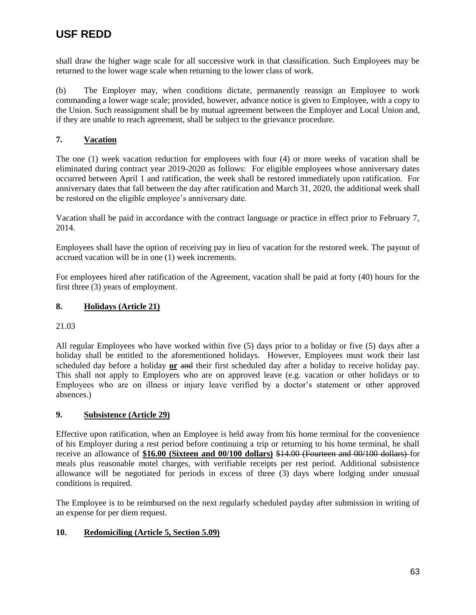shall draw the higher wage scale for all successive work in that classification. Such Employees may be returned to the lower wage scale when returning to the lower class of work.

(b) The Employer may, when conditions dictate, permanently reassign an Employee to work commanding a lower wage scale; provided, however, advance notice is given to Employee, with a copy to the Union. Such reassignment shall be by mutual agreement between the Employer and Local Union and, if they are unable to reach agreement, shall be subject to the grievance procedure.

### **7. Vacation**

The one (1) week vacation reduction for employees with four (4) or more weeks of vacation shall be eliminated during contract year 2019-2020 as follows: For eligible employees whose anniversary dates occurred between April 1 and ratification, the week shall be restored immediately upon ratification. For anniversary dates that fall between the day after ratification and March 31, 2020, the additional week shall be restored on the eligible employee's anniversary date.

Vacation shall be paid in accordance with the contract language or practice in effect prior to February 7, 2014.

Employees shall have the option of receiving pay in lieu of vacation for the restored week. The payout of accrued vacation will be in one (1) week increments.

For employees hired after ratification of the Agreement, vacation shall be paid at forty (40) hours for the first three (3) years of employment.

### **8. Holidays (Article 21)**

21.03

All regular Employees who have worked within five (5) days prior to a holiday or five (5) days after a holiday shall be entitled to the aforementioned holidays. However, Employees must work their last scheduled day before a holiday **or** and their first scheduled day after a holiday to receive holiday pay. This shall not apply to Employers who are on approved leave (e.g. vacation or other holidays or to Employees who are on illness or injury leave verified by a doctor's statement or other approved absences.)

### **9. Subsistence (Article 29)**

Effective upon ratification, when an Employee is held away from his home terminal for the convenience of his Employer during a rest period before continuing a trip or returning to his home terminal, he shall receive an allowance of **\$16.00 (Sixteen and 00/100 dollars)** \$14.00 (Fourteen and 00/100 dollars) for meals plus reasonable motel charges, with verifiable receipts per rest period. Additional subsistence allowance will be negotiated for periods in excess of three (3) days where lodging under unusual conditions is required.

The Employee is to be reimbursed on the next regularly scheduled payday after submission in writing of an expense for per diem request.

### **10. Redomiciling (Article 5, Section 5.09)**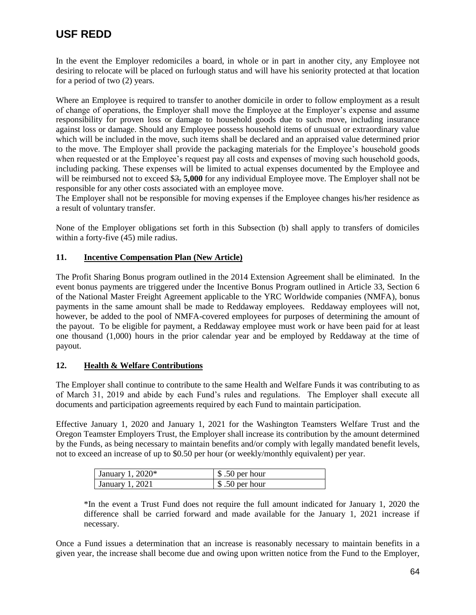In the event the Employer redomiciles a board, in whole or in part in another city, any Employee not desiring to relocate will be placed on furlough status and will have his seniority protected at that location for a period of two (2) years.

Where an Employee is required to transfer to another domicile in order to follow employment as a result of change of operations, the Employer shall move the Employee at the Employer's expense and assume responsibility for proven loss or damage to household goods due to such move, including insurance against loss or damage. Should any Employee possess household items of unusual or extraordinary value which will be included in the move, such items shall be declared and an appraised value determined prior to the move. The Employer shall provide the packaging materials for the Employee's household goods when requested or at the Employee's request pay all costs and expenses of moving such household goods, including packing. These expenses will be limited to actual expenses documented by the Employee and will be reimbursed not to exceed \$3, **5,000** for any individual Employee move. The Employer shall not be responsible for any other costs associated with an employee move.

The Employer shall not be responsible for moving expenses if the Employee changes his/her residence as a result of voluntary transfer.

None of the Employer obligations set forth in this Subsection (b) shall apply to transfers of domiciles within a forty-five (45) mile radius.

### **11. Incentive Compensation Plan (New Article)**

The Profit Sharing Bonus program outlined in the 2014 Extension Agreement shall be eliminated. In the event bonus payments are triggered under the Incentive Bonus Program outlined in Article 33, Section 6 of the National Master Freight Agreement applicable to the YRC Worldwide companies (NMFA), bonus payments in the same amount shall be made to Reddaway employees. Reddaway employees will not, however, be added to the pool of NMFA-covered employees for purposes of determining the amount of the payout. To be eligible for payment, a Reddaway employee must work or have been paid for at least one thousand (1,000) hours in the prior calendar year and be employed by Reddaway at the time of payout.

### **12. Health & Welfare Contributions**

The Employer shall continue to contribute to the same Health and Welfare Funds it was contributing to as of March 31, 2019 and abide by each Fund's rules and regulations. The Employer shall execute all documents and participation agreements required by each Fund to maintain participation.

Effective January 1, 2020 and January 1, 2021 for the Washington Teamsters Welfare Trust and the Oregon Teamster Employers Trust, the Employer shall increase its contribution by the amount determined by the Funds, as being necessary to maintain benefits and/or comply with legally mandated benefit levels, not to exceed an increase of up to \$0.50 per hour (or weekly/monthly equivalent) per year.

| January 1, $2020*$ | $$.50$ per hour |
|--------------------|-----------------|
| January 1, 2021    | $$.50$ per hour |

\*In the event a Trust Fund does not require the full amount indicated for January 1, 2020 the difference shall be carried forward and made available for the January 1, 2021 increase if necessary.

Once a Fund issues a determination that an increase is reasonably necessary to maintain benefits in a given year, the increase shall become due and owing upon written notice from the Fund to the Employer,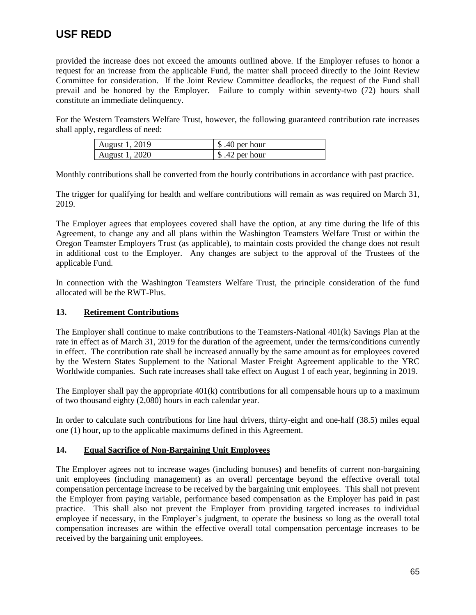provided the increase does not exceed the amounts outlined above. If the Employer refuses to honor a request for an increase from the applicable Fund, the matter shall proceed directly to the Joint Review Committee for consideration. If the Joint Review Committee deadlocks, the request of the Fund shall prevail and be honored by the Employer. Failure to comply within seventy-two (72) hours shall constitute an immediate delinquency.

For the Western Teamsters Welfare Trust, however, the following guaranteed contribution rate increases shall apply, regardless of need:

| August 1, 2019 | $\frac{1}{2}$ \$.40 per hour |
|----------------|------------------------------|
| August 1, 2020 | $\frac{1}{2}$ \$.42 per hour |

Monthly contributions shall be converted from the hourly contributions in accordance with past practice.

The trigger for qualifying for health and welfare contributions will remain as was required on March 31, 2019.

The Employer agrees that employees covered shall have the option, at any time during the life of this Agreement, to change any and all plans within the Washington Teamsters Welfare Trust or within the Oregon Teamster Employers Trust (as applicable), to maintain costs provided the change does not result in additional cost to the Employer. Any changes are subject to the approval of the Trustees of the applicable Fund.

In connection with the Washington Teamsters Welfare Trust, the principle consideration of the fund allocated will be the RWT-Plus.

### **13. Retirement Contributions**

The Employer shall continue to make contributions to the Teamsters-National 401(k) Savings Plan at the rate in effect as of March 31, 2019 for the duration of the agreement, under the terms/conditions currently in effect. The contribution rate shall be increased annually by the same amount as for employees covered by the Western States Supplement to the National Master Freight Agreement applicable to the YRC Worldwide companies. Such rate increases shall take effect on August 1 of each year, beginning in 2019.

The Employer shall pay the appropriate  $401(k)$  contributions for all compensable hours up to a maximum of two thousand eighty (2,080) hours in each calendar year.

In order to calculate such contributions for line haul drivers, thirty-eight and one-half (38.5) miles equal one (1) hour, up to the applicable maximums defined in this Agreement.

### **14. Equal Sacrifice of Non-Bargaining Unit Employees**

The Employer agrees not to increase wages (including bonuses) and benefits of current non-bargaining unit employees (including management) as an overall percentage beyond the effective overall total compensation percentage increase to be received by the bargaining unit employees. This shall not prevent the Employer from paying variable, performance based compensation as the Employer has paid in past practice. This shall also not prevent the Employer from providing targeted increases to individual employee if necessary, in the Employer's judgment, to operate the business so long as the overall total compensation increases are within the effective overall total compensation percentage increases to be received by the bargaining unit employees.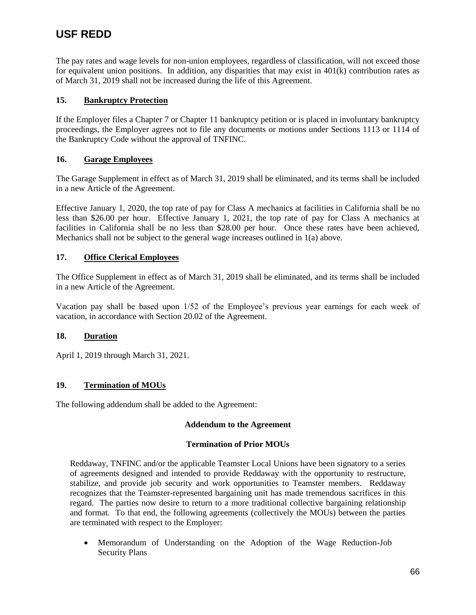The pay rates and wage levels for non-union employees, regardless of classification, will not exceed those for equivalent union positions. In addition, any disparities that may exist in 401(k) contribution rates as of March 31, 2019 shall not be increased during the life of this Agreement.

### **15. Bankruptcy Protection**

If the Employer files a Chapter 7 or Chapter 11 bankruptcy petition or is placed in involuntary bankruptcy proceedings, the Employer agrees not to file any documents or motions under Sections 1113 or 1114 of the Bankruptcy Code without the approval of TNFINC.

### **16. Garage Employees**

The Garage Supplement in effect as of March 31, 2019 shall be eliminated, and its terms shall be included in a new Article of the Agreement.

Effective January 1, 2020, the top rate of pay for Class A mechanics at facilities in California shall be no less than \$26.00 per hour. Effective January 1, 2021, the top rate of pay for Class A mechanics at facilities in California shall be no less than \$28.00 per hour. Once these rates have been achieved, Mechanics shall not be subject to the general wage increases outlined in 1(a) above.

### **17. Office Clerical Employees**

The Office Supplement in effect as of March 31, 2019 shall be eliminated, and its terms shall be included in a new Article of the Agreement.

Vacation pay shall be based upon 1/52 of the Employee's previous year earnings for each week of vacation, in accordance with Section 20.02 of the Agreement.

### **18. Duration**

April 1, 2019 through March 31, 2021.

### **19. Termination of MOUs**

The following addendum shall be added to the Agreement:

### **Addendum to the Agreement**

### **Termination of Prior MOUs**

Reddaway, TNFINC and/or the applicable Teamster Local Unions have been signatory to a series of agreements designed and intended to provide Reddaway with the opportunity to restructure, stabilize, and provide job security and work opportunities to Teamster members. Reddaway recognizes that the Teamster-represented bargaining unit has made tremendous sacrifices in this regard. The parties now desire to return to a more traditional collective bargaining relationship and format. To that end, the following agreements (collectively the MOUs) between the parties are terminated with respect to the Employer:

 Memorandum of Understanding on the Adoption of the Wage Reduction-Job Security Plans